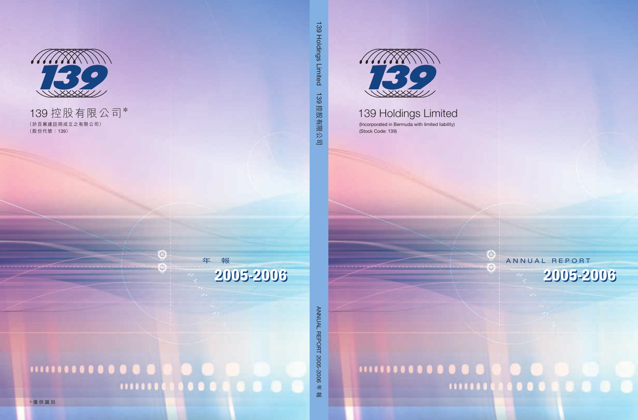

# 139 Holdings Limited

 (Incorporated in Bermuda with limited liability) (Stock Code: 139)

ANNUAL REPORT



# ................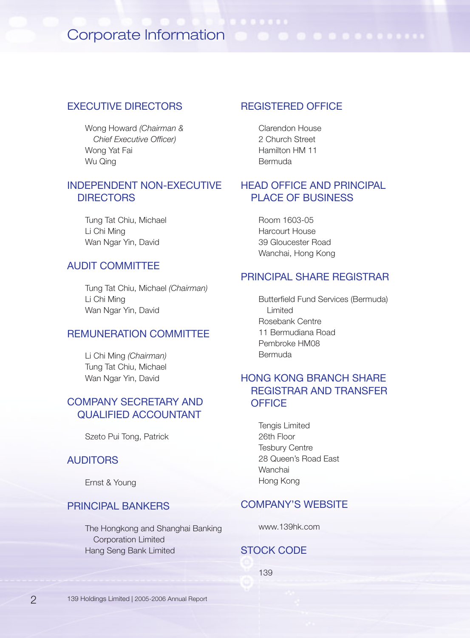## Corporate Information

## EXECUTIVE DIRECTORS

Wong Howard *(Chairman & Chief Executive Officer)* Wong Yat Fai Wu Qing

## INDEPENDENT NON-EXECUTIVE **DIRECTORS**

Tung Tat Chiu, Michael Li Chi Ming Wan Ngar Yin, David

## AUDIT COMMITTEE

Tung Tat Chiu, Michael *(Chairman)* Li Chi Ming Wan Ngar Yin, David

## REMUNERATION COMMITTEE

Li Chi Ming *(Chairman)* Tung Tat Chiu, Michael Wan Ngar Yin, David

## COMPANY SECRETARY AND QUALIFIED ACCOUNTANT

Szeto Pui Tong, Patrick

### **AUDITORS**

Ernst & Young

## PRINCIPAL BANKERS

The Hongkong and Shanghai Banking Corporation Limited Hang Seng Bank Limited

#### REGISTERED OFFICE

Clarendon House 2 Church Street Hamilton HM 11 Bermuda

## HEAD OFFICE AND PRINCIPAL PLACE OF BUSINESS

Room 1603-05 Harcourt House 39 Gloucester Road Wanchai, Hong Kong

## PRINCIPAL SHARE REGISTRAR

Butterfield Fund Services (Bermuda) Limited Rosebank Centre 11 Bermudiana Road Pembroke HM08 Bermuda

## HONG KONG BRANCH SHARE REGISTRAR AND TRANSFER **OFFICE**

Tengis Limited 26th Floor Tesbury Centre 28 Queen's Road East Wanchai Hong Kong

## COMPANY'S WEBSITE

www.139hk.com

## STOCK CODE

139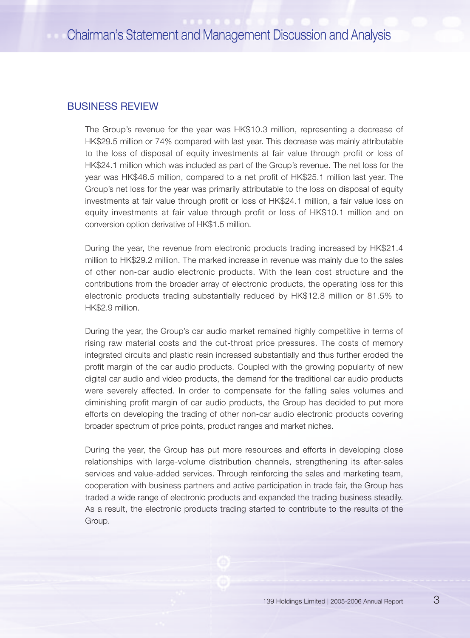## BUSINESS REVIEW

The Group's revenue for the year was HK\$10.3 million, representing a decrease of HK\$29.5 million or 74% compared with last year. This decrease was mainly attributable to the loss of disposal of equity investments at fair value through profit or loss of HK\$24.1 million which was included as part of the Group's revenue. The net loss for the year was HK\$46.5 million, compared to a net profit of HK\$25.1 million last year. The Group's net loss for the year was primarily attributable to the loss on disposal of equity investments at fair value through profit or loss of HK\$24.1 million, a fair value loss on equity investments at fair value through profit or loss of HK\$10.1 million and on conversion option derivative of HK\$1.5 million.

During the year, the revenue from electronic products trading increased by HK\$21.4 million to HK\$29.2 million. The marked increase in revenue was mainly due to the sales of other non-car audio electronic products. With the lean cost structure and the contributions from the broader array of electronic products, the operating loss for this electronic products trading substantially reduced by HK\$12.8 million or 81.5% to HK\$2.9 million.

During the year, the Group's car audio market remained highly competitive in terms of rising raw material costs and the cut-throat price pressures. The costs of memory integrated circuits and plastic resin increased substantially and thus further eroded the profit margin of the car audio products. Coupled with the growing popularity of new digital car audio and video products, the demand for the traditional car audio products were severely affected. In order to compensate for the falling sales volumes and diminishing profit margin of car audio products, the Group has decided to put more efforts on developing the trading of other non-car audio electronic products covering broader spectrum of price points, product ranges and market niches.

During the year, the Group has put more resources and efforts in developing close relationships with large-volume distribution channels, strengthening its after-sales services and value-added services. Through reinforcing the sales and marketing team, cooperation with business partners and active participation in trade fair, the Group has traded a wide range of electronic products and expanded the trading business steadily. As a result, the electronic products trading started to contribute to the results of the Group.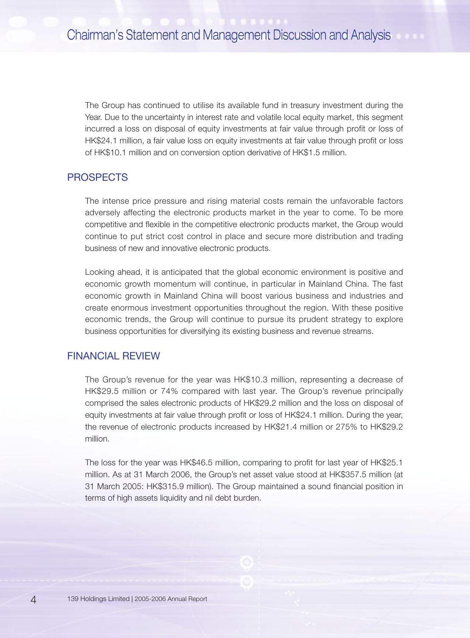The Group has continued to utilise its available fund in treasury investment during the Year. Due to the uncertainty in interest rate and volatile local equity market, this segment incurred a loss on disposal of equity investments at fair value through profit or loss of HK\$24.1 million, a fair value loss on equity investments at fair value through profit or loss of HK\$10.1 million and on conversion option derivative of HK\$1.5 million.

## **PROSPECTS**

The intense price pressure and rising material costs remain the unfavorable factors adversely affecting the electronic products market in the year to come. To be more competitive and flexible in the competitive electronic products market, the Group would continue to put strict cost control in place and secure more distribution and trading business of new and innovative electronic products.

Looking ahead, it is anticipated that the global economic environment is positive and economic growth momentum will continue, in particular in Mainland China. The fast economic growth in Mainland China will boost various business and industries and create enormous investment opportunities throughout the region. With these positive economic trends, the Group will continue to pursue its prudent strategy to explore business opportunities for diversifying its existing business and revenue streams.

## FINANCIAL REVIEW

The Group's revenue for the year was HK\$10.3 million, representing a decrease of HK\$29.5 million or 74% compared with last year. The Group's revenue principally comprised the sales electronic products of HK\$29.2 million and the loss on disposal of equity investments at fair value through profit or loss of HK\$24.1 million. During the year, the revenue of electronic products increased by HK\$21.4 million or 275% to HK\$29.2 million.

The loss for the year was HK\$46.5 million, comparing to profit for last year of HK\$25.1 million. As at 31 March 2006, the Group's net asset value stood at HK\$357.5 million (at 31 March 2005: HK\$315.9 million). The Group maintained a sound financial position in terms of high assets liquidity and nil debt burden.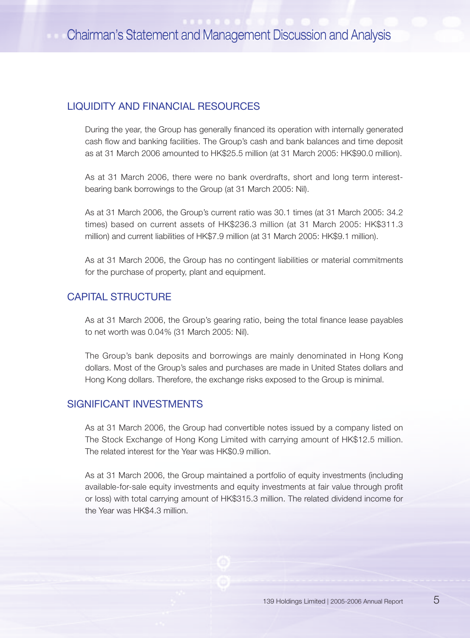## LIQUIDITY AND FINANCIAL RESOURCES

During the year, the Group has generally financed its operation with internally generated cash flow and banking facilities. The Group's cash and bank balances and time deposit as at 31 March 2006 amounted to HK\$25.5 million (at 31 March 2005: HK\$90.0 million).

As at 31 March 2006, there were no bank overdrafts, short and long term interestbearing bank borrowings to the Group (at 31 March 2005: Nil).

As at 31 March 2006, the Group's current ratio was 30.1 times (at 31 March 2005: 34.2 times) based on current assets of HK\$236.3 million (at 31 March 2005: HK\$311.3 million) and current liabilities of HK\$7.9 million (at 31 March 2005: HK\$9.1 million).

As at 31 March 2006, the Group has no contingent liabilities or material commitments for the purchase of property, plant and equipment.

## CAPITAL STRUCTURE

As at 31 March 2006, the Group's gearing ratio, being the total finance lease payables to net worth was 0.04% (31 March 2005: Nil).

The Group's bank deposits and borrowings are mainly denominated in Hong Kong dollars. Most of the Group's sales and purchases are made in United States dollars and Hong Kong dollars. Therefore, the exchange risks exposed to the Group is minimal.

#### SIGNIFICANT INVESTMENTS

As at 31 March 2006, the Group had convertible notes issued by a company listed on The Stock Exchange of Hong Kong Limited with carrying amount of HK\$12.5 million. The related interest for the Year was HK\$0.9 million.

As at 31 March 2006, the Group maintained a portfolio of equity investments (including available-for-sale equity investments and equity investments at fair value through profit or loss) with total carrying amount of HK\$315.3 million. The related dividend income for the Year was HK\$4.3 million.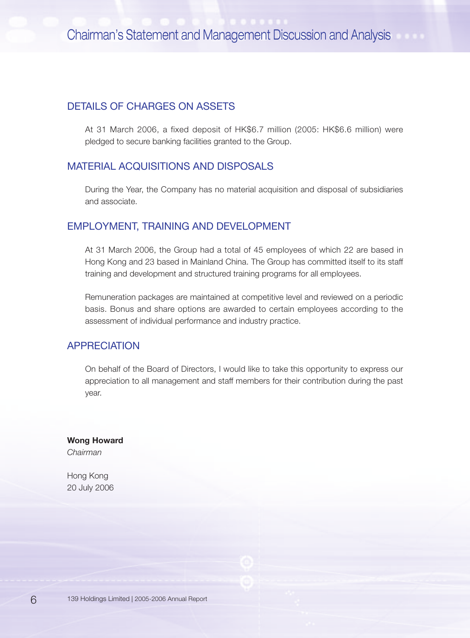## DETAILS OF CHARGES ON ASSETS

At 31 March 2006, a fixed deposit of HK\$6.7 million (2005: HK\$6.6 million) were pledged to secure banking facilities granted to the Group.

## MATERIAL ACQUISITIONS AND DISPOSALS

During the Year, the Company has no material acquisition and disposal of subsidiaries and associate.

### EMPLOYMENT, TRAINING AND DEVELOPMENT

At 31 March 2006, the Group had a total of 45 employees of which 22 are based in Hong Kong and 23 based in Mainland China. The Group has committed itself to its staff training and development and structured training programs for all employees.

Remuneration packages are maintained at competitive level and reviewed on a periodic basis. Bonus and share options are awarded to certain employees according to the assessment of individual performance and industry practice.

## APPRECIATION

On behalf of the Board of Directors, I would like to take this opportunity to express our appreciation to all management and staff members for their contribution during the past year.

**Wong Howard**

*Chairman*

Hong Kong 20 July 2006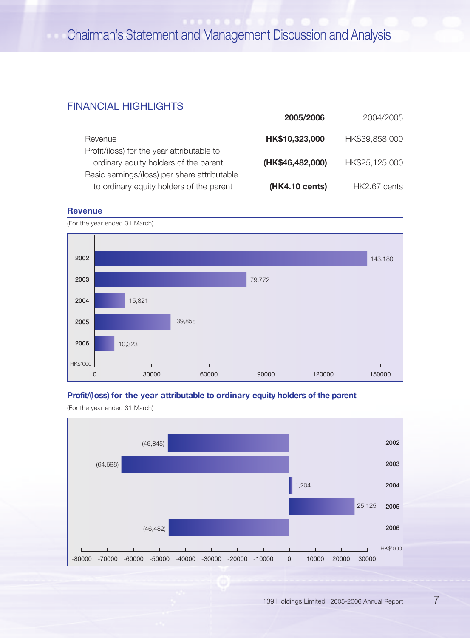## FINANCIAL HIGHLIGHTS

|                                                                                          | 2005/2006        | 2004/2005      |
|------------------------------------------------------------------------------------------|------------------|----------------|
| Revenue                                                                                  | HK\$10,323,000   | HK\$39,858,000 |
| Profit/(loss) for the year attributable to<br>ordinary equity holders of the parent      | (HK\$46,482,000) | HK\$25,125,000 |
| Basic earnings/(loss) per share attributable<br>to ordinary equity holders of the parent | (HK4.10 cents)   | HK2.67 cents   |

#### **Revenue**



#### **Profit/(loss) for the year attributable to ordinary equity holders of the parent**



(For the year ended 31 March)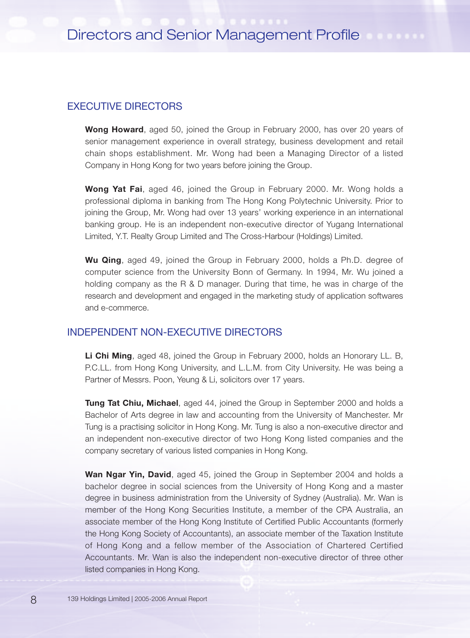## EXECUTIVE DIRECTORS

**Wong Howard**, aged 50, joined the Group in February 2000, has over 20 years of senior management experience in overall strategy, business development and retail chain shops establishment. Mr. Wong had been a Managing Director of a listed Company in Hong Kong for two years before joining the Group.

**Wong Yat Fai**, aged 46, joined the Group in February 2000. Mr. Wong holds a professional diploma in banking from The Hong Kong Polytechnic University. Prior to joining the Group, Mr. Wong had over 13 years' working experience in an international banking group. He is an independent non-executive director of Yugang International Limited, Y.T. Realty Group Limited and The Cross-Harbour (Holdings) Limited.

**Wu Qing**, aged 49, joined the Group in February 2000, holds a Ph.D. degree of computer science from the University Bonn of Germany. In 1994, Mr. Wu joined a holding company as the R & D manager. During that time, he was in charge of the research and development and engaged in the marketing study of application softwares and e-commerce.

### INDEPENDENT NON-EXECUTIVE DIRECTORS

**Li Chi Ming**, aged 48, joined the Group in February 2000, holds an Honorary LL. B, P.C.LL. from Hong Kong University, and L.L.M. from City University. He was being a Partner of Messrs. Poon, Yeung & Li, solicitors over 17 years.

**Tung Tat Chiu, Michael**, aged 44, joined the Group in September 2000 and holds a Bachelor of Arts degree in law and accounting from the University of Manchester. Mr Tung is a practising solicitor in Hong Kong. Mr. Tung is also a non-executive director and an independent non-executive director of two Hong Kong listed companies and the company secretary of various listed companies in Hong Kong.

**Wan Ngar Yin, David**, aged 45, joined the Group in September 2004 and holds a bachelor degree in social sciences from the University of Hong Kong and a master degree in business administration from the University of Sydney (Australia). Mr. Wan is member of the Hong Kong Securities Institute, a member of the CPA Australia, an associate member of the Hong Kong Institute of Certified Public Accountants (formerly the Hong Kong Society of Accountants), an associate member of the Taxation Institute of Hong Kong and a fellow member of the Association of Chartered Certified Accountants. Mr. Wan is also the independent non-executive director of three other listed companies in Hong Kong.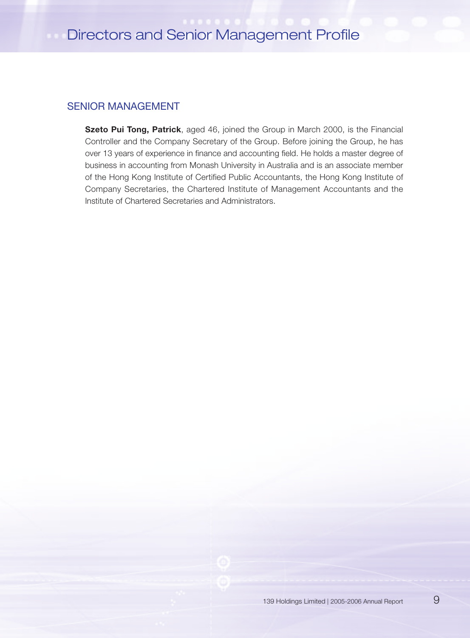## SENIOR MANAGEMENT

**Szeto Pui Tong, Patrick**, aged 46, joined the Group in March 2000, is the Financial Controller and the Company Secretary of the Group. Before joining the Group, he has over 13 years of experience in finance and accounting field. He holds a master degree of business in accounting from Monash University in Australia and is an associate member of the Hong Kong Institute of Certified Public Accountants, the Hong Kong Institute of Company Secretaries, the Chartered Institute of Management Accountants and the Institute of Chartered Secretaries and Administrators.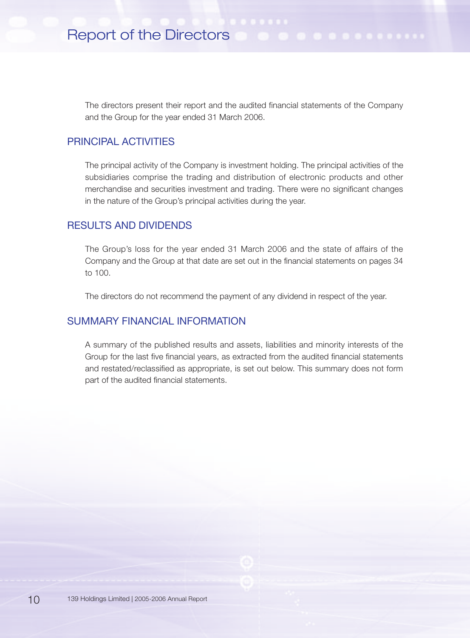The directors present their report and the audited financial statements of the Company and the Group for the year ended 31 March 2006.

## PRINCIPAL ACTIVITIES

The principal activity of the Company is investment holding. The principal activities of the subsidiaries comprise the trading and distribution of electronic products and other merchandise and securities investment and trading. There were no significant changes in the nature of the Group's principal activities during the year.

## RESULTS AND DIVIDENDS

The Group's loss for the year ended 31 March 2006 and the state of affairs of the Company and the Group at that date are set out in the financial statements on pages 34 to 100.

The directors do not recommend the payment of any dividend in respect of the year.

## SUMMARY FINANCIAL INFORMATION

A summary of the published results and assets, liabilities and minority interests of the Group for the last five financial years, as extracted from the audited financial statements and restated/reclassified as appropriate, is set out below. This summary does not form part of the audited financial statements.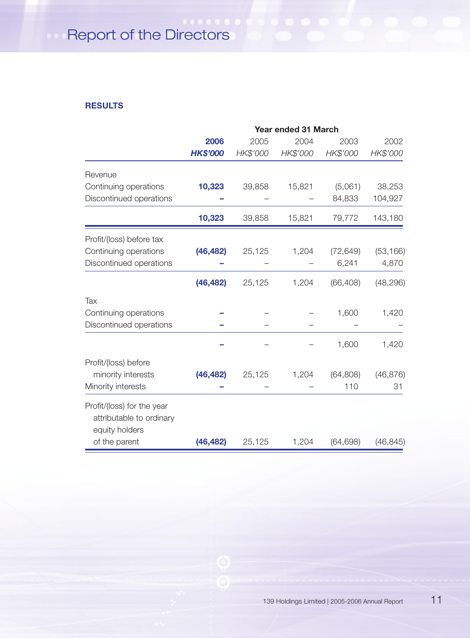# Report of the Directors

### **RESULTS**

|                                                                          |                 |          | <b>Year ended 31 March</b> |           |           |
|--------------------------------------------------------------------------|-----------------|----------|----------------------------|-----------|-----------|
|                                                                          | 2006            | 2005     | 2004                       | 2003      | 2002      |
|                                                                          | <b>HK\$'000</b> | HK\$'000 | HK\$'000                   | HK\$'000  | HK\$'000  |
| Revenue                                                                  |                 |          |                            |           |           |
| Continuing operations                                                    | 10,323          | 39,858   | 15,821                     | (5,061)   | 38,253    |
| Discontinued operations                                                  |                 |          |                            | 84,833    | 104,927   |
|                                                                          | 10,323          | 39,858   | 15,821                     | 79,772    | 143,180   |
| Profit/(loss) before tax                                                 |                 |          |                            |           |           |
| Continuing operations                                                    | (46, 482)       | 25,125   | 1,204                      | (72, 649) | (53, 166) |
| Discontinued operations                                                  |                 |          |                            | 6,241     | 4,870     |
|                                                                          | (46, 482)       | 25,125   | 1,204                      | (66, 408) | (48, 296) |
| Tax                                                                      |                 |          |                            |           |           |
| Continuing operations                                                    |                 |          |                            | 1,600     | 1,420     |
| Discontinued operations                                                  |                 |          |                            |           |           |
|                                                                          |                 |          |                            | 1,600     | 1,420     |
| Profit/(loss) before                                                     |                 |          |                            |           |           |
| minority interests                                                       | (46, 482)       | 25,125   | 1,204                      | (64, 808) | (46, 876) |
| Minority interests                                                       |                 |          |                            | 110       | 31        |
| Profit/(loss) for the year<br>attributable to ordinary<br>equity holders |                 |          |                            |           |           |
| of the parent                                                            | (46, 482)       | 25,125   | 1,204                      | (64, 698) | (46, 845) |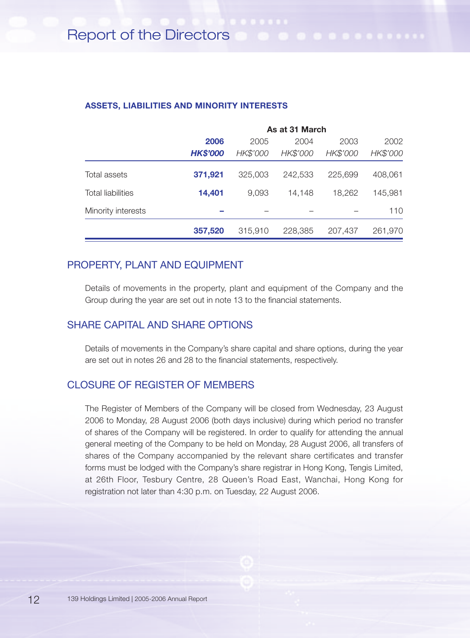|                          | As at 31 March          |                  |                  |                  |                  |
|--------------------------|-------------------------|------------------|------------------|------------------|------------------|
|                          | 2006<br><b>HK\$'000</b> | 2005<br>HK\$'000 | 2004<br>HK\$'000 | 2003<br>HK\$'000 | 2002<br>HK\$'000 |
| Total assets             | 371,921                 | 325,003          | 242,533          | 225,699          | 408,061          |
| <b>Total liabilities</b> | 14,401                  | 9,093            | 14,148           | 18,262           | 145,981          |
| Minority interests       |                         |                  |                  |                  | 110              |
|                          | 357,520                 | 315,910          | 228,385          | 207,437          | 261,970          |

#### **ASSETS, LIABILITIES AND MINORITY INTERESTS**

## PROPERTY, PLANT AND EQUIPMENT

Details of movements in the property, plant and equipment of the Company and the Group during the year are set out in note 13 to the financial statements.

## SHARE CAPITAL AND SHARE OPTIONS

Details of movements in the Company's share capital and share options, during the year are set out in notes 26 and 28 to the financial statements, respectively.

## CLOSURE OF REGISTER OF MEMBERS

The Register of Members of the Company will be closed from Wednesday, 23 August 2006 to Monday, 28 August 2006 (both days inclusive) during which period no transfer of shares of the Company will be registered. In order to qualify for attending the annual general meeting of the Company to be held on Monday, 28 August 2006, all transfers of shares of the Company accompanied by the relevant share certificates and transfer forms must be lodged with the Company's share registrar in Hong Kong, Tengis Limited, at 26th Floor, Tesbury Centre, 28 Queen's Road East, Wanchai, Hong Kong for registration not later than 4:30 p.m. on Tuesday, 22 August 2006.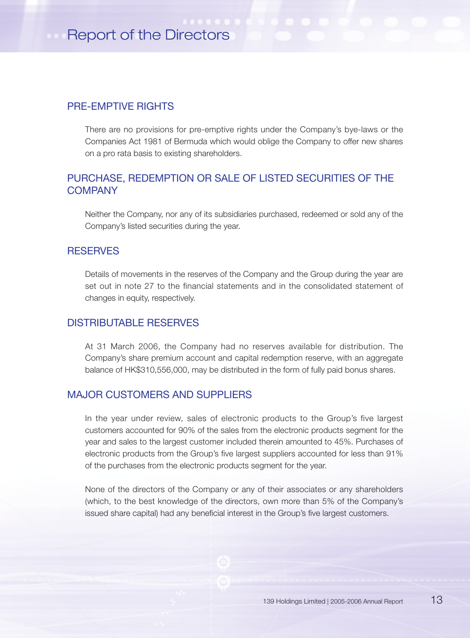## PRE-EMPTIVE RIGHTS

There are no provisions for pre-emptive rights under the Company's bye-laws or the Companies Act 1981 of Bermuda which would oblige the Company to offer new shares on a pro rata basis to existing shareholders.

## PURCHASE, REDEMPTION OR SALE OF LISTED SECURITIES OF THE **COMPANY**

Neither the Company, nor any of its subsidiaries purchased, redeemed or sold any of the Company's listed securities during the year.

#### **RESERVES**

Details of movements in the reserves of the Company and the Group during the year are set out in note 27 to the financial statements and in the consolidated statement of changes in equity, respectively.

## DISTRIBUTABLE RESERVES

At 31 March 2006, the Company had no reserves available for distribution. The Company's share premium account and capital redemption reserve, with an aggregate balance of HK\$310,556,000, may be distributed in the form of fully paid bonus shares.

## MAJOR CUSTOMERS AND SUPPLIERS

In the year under review, sales of electronic products to the Group's five largest customers accounted for 90% of the sales from the electronic products segment for the year and sales to the largest customer included therein amounted to 45%. Purchases of electronic products from the Group's five largest suppliers accounted for less than 91% of the purchases from the electronic products segment for the year.

None of the directors of the Company or any of their associates or any shareholders (which, to the best knowledge of the directors, own more than 5% of the Company's issued share capital) had any beneficial interest in the Group's five largest customers.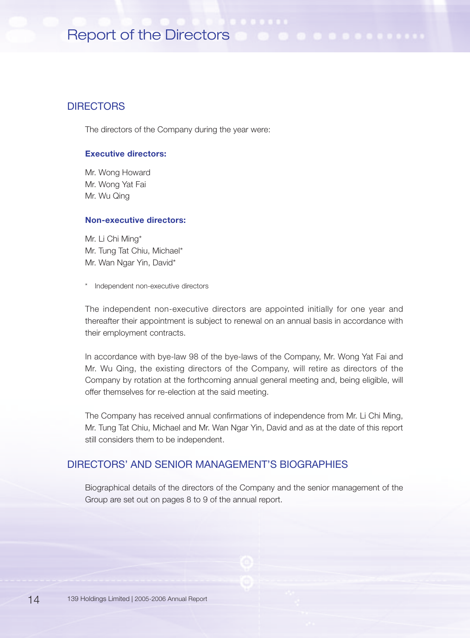# Report of the Directors

### **DIRECTORS**

The directors of the Company during the year were:

#### **Executive directors:**

Mr. Wong Howard Mr. Wong Yat Fai Mr. Wu Qing

#### **Non-executive directors:**

Mr. Li Chi Ming\* Mr. Tung Tat Chiu, Michael\* Mr. Wan Ngar Yin, David\*

\* Independent non-executive directors

The independent non-executive directors are appointed initially for one year and thereafter their appointment is subject to renewal on an annual basis in accordance with their employment contracts.

In accordance with bye-law 98 of the bye-laws of the Company, Mr. Wong Yat Fai and Mr. Wu Qing, the existing directors of the Company, will retire as directors of the Company by rotation at the forthcoming annual general meeting and, being eligible, will offer themselves for re-election at the said meeting.

The Company has received annual confirmations of independence from Mr. Li Chi Ming, Mr. Tung Tat Chiu, Michael and Mr. Wan Ngar Yin, David and as at the date of this report still considers them to be independent.

## DIRECTORS' AND SENIOR MANAGEMENT'S BIOGRAPHIES

Biographical details of the directors of the Company and the senior management of the Group are set out on pages 8 to 9 of the annual report.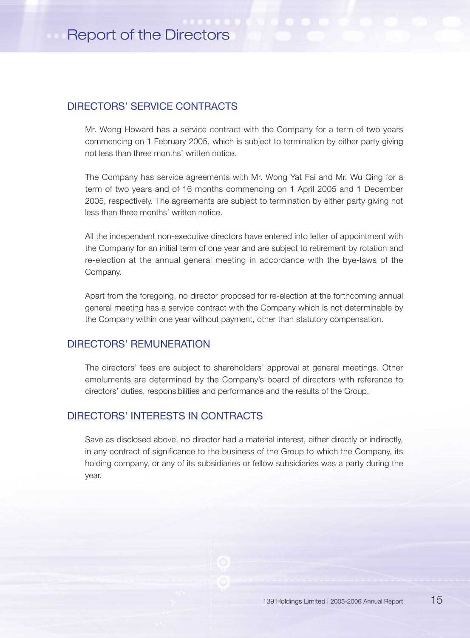## DIRECTORS' SERVICE CONTRACTS

Mr. Wong Howard has a service contract with the Company for a term of two years commencing on 1 February 2005, which is subject to termination by either party giving not less than three months' written notice.

The Company has service agreements with Mr. Wong Yat Fai and Mr. Wu Qing for a term of two years and of 16 months commencing on 1 April 2005 and 1 December 2005, respectively. The agreements are subject to termination by either party giving not less than three months' written notice.

All the independent non-executive directors have entered into letter of appointment with the Company for an initial term of one year and are subject to retirement by rotation and re-election at the annual general meeting in accordance with the bye-laws of the Company.

Apart from the foregoing, no director proposed for re-election at the forthcoming annual general meeting has a service contract with the Company which is not determinable by the Company within one year without payment, other than statutory compensation.

## DIRECTORS' REMUNERATION

The directors' fees are subject to shareholders' approval at general meetings. Other emoluments are determined by the Company's board of directors with reference to directors' duties, responsibilities and performance and the results of the Group.

## DIRECTORS' INTERESTS IN CONTRACTS

Save as disclosed above, no director had a material interest, either directly or indirectly, in any contract of significance to the business of the Group to which the Company, its holding company, or any of its subsidiaries or fellow subsidiaries was a party during the year.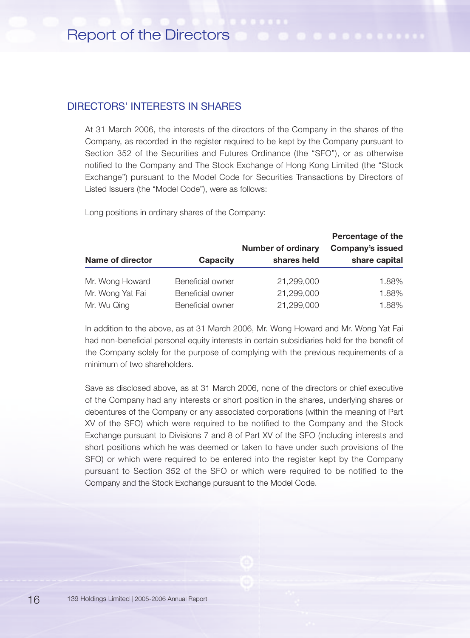Report of the Directors

#### DIRECTORS' INTERESTS IN SHARES

At 31 March 2006, the interests of the directors of the Company in the shares of the Company, as recorded in the register required to be kept by the Company pursuant to Section 352 of the Securities and Futures Ordinance (the "SFO"), or as otherwise notified to the Company and The Stock Exchange of Hong Kong Limited (the "Stock Exchange") pursuant to the Model Code for Securities Transactions by Directors of Listed Issuers (the "Model Code"), were as follows:

Long positions in ordinary shares of the Company:

|                         |                  |                           | Percentage of the       |
|-------------------------|------------------|---------------------------|-------------------------|
|                         |                  | <b>Number of ordinary</b> | <b>Company's issued</b> |
| <b>Name of director</b> | <b>Capacity</b>  | shares held               | share capital           |
| Mr. Wong Howard         | Beneficial owner | 21,299,000                | 1.88%                   |
| Mr. Wong Yat Fai        | Beneficial owner | 21,299,000                | 1.88%                   |
| Mr. Wu Qing             | Beneficial owner | 21,299,000                | 1.88%                   |

In addition to the above, as at 31 March 2006, Mr. Wong Howard and Mr. Wong Yat Fai had non-beneficial personal equity interests in certain subsidiaries held for the benefit of the Company solely for the purpose of complying with the previous requirements of a minimum of two shareholders.

Save as disclosed above, as at 31 March 2006, none of the directors or chief executive of the Company had any interests or short position in the shares, underlying shares or debentures of the Company or any associated corporations (within the meaning of Part XV of the SFO) which were required to be notified to the Company and the Stock Exchange pursuant to Divisions 7 and 8 of Part XV of the SFO (including interests and short positions which he was deemed or taken to have under such provisions of the SFO) or which were required to be entered into the register kept by the Company pursuant to Section 352 of the SFO or which were required to be notified to the Company and the Stock Exchange pursuant to the Model Code.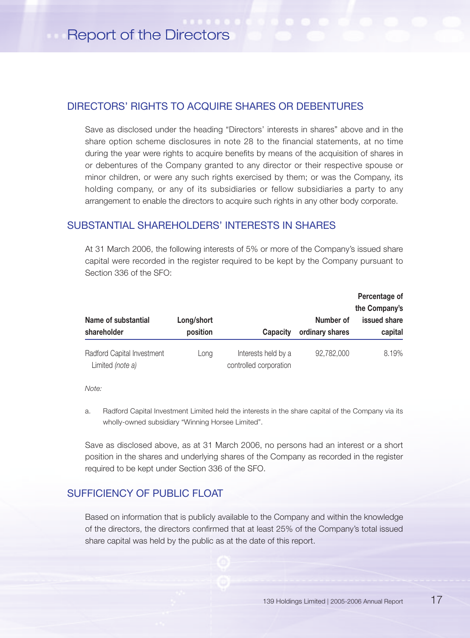## DIRECTORS' RIGHTS TO ACQUIRE SHARES OR DEBENTURES

Save as disclosed under the heading "Directors' interests in shares" above and in the share option scheme disclosures in note 28 to the financial statements, at no time during the year were rights to acquire benefits by means of the acquisition of shares in or debentures of the Company granted to any director or their respective spouse or minor children, or were any such rights exercised by them; or was the Company, its holding company, or any of its subsidiaries or fellow subsidiaries a party to any arrangement to enable the directors to acquire such rights in any other body corporate.

## SUBSTANTIAL SHAREHOLDERS' INTERESTS IN SHARES

At 31 March 2006, the following interests of 5% or more of the Company's issued share capital were recorded in the register required to be kept by the Company pursuant to Section 336 of the SFO:

|                                                |                        |                                               |                              | Percentage of<br>the Company's |
|------------------------------------------------|------------------------|-----------------------------------------------|------------------------------|--------------------------------|
| Name of substantial<br>shareholder             | Long/short<br>position | <b>Capacity</b>                               | Number of<br>ordinary shares | issued share<br>capital        |
| Radford Capital Investment<br>Limited (note a) | Long                   | Interests held by a<br>controlled corporation | 92,782,000                   | 8.19%                          |

*Note:*

a. Radford Capital Investment Limited held the interests in the share capital of the Company via its wholly-owned subsidiary "Winning Horsee Limited".

Save as disclosed above, as at 31 March 2006, no persons had an interest or a short position in the shares and underlying shares of the Company as recorded in the register required to be kept under Section 336 of the SFO.

## SUFFICIENCY OF PUBLIC FLOAT

Based on information that is publicly available to the Company and within the knowledge of the directors, the directors confirmed that at least 25% of the Company's total issued share capital was held by the public as at the date of this report.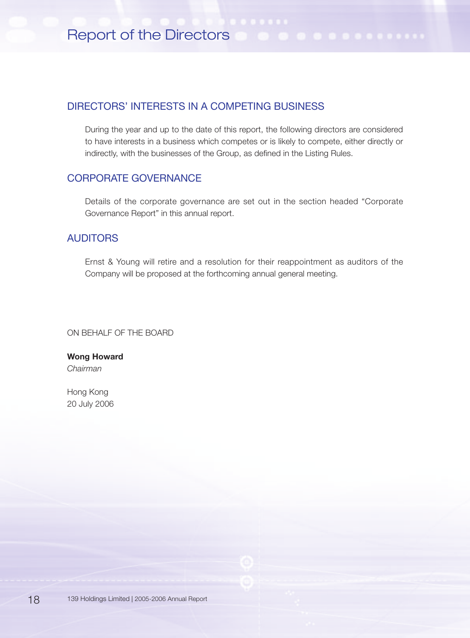## DIRECTORS' INTERESTS IN A COMPETING BUSINESS

During the year and up to the date of this report, the following directors are considered to have interests in a business which competes or is likely to compete, either directly or indirectly, with the businesses of the Group, as defined in the Listing Rules.

## CORPORATE GOVERNANCE

Details of the corporate governance are set out in the section headed "Corporate Governance Report" in this annual report.

## AUDITORS

Ernst & Young will retire and a resolution for their reappointment as auditors of the Company will be proposed at the forthcoming annual general meeting.

ON BEHALF OF THE BOARD

**Wong Howard** *Chairman*

Hong Kong 20 July 2006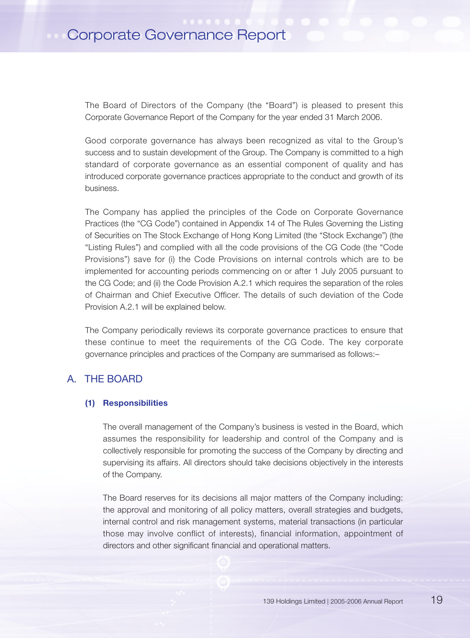The Board of Directors of the Company (the "Board") is pleased to present this Corporate Governance Report of the Company for the year ended 31 March 2006.

Good corporate governance has always been recognized as vital to the Group's success and to sustain development of the Group. The Company is committed to a high standard of corporate governance as an essential component of quality and has introduced corporate governance practices appropriate to the conduct and growth of its business.

The Company has applied the principles of the Code on Corporate Governance Practices (the "CG Code") contained in Appendix 14 of The Rules Governing the Listing of Securities on The Stock Exchange of Hong Kong Limited (the "Stock Exchange") (the "Listing Rules") and complied with all the code provisions of the CG Code (the "Code Provisions") save for (i) the Code Provisions on internal controls which are to be implemented for accounting periods commencing on or after 1 July 2005 pursuant to the CG Code; and (ii) the Code Provision A.2.1 which requires the separation of the roles of Chairman and Chief Executive Officer. The details of such deviation of the Code Provision A.2.1 will be explained below.

The Company periodically reviews its corporate governance practices to ensure that these continue to meet the requirements of the CG Code. The key corporate governance principles and practices of the Company are summarised as follows:–

## A. THE BOARD

#### **(1) Responsibilities**

The overall management of the Company's business is vested in the Board, which assumes the responsibility for leadership and control of the Company and is collectively responsible for promoting the success of the Company by directing and supervising its affairs. All directors should take decisions objectively in the interests of the Company.

The Board reserves for its decisions all major matters of the Company including: the approval and monitoring of all policy matters, overall strategies and budgets, internal control and risk management systems, material transactions (in particular those may involve conflict of interests), financial information, appointment of directors and other significant financial and operational matters.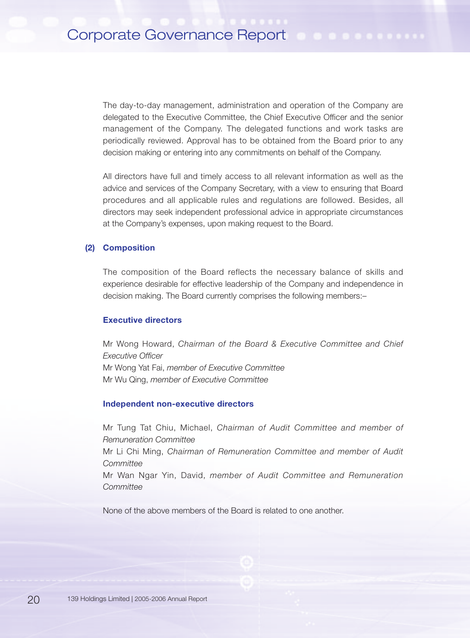The day-to-day management, administration and operation of the Company are delegated to the Executive Committee, the Chief Executive Officer and the senior management of the Company. The delegated functions and work tasks are periodically reviewed. Approval has to be obtained from the Board prior to any decision making or entering into any commitments on behalf of the Company.

All directors have full and timely access to all relevant information as well as the advice and services of the Company Secretary, with a view to ensuring that Board procedures and all applicable rules and regulations are followed. Besides, all directors may seek independent professional advice in appropriate circumstances at the Company's expenses, upon making request to the Board.

#### **(2) Composition**

The composition of the Board reflects the necessary balance of skills and experience desirable for effective leadership of the Company and independence in decision making. The Board currently comprises the following members:–

#### **Executive directors**

Mr Wong Howard, *Chairman of the Board & Executive Committee and Chief Executive Officer* Mr Wong Yat Fai, *member of Executive Committee* Mr Wu Qing, *member of Executive Committee*

#### **Independent non-executive directors**

Mr Tung Tat Chiu, Michael, *Chairman of Audit Committee and member of Remuneration Committee*

Mr Li Chi Ming, *Chairman of Remuneration Committee and member of Audit Committee*

Mr Wan Ngar Yin, David, *member of Audit Committee and Remuneration Committee*

None of the above members of the Board is related to one another.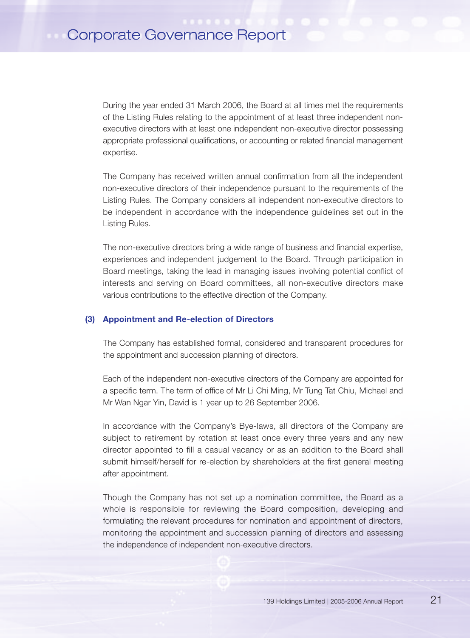During the year ended 31 March 2006, the Board at all times met the requirements of the Listing Rules relating to the appointment of at least three independent nonexecutive directors with at least one independent non-executive director possessing appropriate professional qualifications, or accounting or related financial management expertise.

The Company has received written annual confirmation from all the independent non-executive directors of their independence pursuant to the requirements of the Listing Rules. The Company considers all independent non-executive directors to be independent in accordance with the independence guidelines set out in the Listing Rules.

The non-executive directors bring a wide range of business and financial expertise, experiences and independent judgement to the Board. Through participation in Board meetings, taking the lead in managing issues involving potential conflict of interests and serving on Board committees, all non-executive directors make various contributions to the effective direction of the Company.

#### **(3) Appointment and Re-election of Directors**

The Company has established formal, considered and transparent procedures for the appointment and succession planning of directors.

Each of the independent non-executive directors of the Company are appointed for a specific term. The term of office of Mr Li Chi Ming, Mr Tung Tat Chiu, Michael and Mr Wan Ngar Yin, David is 1 year up to 26 September 2006.

In accordance with the Company's Bye-laws, all directors of the Company are subject to retirement by rotation at least once every three years and any new director appointed to fill a casual vacancy or as an addition to the Board shall submit himself/herself for re-election by shareholders at the first general meeting after appointment.

Though the Company has not set up a nomination committee, the Board as a whole is responsible for reviewing the Board composition, developing and formulating the relevant procedures for nomination and appointment of directors, monitoring the appointment and succession planning of directors and assessing the independence of independent non-executive directors.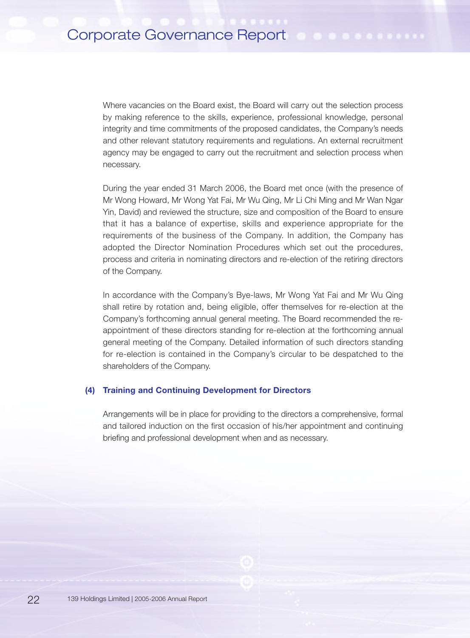Where vacancies on the Board exist, the Board will carry out the selection process by making reference to the skills, experience, professional knowledge, personal integrity and time commitments of the proposed candidates, the Company's needs and other relevant statutory requirements and regulations. An external recruitment agency may be engaged to carry out the recruitment and selection process when necessary.

During the year ended 31 March 2006, the Board met once (with the presence of Mr Wong Howard, Mr Wong Yat Fai, Mr Wu Qing, Mr Li Chi Ming and Mr Wan Ngar Yin, David) and reviewed the structure, size and composition of the Board to ensure that it has a balance of expertise, skills and experience appropriate for the requirements of the business of the Company. In addition, the Company has adopted the Director Nomination Procedures which set out the procedures, process and criteria in nominating directors and re-election of the retiring directors of the Company.

In accordance with the Company's Bye-laws, Mr Wong Yat Fai and Mr Wu Qing shall retire by rotation and, being eligible, offer themselves for re-election at the Company's forthcoming annual general meeting. The Board recommended the reappointment of these directors standing for re-election at the forthcoming annual general meeting of the Company. Detailed information of such directors standing for re-election is contained in the Company's circular to be despatched to the shareholders of the Company.

#### **(4) Training and Continuing Development for Directors**

Arrangements will be in place for providing to the directors a comprehensive, formal and tailored induction on the first occasion of his/her appointment and continuing briefing and professional development when and as necessary.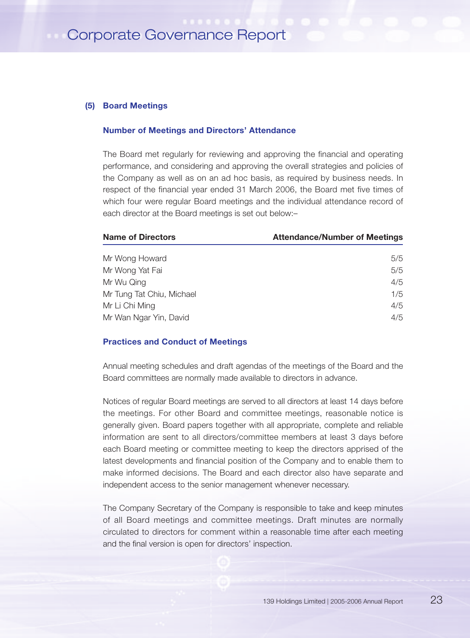#### **(5) Board Meetings**

#### **Number of Meetings and Directors' Attendance**

The Board met regularly for reviewing and approving the financial and operating performance, and considering and approving the overall strategies and policies of the Company as well as on an ad hoc basis, as required by business needs. In respect of the financial year ended 31 March 2006, the Board met five times of which four were regular Board meetings and the individual attendance record of each director at the Board meetings is set out below:–

| <b>Name of Directors</b>  | <b>Attendance/Number of Meetings</b> |
|---------------------------|--------------------------------------|
| Mr Wong Howard            | 5/5                                  |
| Mr Wong Yat Fai           | 5/5                                  |
| Mr Wu Qing                | 4/5                                  |
| Mr Tung Tat Chiu, Michael | 1/5                                  |
| Mr Li Chi Ming            | 4/5                                  |
| Mr Wan Ngar Yin, David    | 4/5                                  |

#### **Practices and Conduct of Meetings**

Annual meeting schedules and draft agendas of the meetings of the Board and the Board committees are normally made available to directors in advance.

Notices of regular Board meetings are served to all directors at least 14 days before the meetings. For other Board and committee meetings, reasonable notice is generally given. Board papers together with all appropriate, complete and reliable information are sent to all directors/committee members at least 3 days before each Board meeting or committee meeting to keep the directors apprised of the latest developments and financial position of the Company and to enable them to make informed decisions. The Board and each director also have separate and independent access to the senior management whenever necessary.

The Company Secretary of the Company is responsible to take and keep minutes of all Board meetings and committee meetings. Draft minutes are normally circulated to directors for comment within a reasonable time after each meeting and the final version is open for directors' inspection.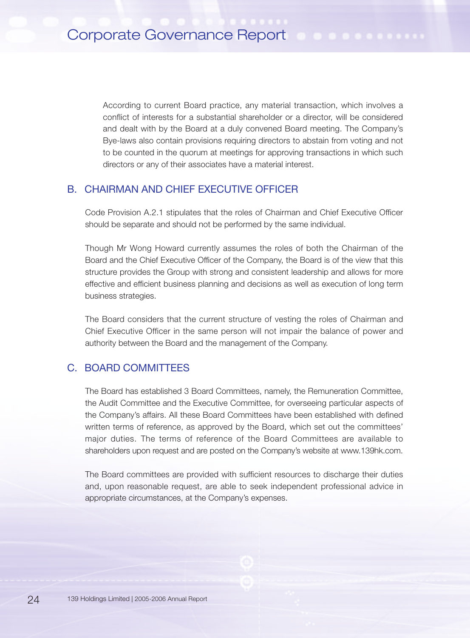According to current Board practice, any material transaction, which involves a conflict of interests for a substantial shareholder or a director, will be considered and dealt with by the Board at a duly convened Board meeting. The Company's Bye-laws also contain provisions requiring directors to abstain from voting and not to be counted in the quorum at meetings for approving transactions in which such directors or any of their associates have a material interest.

## B. CHAIRMAN AND CHIEF EXECUTIVE OFFICER

Code Provision A.2.1 stipulates that the roles of Chairman and Chief Executive Officer should be separate and should not be performed by the same individual.

Though Mr Wong Howard currently assumes the roles of both the Chairman of the Board and the Chief Executive Officer of the Company, the Board is of the view that this structure provides the Group with strong and consistent leadership and allows for more effective and efficient business planning and decisions as well as execution of long term business strategies.

The Board considers that the current structure of vesting the roles of Chairman and Chief Executive Officer in the same person will not impair the balance of power and authority between the Board and the management of the Company.

## C. BOARD COMMITTEES

The Board has established 3 Board Committees, namely, the Remuneration Committee, the Audit Committee and the Executive Committee, for overseeing particular aspects of the Company's affairs. All these Board Committees have been established with defined written terms of reference, as approved by the Board, which set out the committees' major duties. The terms of reference of the Board Committees are available to shareholders upon request and are posted on the Company's website at www.139hk.com.

The Board committees are provided with sufficient resources to discharge their duties and, upon reasonable request, are able to seek independent professional advice in appropriate circumstances, at the Company's expenses.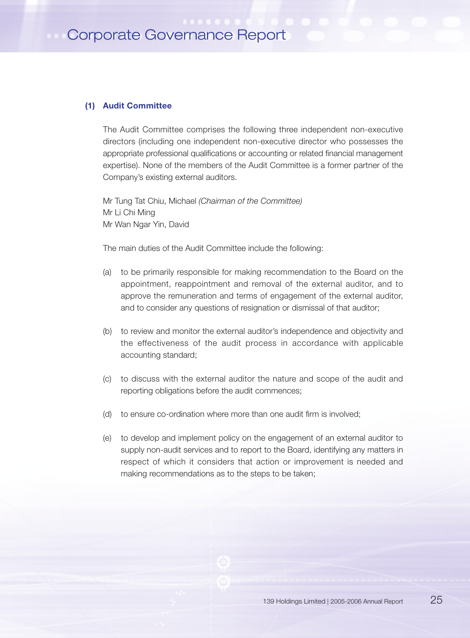#### **(1) Audit Committee**

The Audit Committee comprises the following three independent non-executive directors (including one independent non-executive director who possesses the appropriate professional qualifications or accounting or related financial management expertise). None of the members of the Audit Committee is a former partner of the Company's existing external auditors.

Mr Tung Tat Chiu, Michael *(Chairman of the Committee)* Mr Li Chi Ming Mr Wan Ngar Yin, David

The main duties of the Audit Committee include the following:

- (a) to be primarily responsible for making recommendation to the Board on the appointment, reappointment and removal of the external auditor, and to approve the remuneration and terms of engagement of the external auditor, and to consider any questions of resignation or dismissal of that auditor;
- (b) to review and monitor the external auditor's independence and objectivity and the effectiveness of the audit process in accordance with applicable accounting standard;
- (c) to discuss with the external auditor the nature and scope of the audit and reporting obligations before the audit commences;
- (d) to ensure co-ordination where more than one audit firm is involved;
- (e) to develop and implement policy on the engagement of an external auditor to supply non-audit services and to report to the Board, identifying any matters in respect of which it considers that action or improvement is needed and making recommendations as to the steps to be taken;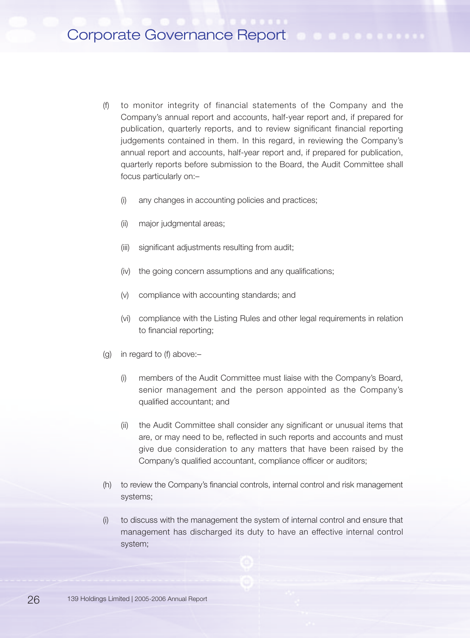- (f) to monitor integrity of financial statements of the Company and the Company's annual report and accounts, half-year report and, if prepared for publication, quarterly reports, and to review significant financial reporting judgements contained in them. In this regard, in reviewing the Company's annual report and accounts, half-year report and, if prepared for publication, quarterly reports before submission to the Board, the Audit Committee shall focus particularly on:–
	- (i) any changes in accounting policies and practices;
	- (ii) major judgmental areas;
	- (iii) significant adjustments resulting from audit;
	- (iv) the going concern assumptions and any qualifications;
	- (v) compliance with accounting standards; and
	- (vi) compliance with the Listing Rules and other legal requirements in relation to financial reporting;
- (g) in regard to (f) above:–
	- (i) members of the Audit Committee must liaise with the Company's Board, senior management and the person appointed as the Company's qualified accountant; and
	- (ii) the Audit Committee shall consider any significant or unusual items that are, or may need to be, reflected in such reports and accounts and must give due consideration to any matters that have been raised by the Company's qualified accountant, compliance officer or auditors;
- (h) to review the Company's financial controls, internal control and risk management systems;
- (i) to discuss with the management the system of internal control and ensure that management has discharged its duty to have an effective internal control system;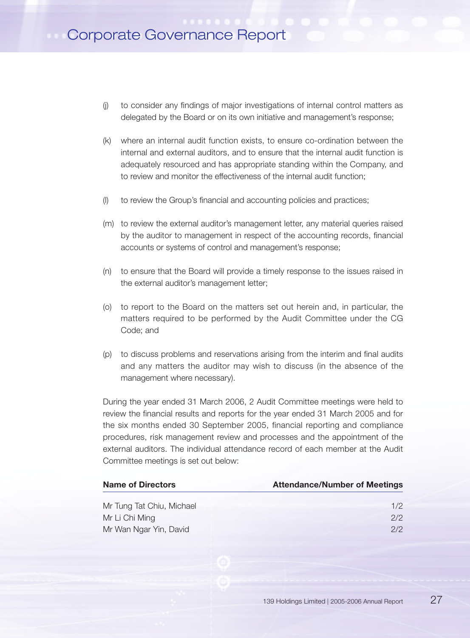- (j) to consider any findings of major investigations of internal control matters as delegated by the Board or on its own initiative and management's response;
- (k) where an internal audit function exists, to ensure co-ordination between the internal and external auditors, and to ensure that the internal audit function is adequately resourced and has appropriate standing within the Company, and to review and monitor the effectiveness of the internal audit function;
- (l) to review the Group's financial and accounting policies and practices;
- (m) to review the external auditor's management letter, any material queries raised by the auditor to management in respect of the accounting records, financial accounts or systems of control and management's response;
- (n) to ensure that the Board will provide a timely response to the issues raised in the external auditor's management letter;
- (o) to report to the Board on the matters set out herein and, in particular, the matters required to be performed by the Audit Committee under the CG Code; and
- (p) to discuss problems and reservations arising from the interim and final audits and any matters the auditor may wish to discuss (in the absence of the management where necessary).

During the year ended 31 March 2006, 2 Audit Committee meetings were held to review the financial results and reports for the year ended 31 March 2005 and for the six months ended 30 September 2005, financial reporting and compliance procedures, risk management review and processes and the appointment of the external auditors. The individual attendance record of each member at the Audit Committee meetings is set out below:

| <b>Attendance/Number of Meetings</b><br><b>Name of Directors</b> |     |
|------------------------------------------------------------------|-----|
| Mr Tung Tat Chiu, Michael                                        | 1/2 |
| Mr Li Chi Ming                                                   | 2/2 |
| Mr Wan Ngar Yin, David                                           | 2/2 |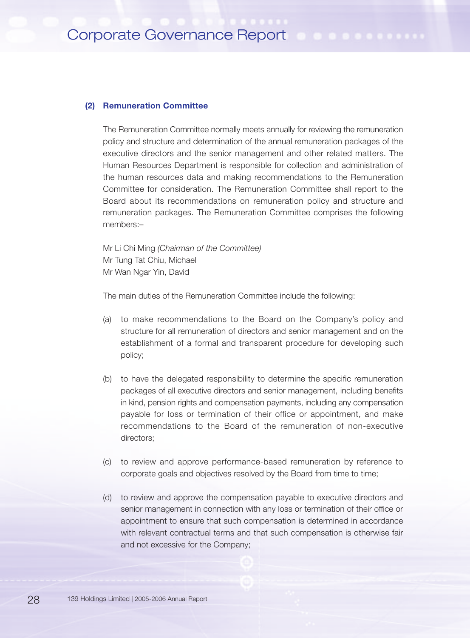#### **(2) Remuneration Committee**

The Remuneration Committee normally meets annually for reviewing the remuneration policy and structure and determination of the annual remuneration packages of the executive directors and the senior management and other related matters. The Human Resources Department is responsible for collection and administration of the human resources data and making recommendations to the Remuneration Committee for consideration. The Remuneration Committee shall report to the Board about its recommendations on remuneration policy and structure and remuneration packages. The Remuneration Committee comprises the following members:–

Mr Li Chi Ming *(Chairman of the Committee)* Mr Tung Tat Chiu, Michael Mr Wan Ngar Yin, David

The main duties of the Remuneration Committee include the following:

- (a) to make recommendations to the Board on the Company's policy and structure for all remuneration of directors and senior management and on the establishment of a formal and transparent procedure for developing such policy;
- (b) to have the delegated responsibility to determine the specific remuneration packages of all executive directors and senior management, including benefits in kind, pension rights and compensation payments, including any compensation payable for loss or termination of their office or appointment, and make recommendations to the Board of the remuneration of non-executive directors;
- (c) to review and approve performance-based remuneration by reference to corporate goals and objectives resolved by the Board from time to time;
- (d) to review and approve the compensation payable to executive directors and senior management in connection with any loss or termination of their office or appointment to ensure that such compensation is determined in accordance with relevant contractual terms and that such compensation is otherwise fair and not excessive for the Company;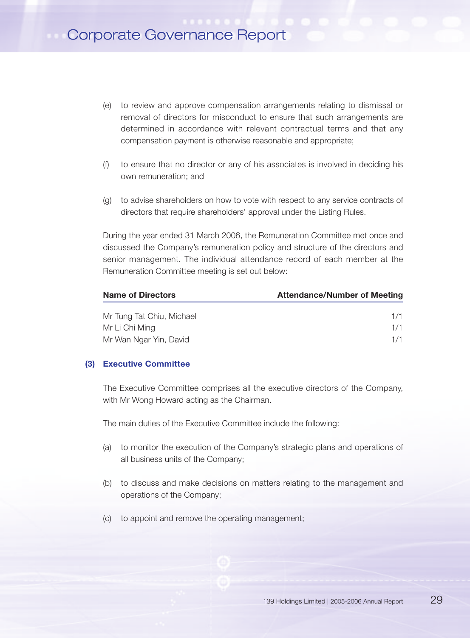- (e) to review and approve compensation arrangements relating to dismissal or removal of directors for misconduct to ensure that such arrangements are determined in accordance with relevant contractual terms and that any compensation payment is otherwise reasonable and appropriate;
- (f) to ensure that no director or any of his associates is involved in deciding his own remuneration; and
- (g) to advise shareholders on how to vote with respect to any service contracts of directors that require shareholders' approval under the Listing Rules.

During the year ended 31 March 2006, the Remuneration Committee met once and discussed the Company's remuneration policy and structure of the directors and senior management. The individual attendance record of each member at the Remuneration Committee meeting is set out below:

| <b>Attendance/Number of Meeting</b><br><b>Name of Directors</b> |     |
|-----------------------------------------------------------------|-----|
| Mr Tung Tat Chiu, Michael                                       | 1/1 |
| Mr Li Chi Ming                                                  | 1/1 |
| Mr Wan Ngar Yin, David                                          | 1/1 |

#### **(3) Executive Committee**

The Executive Committee comprises all the executive directors of the Company, with Mr Wong Howard acting as the Chairman.

The main duties of the Executive Committee include the following:

- (a) to monitor the execution of the Company's strategic plans and operations of all business units of the Company;
- (b) to discuss and make decisions on matters relating to the management and operations of the Company;
- (c) to appoint and remove the operating management;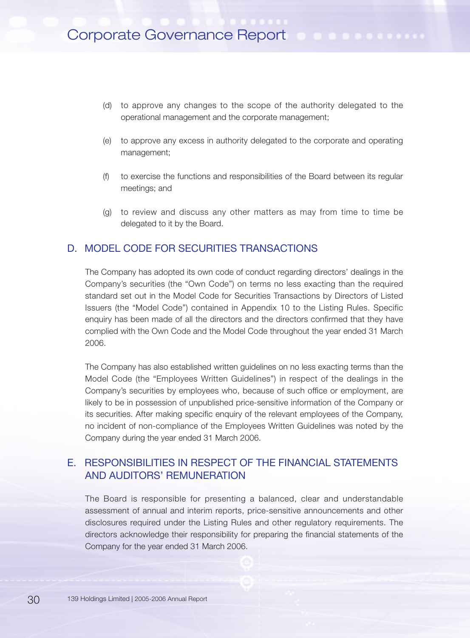- (d) to approve any changes to the scope of the authority delegated to the operational management and the corporate management;
- (e) to approve any excess in authority delegated to the corporate and operating management;
- (f) to exercise the functions and responsibilities of the Board between its regular meetings; and
- (g) to review and discuss any other matters as may from time to time be delegated to it by the Board.

## D. MODEL CODE FOR SECURITIES TRANSACTIONS

The Company has adopted its own code of conduct regarding directors' dealings in the Company's securities (the "Own Code") on terms no less exacting than the required standard set out in the Model Code for Securities Transactions by Directors of Listed Issuers (the "Model Code") contained in Appendix 10 to the Listing Rules. Specific enquiry has been made of all the directors and the directors confirmed that they have complied with the Own Code and the Model Code throughout the year ended 31 March 2006.

The Company has also established written guidelines on no less exacting terms than the Model Code (the "Employees Written Guidelines") in respect of the dealings in the Company's securities by employees who, because of such office or employment, are likely to be in possession of unpublished price-sensitive information of the Company or its securities. After making specific enquiry of the relevant employees of the Company, no incident of non-compliance of the Employees Written Guidelines was noted by the Company during the year ended 31 March 2006.

## E. RESPONSIBILITIES IN RESPECT OF THE FINANCIAL STATEMENTS AND AUDITORS' REMUNERATION

The Board is responsible for presenting a balanced, clear and understandable assessment of annual and interim reports, price-sensitive announcements and other disclosures required under the Listing Rules and other regulatory requirements. The directors acknowledge their responsibility for preparing the financial statements of the Company for the year ended 31 March 2006.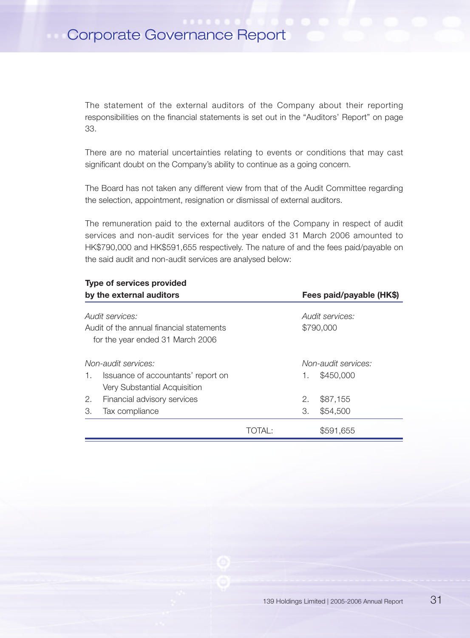The statement of the external auditors of the Company about their reporting responsibilities on the financial statements is set out in the "Auditors' Report" on page 33.

There are no material uncertainties relating to events or conditions that may cast significant doubt on the Company's ability to continue as a going concern.

The Board has not taken any different view from that of the Audit Committee regarding the selection, appointment, resignation or dismissal of external auditors.

The remuneration paid to the external auditors of the Company in respect of audit services and non-audit services for the year ended 31 March 2006 amounted to HK\$790,000 and HK\$591,655 respectively. The nature of and the fees paid/payable on the said audit and non-audit services are analysed below:

| by the external auditors                                    |                                                                    |        | Fees paid/payable (HK\$) |                              |
|-------------------------------------------------------------|--------------------------------------------------------------------|--------|--------------------------|------------------------------|
| Audit services:<br>Audit of the annual financial statements |                                                                    |        |                          | Audit services:<br>\$790,000 |
|                                                             | for the year ended 31 March 2006                                   |        |                          |                              |
|                                                             | Non-audit services:                                                |        |                          | Non-audit services:          |
| 1.                                                          | Issuance of accountants' report on<br>Very Substantial Acquisition |        | 1.                       | \$450,000                    |
| 2.                                                          | Financial advisory services                                        |        | 2.                       | \$87,155                     |
| 3.                                                          | Tax compliance                                                     |        | 3.                       | \$54,500                     |
|                                                             |                                                                    | TOTAL: |                          | \$591,655                    |

## **Type of services provided**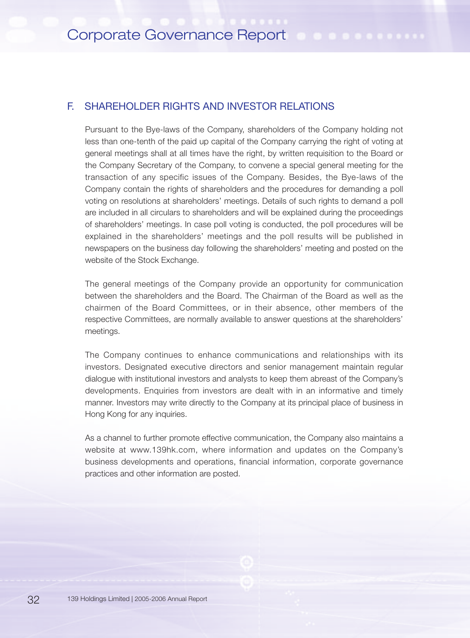## F. SHAREHOLDER RIGHTS AND INVESTOR RELATIONS

Pursuant to the Bye-laws of the Company, shareholders of the Company holding not less than one-tenth of the paid up capital of the Company carrying the right of voting at general meetings shall at all times have the right, by written requisition to the Board or the Company Secretary of the Company, to convene a special general meeting for the transaction of any specific issues of the Company. Besides, the Bye-laws of the Company contain the rights of shareholders and the procedures for demanding a poll voting on resolutions at shareholders' meetings. Details of such rights to demand a poll are included in all circulars to shareholders and will be explained during the proceedings of shareholders' meetings. In case poll voting is conducted, the poll procedures will be explained in the shareholders' meetings and the poll results will be published in newspapers on the business day following the shareholders' meeting and posted on the website of the Stock Exchange.

The general meetings of the Company provide an opportunity for communication between the shareholders and the Board. The Chairman of the Board as well as the chairmen of the Board Committees, or in their absence, other members of the respective Committees, are normally available to answer questions at the shareholders' meetings.

The Company continues to enhance communications and relationships with its investors. Designated executive directors and senior management maintain regular dialogue with institutional investors and analysts to keep them abreast of the Company's developments. Enquiries from investors are dealt with in an informative and timely manner. Investors may write directly to the Company at its principal place of business in Hong Kong for any inquiries.

As a channel to further promote effective communication, the Company also maintains a website at www.139hk.com, where information and updates on the Company's business developments and operations, financial information, corporate governance practices and other information are posted.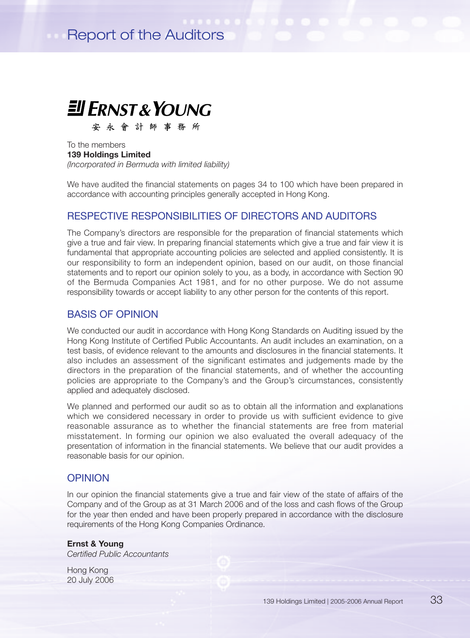

安永會計師事務所

To the members **139 Holdings Limited** *(Incorporated in Bermuda with limited liability)*

We have audited the financial statements on pages 34 to 100 which have been prepared in accordance with accounting principles generally accepted in Hong Kong.

## RESPECTIVE RESPONSIBILITIES OF DIRECTORS AND AUDITORS

The Company's directors are responsible for the preparation of financial statements which give a true and fair view. In preparing financial statements which give a true and fair view it is fundamental that appropriate accounting policies are selected and applied consistently. It is our responsibility to form an independent opinion, based on our audit, on those financial statements and to report our opinion solely to you, as a body, in accordance with Section 90 of the Bermuda Companies Act 1981, and for no other purpose. We do not assume responsibility towards or accept liability to any other person for the contents of this report.

## BASIS OF OPINION

We conducted our audit in accordance with Hong Kong Standards on Auditing issued by the Hong Kong Institute of Certified Public Accountants. An audit includes an examination, on a test basis, of evidence relevant to the amounts and disclosures in the financial statements. It also includes an assessment of the significant estimates and judgements made by the directors in the preparation of the financial statements, and of whether the accounting policies are appropriate to the Company's and the Group's circumstances, consistently applied and adequately disclosed.

We planned and performed our audit so as to obtain all the information and explanations which we considered necessary in order to provide us with sufficient evidence to give reasonable assurance as to whether the financial statements are free from material misstatement. In forming our opinion we also evaluated the overall adequacy of the presentation of information in the financial statements. We believe that our audit provides a reasonable basis for our opinion.

## OPINION

In our opinion the financial statements give a true and fair view of the state of affairs of the Company and of the Group as at 31 March 2006 and of the loss and cash flows of the Group for the year then ended and have been properly prepared in accordance with the disclosure requirements of the Hong Kong Companies Ordinance.

#### **Ernst & Young**

*Certified Public Accountants*

Hong Kong 20 July 2006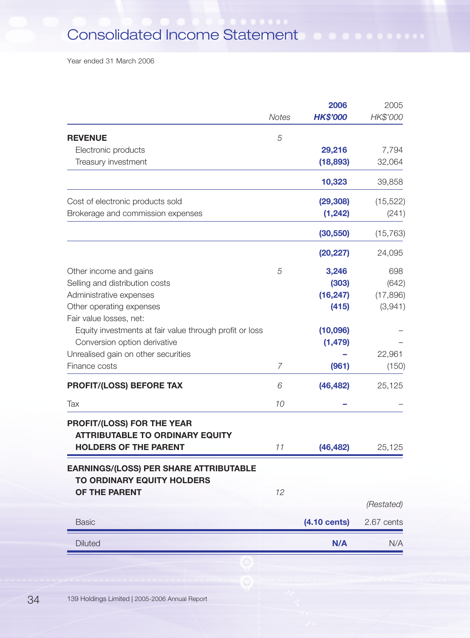# Consolidated Income Statement

Year ended 31 March 2006

|                                                                        |              | 2006                   | 2005            |
|------------------------------------------------------------------------|--------------|------------------------|-----------------|
|                                                                        | <b>Notes</b> | <b>HK\$'000</b>        | HK\$'000        |
| <b>REVENUE</b>                                                         | 5            |                        |                 |
| Electronic products                                                    |              | 29,216                 | 7,794           |
| Treasury investment                                                    |              | (18, 893)              | 32,064          |
|                                                                        |              | 10,323                 | 39,858          |
| Cost of electronic products sold                                       |              | (29, 308)              | (15, 522)       |
| Brokerage and commission expenses                                      |              | (1, 242)               | (241)           |
|                                                                        |              | (30, 550)              | (15, 763)       |
|                                                                        |              | (20, 227)              | 24,095          |
| Other income and gains                                                 | 5            | 3,246                  | 698             |
| Selling and distribution costs                                         |              | (303)                  | (642)           |
| Administrative expenses                                                |              | (16, 247)              | (17,896)        |
| Other operating expenses                                               |              | (415)                  | (3,941)         |
| Fair value losses, net:                                                |              |                        |                 |
| Equity investments at fair value through profit or loss                |              | (10,096)               |                 |
| Conversion option derivative                                           |              | (1, 479)               |                 |
| Unrealised gain on other securities<br>Finance costs                   | 7            | (961)                  | 22,961<br>(150) |
|                                                                        |              |                        |                 |
| <b>PROFIT/(LOSS) BEFORE TAX</b>                                        | 6            | (46, 482)              | 25,125          |
| Tax                                                                    | 10           |                        |                 |
| <b>PROFIT/(LOSS) FOR THE YEAR</b>                                      |              |                        |                 |
| <b>ATTRIBUTABLE TO ORDINARY EQUITY</b><br><b>HOLDERS OF THE PARENT</b> | 11           | (46, 482)              | 25,125          |
| <b>EARNINGS/(LOSS) PER SHARE ATTRIBUTABLE</b>                          |              |                        |                 |
| TO ORDINARY EQUITY HOLDERS                                             |              |                        |                 |
| OF THE PARENT                                                          | 12           |                        |                 |
|                                                                        |              |                        | (Restated)      |
| <b>Basic</b>                                                           |              | $(4.10 \text{ cents})$ | 2.67 cents      |
| <b>Diluted</b>                                                         |              | N/A                    | N/A             |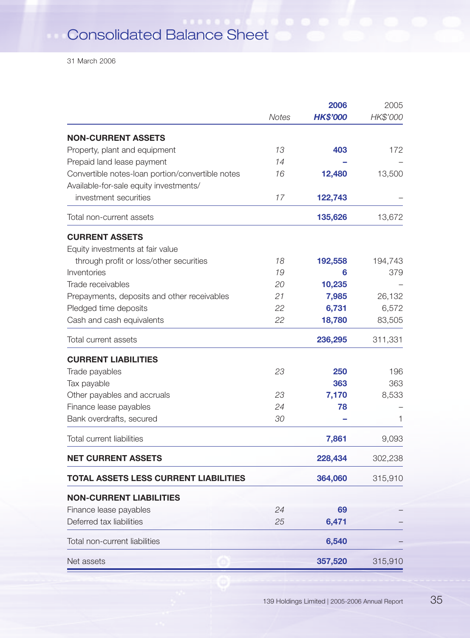Consolidated Balance Sheet

31 March 2006

|                                                  |              | 2006            | 2005     |
|--------------------------------------------------|--------------|-----------------|----------|
|                                                  | <b>Notes</b> | <b>HK\$'000</b> | HK\$'000 |
| <b>NON-CURRENT ASSETS</b>                        |              |                 |          |
| Property, plant and equipment                    | 13           | 403             | 172      |
| Prepaid land lease payment                       | 14           |                 |          |
| Convertible notes-loan portion/convertible notes | 16           | 12,480          | 13,500   |
| Available-for-sale equity investments/           |              |                 |          |
| investment securities                            | 17           | 122,743         |          |
| Total non-current assets                         |              | 135,626         | 13,672   |
| <b>CURRENT ASSETS</b>                            |              |                 |          |
| Equity investments at fair value                 |              |                 |          |
| through profit or loss/other securities          | 18           | 192,558         | 194,743  |
| Inventories                                      | 19           | 6               | 379      |
| Trade receivables                                | 20           | 10,235          |          |
| Prepayments, deposits and other receivables      | 21           | 7,985           | 26,132   |
| Pledged time deposits                            | 22           | 6,731           | 6,572    |
| Cash and cash equivalents                        | 22           | 18,780          | 83,505   |
| Total current assets                             |              | 236,295         | 311,331  |
| <b>CURRENT LIABILITIES</b>                       |              |                 |          |
| Trade payables                                   | 23           | 250             | 196      |
| Tax payable                                      |              | 363             | 363      |
| Other payables and accruals                      | 23           | 7,170           | 8,533    |
| Finance lease payables                           | 24           | 78              |          |
| Bank overdrafts, secured                         | 30           |                 | 1        |
| <b>Total current liabilities</b>                 |              | 7,861           | 9,093    |
| <b>NET CURRENT ASSETS</b>                        |              | 228,434         | 302,238  |
| TOTAL ASSETS LESS CURRENT LIABILITIES            |              | 364,060         | 315,910  |
| <b>NON-CURRENT LIABILITIES</b>                   |              |                 |          |
| Finance lease payables                           | 24           | 69              |          |
| Deferred tax liabilities                         | 25           | 6,471           |          |
| Total non-current liabilities                    |              | 6,540           |          |
| Net assets                                       |              | 357,520         | 315,910  |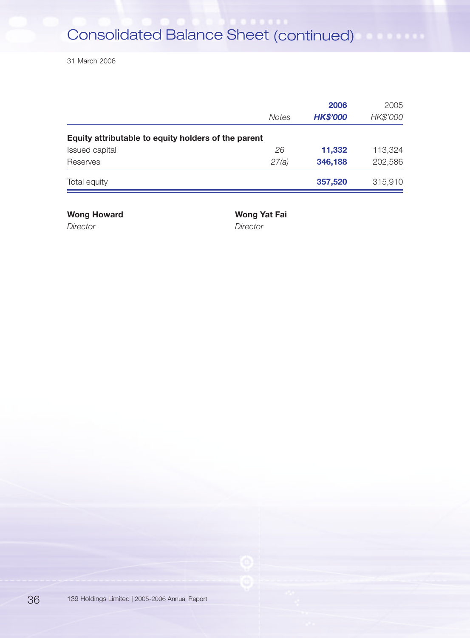Consolidated Balance Sheet (continued)

31 March 2006

|                                                     |              | 2006            | 2005     |
|-----------------------------------------------------|--------------|-----------------|----------|
|                                                     | <b>Notes</b> | <b>HK\$'000</b> | HK\$'000 |
| Equity attributable to equity holders of the parent |              |                 |          |
| <b>Issued capital</b>                               | 26           | 11,332          | 113,324  |
| Reserves                                            | 27(a)        | 346,188         | 202,586  |
| Total equity                                        |              | 357,520         | 315,910  |

Wong Howard **Wong Yat Fai** 

*Director Director*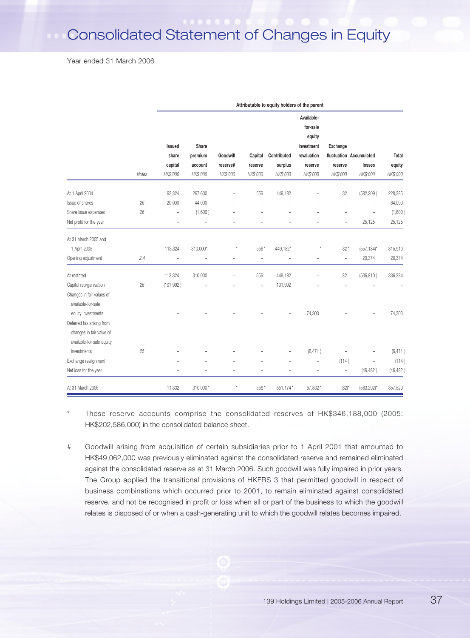# Consolidated Statement of Changes in Equity

Year ended 31 March 2006

|                                                       | Attributable to equity holders of the parent |                                        |                                         |                                  |                                |                                    |                                                                                      |                                 |                                               |                             |
|-------------------------------------------------------|----------------------------------------------|----------------------------------------|-----------------------------------------|----------------------------------|--------------------------------|------------------------------------|--------------------------------------------------------------------------------------|---------------------------------|-----------------------------------------------|-----------------------------|
|                                                       | Notes                                        | Issued<br>share<br>capital<br>HK\$'000 | Share<br>premium<br>account<br>HK\$'000 | Goodwill<br>reserve#<br>HK\$'000 | Capital<br>reserve<br>HK\$'000 | Contributed<br>surplus<br>HK\$'000 | Available-<br>for-sale<br>equity<br>investment<br>revaluation<br>reserve<br>HK\$'000 | Exchange<br>reserve<br>HK\$'000 | fluctuation Accumulated<br>losses<br>HK\$'000 | Total<br>equity<br>HK\$'000 |
| At 1 April 2004                                       |                                              | 93,324                                 | 267,600                                 |                                  | 556                            | 449,182                            |                                                                                      | 32                              | (582, 309)                                    | 228,385                     |
| Issue of shares                                       | 26                                           | 20,000                                 | 44,000                                  |                                  |                                |                                    |                                                                                      | $\overline{\phantom{a}}$        | ÷                                             | 64,000                      |
| Share issue expenses                                  | 26                                           | $\overline{\phantom{a}}$               | (1,600)                                 |                                  |                                |                                    |                                                                                      |                                 | $\qquad \qquad -$                             | (1,600)                     |
| Net profit for the year                               |                                              |                                        | $\overline{\phantom{0}}$                |                                  |                                |                                    |                                                                                      | $\overline{a}$                  | 25,125                                        | 25,125                      |
| At 31 March 2005 and                                  |                                              |                                        |                                         |                                  |                                |                                    |                                                                                      |                                 |                                               |                             |
| 1 April 2005                                          |                                              | 113,324                                | 310,000*                                | -*                               | 556*                           | 449,182*                           | -*                                                                                   | $32*$                           | $(557, 184)^*$                                | 315,910                     |
| Opening adjustment                                    | 2.4                                          | ÷                                      | $\overline{a}$                          | $\overline{\phantom{0}}$         | $\overline{\phantom{0}}$       | $\overline{\phantom{0}}$           | $\overline{\phantom{0}}$                                                             | $\qquad \qquad -$               | 20,374                                        | 20,374                      |
| At restated                                           |                                              | 113,324                                | 310,000                                 |                                  | 556                            | 449,182                            |                                                                                      | 32                              | (536, 810)                                    | 336,284                     |
| Capital reorganisation                                | 26                                           | (101, 992)                             |                                         |                                  |                                | 101,992                            |                                                                                      |                                 |                                               |                             |
| Changes in fair values of<br>available-for-sale       |                                              |                                        |                                         |                                  |                                |                                    |                                                                                      |                                 |                                               |                             |
| equity investments<br>Deferred tax arising from       |                                              |                                        |                                         |                                  |                                |                                    | 74,303                                                                               |                                 |                                               | 74,303                      |
| changes in fair value of<br>available-for-sale equity |                                              |                                        |                                         |                                  |                                |                                    |                                                                                      |                                 |                                               |                             |
| investments                                           | 25                                           |                                        |                                         |                                  |                                |                                    | (6, 471)                                                                             |                                 |                                               | (6,471)                     |
| Exchange realignment                                  |                                              |                                        |                                         |                                  |                                |                                    | $\overline{\phantom{a}}$                                                             | (114)                           | $\overline{\phantom{a}}$                      | (114)                       |
| Net loss for the year                                 |                                              |                                        |                                         |                                  |                                |                                    | ÷,                                                                                   | $\overline{a}$                  | (46, 482)                                     | (46, 482)                   |
| At 31 March 2006                                      |                                              | 11,332                                 | 310,000*                                | $-*$                             | 556*                           | 551,174*                           | 67,832 *                                                                             | $(82)^{*}$                      | $(583, 292)^*$                                | 357,520                     |

These reserve accounts comprise the consolidated reserves of HK\$346,188,000 (2005: HK\$202,586,000) in the consolidated balance sheet.

# Goodwill arising from acquisition of certain subsidiaries prior to 1 April 2001 that amounted to HK\$49,062,000 was previously eliminated against the consolidated reserve and remained eliminated against the consolidated reserve as at 31 March 2006. Such goodwill was fully impaired in prior years. The Group applied the transitional provisions of HKFRS 3 that permitted goodwill in respect of business combinations which occurred prior to 2001, to remain eliminated against consolidated reserve, and not be recognised in profit or loss when all or part of the business to which the goodwill relates is disposed of or when a cash-generating unit to which the goodwill relates becomes impaired.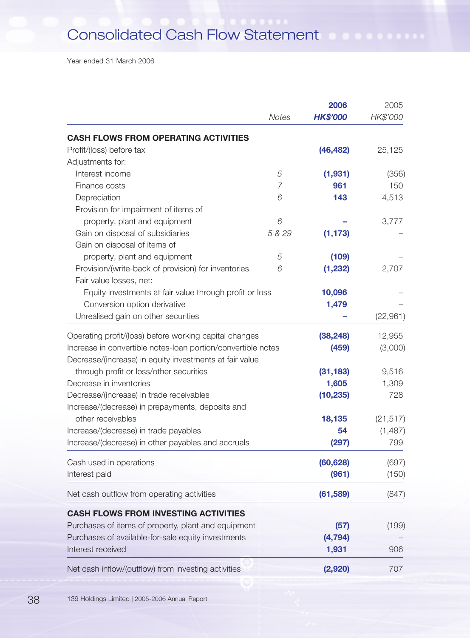# Consolidated Cash Flow Statement

Year ended 31 March 2006

|                                                              |              | 2006            | 2005      |
|--------------------------------------------------------------|--------------|-----------------|-----------|
|                                                              | <b>Notes</b> | <b>HK\$'000</b> | HK\$'000  |
| <b>CASH FLOWS FROM OPERATING ACTIVITIES</b>                  |              |                 |           |
| Profit/(loss) before tax                                     |              | (46, 482)       | 25,125    |
| Adjustments for:                                             |              |                 |           |
| Interest income                                              | 5            | (1,931)         | (356)     |
| Finance costs                                                | 7            | 961             | 150       |
| Depreciation                                                 | 6            | 143             | 4,513     |
| Provision for impairment of items of                         |              |                 |           |
| property, plant and equipment                                | 6            |                 | 3,777     |
| Gain on disposal of subsidiaries                             | 5 & 29       | (1, 173)        |           |
| Gain on disposal of items of                                 |              |                 |           |
| property, plant and equipment                                | 5            | (109)           |           |
| Provision/(write-back of provision) for inventories          | 6            | (1, 232)        | 2,707     |
| Fair value losses, net:                                      |              |                 |           |
| Equity investments at fair value through profit or loss      |              | 10,096          |           |
| Conversion option derivative                                 |              | 1,479           |           |
| Unrealised gain on other securities                          |              |                 | (22, 961) |
| Operating profit/(loss) before working capital changes       |              | (38, 248)       | 12,955    |
| Increase in convertible notes-loan portion/convertible notes |              | (459)           | (3,000)   |
| Decrease/(increase) in equity investments at fair value      |              |                 |           |
| through profit or loss/other securities                      |              | (31, 183)       | 9,516     |
| Decrease in inventories                                      |              | 1,605           | 1,309     |
| Decrease/(increase) in trade receivables                     |              | (10, 235)       | 728       |
| Increase/(decrease) in prepayments, deposits and             |              |                 |           |
| other receivables                                            |              | 18,135          | (21, 517) |
| Increase/(decrease) in trade payables                        |              | 54              | (1, 487)  |
| Increase/(decrease) in other payables and accruals           |              | (297)           | 799       |
| Cash used in operations                                      |              | (60, 628)       | (697)     |
| Interest paid                                                |              | (961)           | (150)     |
|                                                              |              |                 |           |
| Net cash outflow from operating activities                   |              | (61, 589)       | (847)     |
| <b>CASH FLOWS FROM INVESTING ACTIVITIES</b>                  |              |                 |           |
| Purchases of items of property, plant and equipment          |              | (57)            | (199)     |
| Purchases of available-for-sale equity investments           |              | (4, 794)        |           |
| Interest received                                            |              | 1,931           | 906       |
| Net cash inflow/(outflow) from investing activities          |              | (2,920)         | 707       |

38 139 Holdings Limited | 2005-2006 Annual Report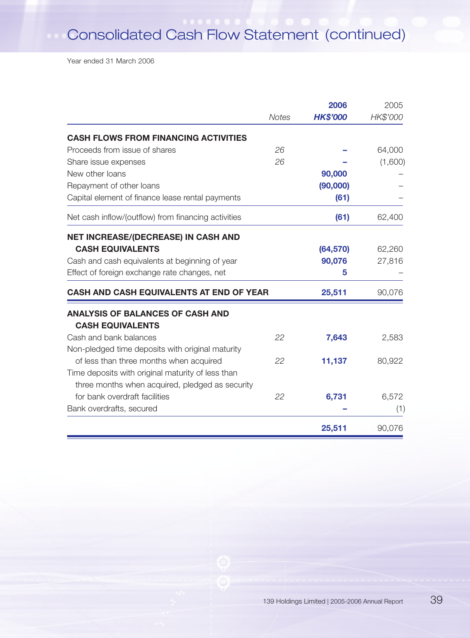# Consolidated Cash Flow Statement (continued)

Year ended 31 March 2006

|                                                     |              | 2006            | 2005     |
|-----------------------------------------------------|--------------|-----------------|----------|
|                                                     | <b>Notes</b> | <b>HK\$'000</b> | HK\$'000 |
| <b>CASH FLOWS FROM FINANCING ACTIVITIES</b>         |              |                 |          |
| Proceeds from issue of shares                       | 26           |                 | 64,000   |
| Share issue expenses                                | 26           |                 | (1,600)  |
| New other loans                                     |              | 90,000          |          |
| Repayment of other loans                            |              | (90,000)        |          |
| Capital element of finance lease rental payments    |              | (61)            |          |
| Net cash inflow/(outflow) from financing activities |              | (61)            | 62,400   |
| <b>NET INCREASE/(DECREASE) IN CASH AND</b>          |              |                 |          |
| <b>CASH EQUIVALENTS</b>                             |              | (64, 570)       | 62,260   |
| Cash and cash equivalents at beginning of year      |              | 90,076          | 27,816   |
| Effect of foreign exchange rate changes, net        |              | 5               |          |
| <b>CASH AND CASH EQUIVALENTS AT END OF YEAR</b>     |              | 25,511          | 90,076   |
| <b>ANALYSIS OF BALANCES OF CASH AND</b>             |              |                 |          |
| <b>CASH EQUIVALENTS</b>                             |              |                 |          |
| Cash and bank balances                              | 22           | 7,643           | 2,583    |
| Non-pledged time deposits with original maturity    |              |                 |          |
| of less than three months when acquired             | 22           | 11,137          | 80,922   |
| Time deposits with original maturity of less than   |              |                 |          |
| three months when acquired, pledged as security     |              |                 |          |
| for bank overdraft facilities                       | 22           | 6,731           | 6,572    |
| Bank overdrafts, secured                            |              |                 | (1)      |
|                                                     |              | 25,511          | 90,076   |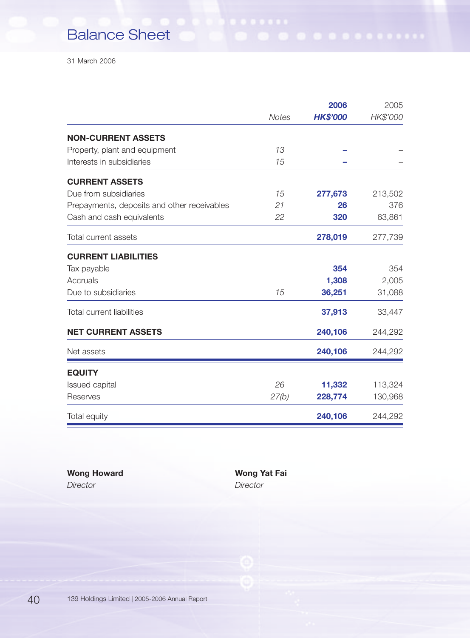Balance Sheet

31 March 2006

|                                             |              | 2006            | 2005     |
|---------------------------------------------|--------------|-----------------|----------|
|                                             | <b>Notes</b> | <b>HK\$'000</b> | HK\$'000 |
| <b>NON-CURRENT ASSETS</b>                   |              |                 |          |
| Property, plant and equipment               | 13           |                 |          |
| Interests in subsidiaries                   | 15           |                 |          |
| <b>CURRENT ASSETS</b>                       |              |                 |          |
| Due from subsidiaries                       | 15           | 277,673         | 213,502  |
| Prepayments, deposits and other receivables | 21           | 26              | 376      |
| Cash and cash equivalents                   | 22           | 320             | 63,861   |
| <b>Total current assets</b>                 |              | 278,019         | 277,739  |
| <b>CURRENT LIABILITIES</b>                  |              |                 |          |
| Tax payable                                 |              | 354             | 354      |
| Accruals                                    |              | 1,308           | 2,005    |
| Due to subsidiaries                         | 15           | 36,251          | 31,088   |
| <b>Total current liabilities</b>            |              | 37,913          | 33,447   |
| <b>NET CURRENT ASSETS</b>                   |              | 240,106         | 244,292  |
| Net assets                                  |              | 240,106         | 244,292  |
| <b>EQUITY</b>                               |              |                 |          |
| <b>Issued capital</b>                       | 26           | 11,332          | 113,324  |
| Reserves                                    | 27(b)        | 228,774         | 130,968  |
| Total equity                                |              | 240,106         | 244,292  |

Wong Howard **Wong Yat Fai** *Director Director*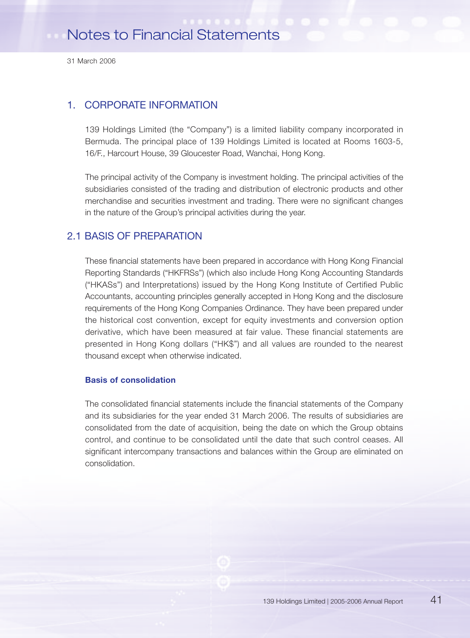### 1. CORPORATE INFORMATION

139 Holdings Limited (the "Company") is a limited liability company incorporated in Bermuda. The principal place of 139 Holdings Limited is located at Rooms 1603-5, 16/F., Harcourt House, 39 Gloucester Road, Wanchai, Hong Kong.

The principal activity of the Company is investment holding. The principal activities of the subsidiaries consisted of the trading and distribution of electronic products and other merchandise and securities investment and trading. There were no significant changes in the nature of the Group's principal activities during the year.

### 2.1 BASIS OF PREPARATION

These financial statements have been prepared in accordance with Hong Kong Financial Reporting Standards ("HKFRSs") (which also include Hong Kong Accounting Standards ("HKASs") and Interpretations) issued by the Hong Kong Institute of Certified Public Accountants, accounting principles generally accepted in Hong Kong and the disclosure requirements of the Hong Kong Companies Ordinance. They have been prepared under the historical cost convention, except for equity investments and conversion option derivative, which have been measured at fair value. These financial statements are presented in Hong Kong dollars ("HK\$") and all values are rounded to the nearest thousand except when otherwise indicated.

#### **Basis of consolidation**

The consolidated financial statements include the financial statements of the Company and its subsidiaries for the year ended 31 March 2006. The results of subsidiaries are consolidated from the date of acquisition, being the date on which the Group obtains control, and continue to be consolidated until the date that such control ceases. All significant intercompany transactions and balances within the Group are eliminated on consolidation.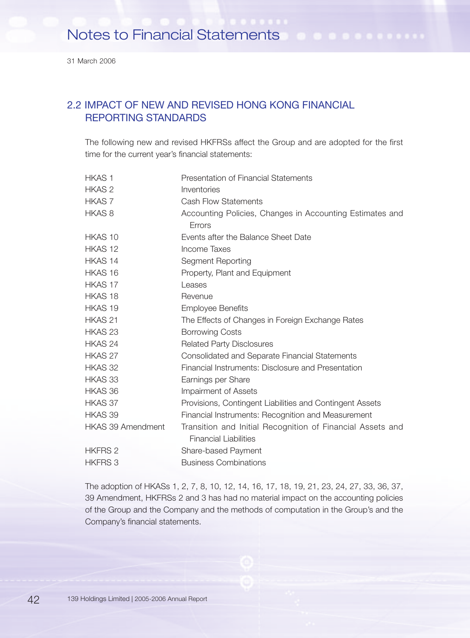# 2.2 IMPACT OF NEW AND REVISED HONG KONG FINANCIAL REPORTING STANDARDS

The following new and revised HKFRSs affect the Group and are adopted for the first time for the current year's financial statements:

| <b>Presentation of Financial Statements</b>                |
|------------------------------------------------------------|
| Inventories                                                |
| <b>Cash Flow Statements</b>                                |
| Accounting Policies, Changes in Accounting Estimates and   |
| Errors                                                     |
| Events after the Balance Sheet Date                        |
| <b>Income Taxes</b>                                        |
| Segment Reporting                                          |
| Property, Plant and Equipment                              |
| Leases                                                     |
| Revenue                                                    |
| <b>Employee Benefits</b>                                   |
| The Effects of Changes in Foreign Exchange Rates           |
| <b>Borrowing Costs</b>                                     |
| <b>Related Party Disclosures</b>                           |
| <b>Consolidated and Separate Financial Statements</b>      |
| Financial Instruments: Disclosure and Presentation         |
| Earnings per Share                                         |
| Impairment of Assets                                       |
| Provisions, Contingent Liabilities and Contingent Assets   |
| Financial Instruments: Recognition and Measurement         |
| Transition and Initial Recognition of Financial Assets and |
| <b>Financial Liabilities</b>                               |
| Share-based Payment                                        |
| <b>Business Combinations</b>                               |
|                                                            |

The adoption of HKASs 1, 2, 7, 8, 10, 12, 14, 16, 17, 18, 19, 21, 23, 24, 27, 33, 36, 37, 39 Amendment, HKFRSs 2 and 3 has had no material impact on the accounting policies of the Group and the Company and the methods of computation in the Group's and the Company's financial statements.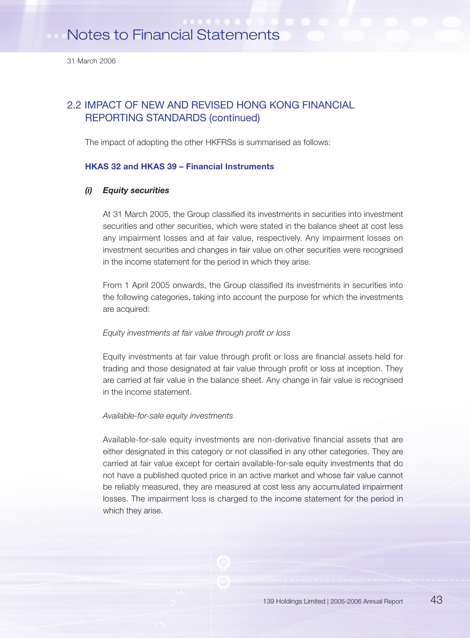# 2.2 IMPACT OF NEW AND REVISED HONG KONG FINANCIAL REPORTING STANDARDS (continued)

The impact of adopting the other HKFRSs is summarised as follows:

#### **HKAS 32 and HKAS 39 – Financial Instruments**

#### *(i) Equity securities*

At 31 March 2005, the Group classified its investments in securities into investment securities and other securities, which were stated in the balance sheet at cost less any impairment losses and at fair value, respectively. Any impairment losses on investment securities and changes in fair value on other securities were recognised in the income statement for the period in which they arise.

From 1 April 2005 onwards, the Group classified its investments in securities into the following categories, taking into account the purpose for which the investments are acquired:

#### *Equity investments at fair value through profit or loss*

Equity investments at fair value through profit or loss are financial assets held for trading and those designated at fair value through profit or loss at inception. They are carried at fair value in the balance sheet. Any change in fair value is recognised in the income statement.

#### *Available-for-sale equity investments*

Available-for-sale equity investments are non-derivative financial assets that are either designated in this category or not classified in any other categories. They are carried at fair value except for certain available-for-sale equity investments that do not have a published quoted price in an active market and whose fair value cannot be reliably measured, they are measured at cost less any accumulated impairment losses. The impairment loss is charged to the income statement for the period in which they arise.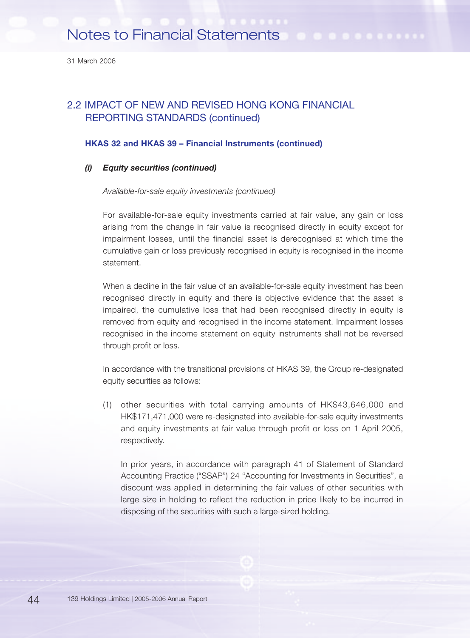# 2.2 IMPACT OF NEW AND REVISED HONG KONG FINANCIAL REPORTING STANDARDS (continued)

#### **HKAS 32 and HKAS 39 – Financial Instruments (continued)**

#### *(i) Equity securities (continued)*

#### *Available-for-sale equity investments (continued)*

For available-for-sale equity investments carried at fair value, any gain or loss arising from the change in fair value is recognised directly in equity except for impairment losses, until the financial asset is derecognised at which time the cumulative gain or loss previously recognised in equity is recognised in the income statement.

When a decline in the fair value of an available-for-sale equity investment has been recognised directly in equity and there is objective evidence that the asset is impaired, the cumulative loss that had been recognised directly in equity is removed from equity and recognised in the income statement. Impairment losses recognised in the income statement on equity instruments shall not be reversed through profit or loss.

In accordance with the transitional provisions of HKAS 39, the Group re-designated equity securities as follows:

(1) other securities with total carrying amounts of HK\$43,646,000 and HK\$171,471,000 were re-designated into available-for-sale equity investments and equity investments at fair value through profit or loss on 1 April 2005, respectively.

In prior years, in accordance with paragraph 41 of Statement of Standard Accounting Practice ("SSAP") 24 "Accounting for Investments in Securities", a discount was applied in determining the fair values of other securities with large size in holding to reflect the reduction in price likely to be incurred in disposing of the securities with such a large-sized holding.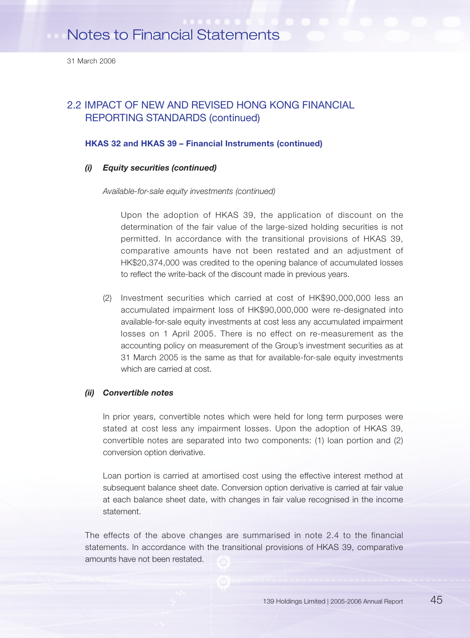# 2.2 IMPACT OF NEW AND REVISED HONG KONG FINANCIAL REPORTING STANDARDS (continued)

#### **HKAS 32 and HKAS 39 – Financial Instruments (continued)**

#### *(i) Equity securities (continued)*

#### *Available-for-sale equity investments (continued)*

Upon the adoption of HKAS 39, the application of discount on the determination of the fair value of the large-sized holding securities is not permitted. In accordance with the transitional provisions of HKAS 39, comparative amounts have not been restated and an adjustment of HK\$20,374,000 was credited to the opening balance of accumulated losses to reflect the write-back of the discount made in previous years.

(2) Investment securities which carried at cost of HK\$90,000,000 less an accumulated impairment loss of HK\$90,000,000 were re-designated into available-for-sale equity investments at cost less any accumulated impairment losses on 1 April 2005. There is no effect on re-measurement as the accounting policy on measurement of the Group's investment securities as at 31 March 2005 is the same as that for available-for-sale equity investments which are carried at cost.

#### *(ii) Convertible notes*

In prior years, convertible notes which were held for long term purposes were stated at cost less any impairment losses. Upon the adoption of HKAS 39, convertible notes are separated into two components: (1) loan portion and (2) conversion option derivative.

Loan portion is carried at amortised cost using the effective interest method at subsequent balance sheet date. Conversion option derivative is carried at fair value at each balance sheet date, with changes in fair value recognised in the income statement.

The effects of the above changes are summarised in note 2.4 to the financial statements. In accordance with the transitional provisions of HKAS 39, comparative amounts have not been restated.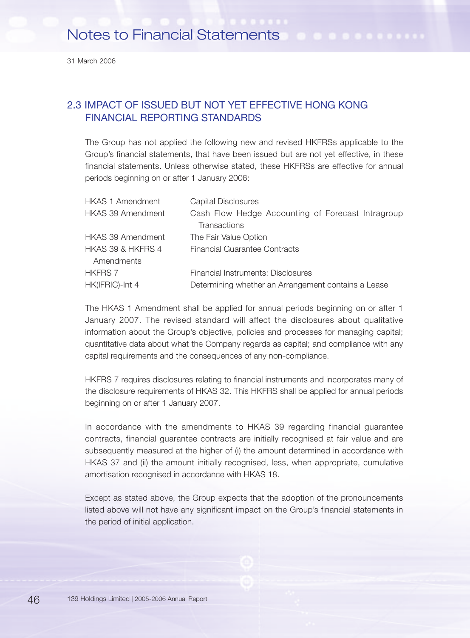# 2.3 IMPACT OF ISSUED BUT NOT YET EFFECTIVE HONG KONG FINANCIAL REPORTING STANDARDS

The Group has not applied the following new and revised HKFRSs applicable to the Group's financial statements, that have been issued but are not yet effective, in these financial statements. Unless otherwise stated, these HKFRSs are effective for annual periods beginning on or after 1 January 2006:

| <b>HKAS 1 Amendment</b>  | Capital Disclosures                                 |
|--------------------------|-----------------------------------------------------|
| <b>HKAS 39 Amendment</b> | Cash Flow Hedge Accounting of Forecast Intragroup   |
|                          | Transactions                                        |
| <b>HKAS 39 Amendment</b> | The Fair Value Option                               |
| HKAS 39 & HKFRS 4        | <b>Financial Guarantee Contracts</b>                |
| Amendments               |                                                     |
| <b>HKFRS 7</b>           | Financial Instruments: Disclosures                  |
| HK(IFRIC)-Int 4          | Determining whether an Arrangement contains a Lease |

The HKAS 1 Amendment shall be applied for annual periods beginning on or after 1 January 2007. The revised standard will affect the disclosures about qualitative information about the Group's objective, policies and processes for managing capital; quantitative data about what the Company regards as capital; and compliance with any capital requirements and the consequences of any non-compliance.

HKFRS 7 requires disclosures relating to financial instruments and incorporates many of the disclosure requirements of HKAS 32. This HKFRS shall be applied for annual periods beginning on or after 1 January 2007.

In accordance with the amendments to HKAS 39 regarding financial guarantee contracts, financial guarantee contracts are initially recognised at fair value and are subsequently measured at the higher of (i) the amount determined in accordance with HKAS 37 and (ii) the amount initially recognised, less, when appropriate, cumulative amortisation recognised in accordance with HKAS 18.

Except as stated above, the Group expects that the adoption of the pronouncements listed above will not have any significant impact on the Group's financial statements in the period of initial application.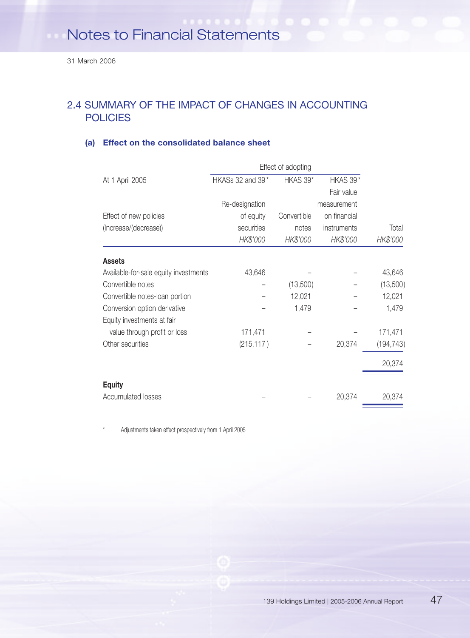# 2.4 SUMMARY OF THE IMPACT OF CHANGES IN ACCOUNTING **POLICIES**

#### **(a) Effect on the consolidated balance sheet**

|                                       | Effect of adopting           |             |              |            |
|---------------------------------------|------------------------------|-------------|--------------|------------|
| At 1 April 2005                       | HKASs 32 and 39 <sup>*</sup> | HKAS 39*    | HKAS 39*     |            |
|                                       |                              |             | Fair value   |            |
|                                       | Re-designation               |             | measurement  |            |
| Effect of new policies                | of equity                    | Convertible | on financial |            |
| (Increase/(decrease))                 | securities                   | notes       | instruments  | Total      |
|                                       | HK\$'000                     | HK\$'000    | HK\$'000     | HK\$'000   |
| <b>Assets</b>                         |                              |             |              |            |
| Available-for-sale equity investments | 43,646                       |             |              | 43,646     |
| Convertible notes                     |                              | (13,500)    |              | (13,500)   |
| Convertible notes-loan portion        |                              | 12,021      |              | 12,021     |
| Conversion option derivative          |                              | 1,479       |              | 1,479      |
| Equity investments at fair            |                              |             |              |            |
| value through profit or loss          | 171,471                      |             |              | 171,471    |
| Other securities                      | (215, 117)                   |             | 20,374       | (194, 743) |
|                                       |                              |             |              | 20,374     |
| <b>Equity</b>                         |                              |             |              |            |
| <b>Accumulated losses</b>             |                              |             | 20,374       | 20,374     |

Adjustments taken effect prospectively from 1 April 2005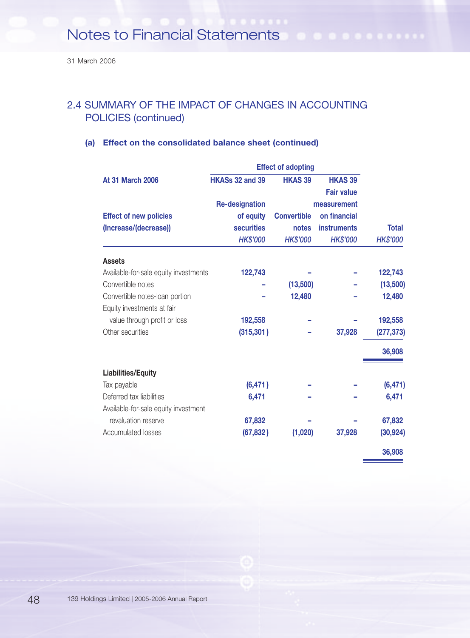# 2.4 SUMMARY OF THE IMPACT OF CHANGES IN ACCOUNTING POLICIES (continued)

#### **(a) Effect on the consolidated balance sheet (continued)**

|                                       | <b>Effect of adopting</b> |                    |                    |                 |
|---------------------------------------|---------------------------|--------------------|--------------------|-----------------|
| <b>At 31 March 2006</b>               | HKASs 32 and 39           | <b>HKAS 39</b>     | <b>HKAS 39</b>     |                 |
|                                       |                           |                    | <b>Fair value</b>  |                 |
|                                       | <b>Re-designation</b>     |                    | measurement        |                 |
| <b>Effect of new policies</b>         | of equity                 | <b>Convertible</b> | on financial       |                 |
| (Increase/(decrease))                 | <b>securities</b>         | notes              | <b>instruments</b> | <b>Total</b>    |
|                                       | <b>HK\$'000</b>           | <b>HK\$'000</b>    | <b>HK\$'000</b>    | <b>HK\$'000</b> |
| <b>Assets</b>                         |                           |                    |                    |                 |
| Available-for-sale equity investments | 122,743                   |                    |                    | 122,743         |
| Convertible notes                     |                           | (13,500)           |                    | (13,500)        |
| Convertible notes-loan portion        |                           | 12,480             |                    | 12,480          |
| Equity investments at fair            |                           |                    |                    |                 |
| value through profit or loss          | 192,558                   |                    |                    | 192,558         |
| Other securities                      | (315, 301)                |                    | 37,928             | (277, 373)      |
|                                       |                           |                    |                    | 36,908          |
| <b>Liabilities/Equity</b>             |                           |                    |                    |                 |
| Tax payable                           | (6, 471)                  |                    |                    | (6, 471)        |
| Deferred tax liabilities              | 6,471                     |                    |                    | 6,471           |
| Available-for-sale equity investment  |                           |                    |                    |                 |
| revaluation reserve                   | 67,832                    |                    |                    | 67,832          |
| <b>Accumulated losses</b>             | (67, 832)                 | (1,020)            | 37,928             | (30, 924)       |
|                                       |                           |                    |                    | 36,908          |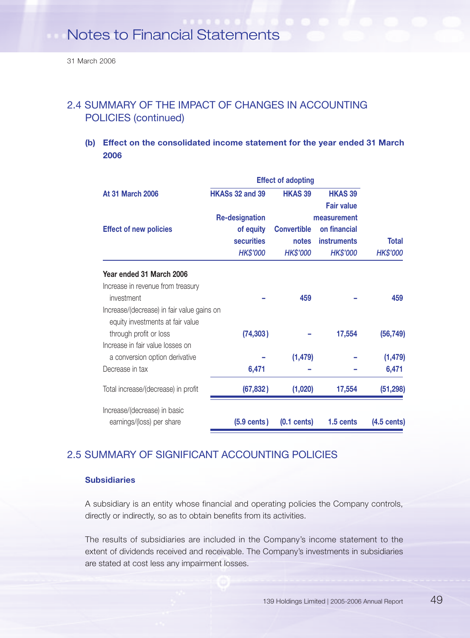# 2.4 SUMMARY OF THE IMPACT OF CHANGES IN ACCOUNTING POLICIES (continued)

**(b) Effect on the consolidated income statement for the year ended 31 March 2006**

|                                            | <b>Effect of adopting</b> |                       |                    |                       |
|--------------------------------------------|---------------------------|-----------------------|--------------------|-----------------------|
| <b>At 31 March 2006</b>                    | HKASs 32 and 39           | <b>HKAS 39</b>        | <b>HKAS 39</b>     |                       |
|                                            |                           |                       | <b>Fair value</b>  |                       |
|                                            | <b>Re-designation</b>     |                       | measurement        |                       |
| <b>Effect of new policies</b>              | of equity                 | <b>Convertible</b>    | on financial       |                       |
|                                            | <b>securities</b>         | notes                 | <b>instruments</b> | <b>Total</b>          |
|                                            | <b>HK\$'000</b>           | <b>HK\$'000</b>       | HK\$'000           | <b>HK\$'000</b>       |
| Year ended 31 March 2006                   |                           |                       |                    |                       |
| Increase in revenue from treasury          |                           |                       |                    |                       |
| investment                                 |                           | 459                   |                    | 459                   |
| Increase/(decrease) in fair value gains on |                           |                       |                    |                       |
| equity investments at fair value           |                           |                       |                    |                       |
| through profit or loss                     | (74, 303)                 |                       | 17,554             | (56, 749)             |
| Increase in fair value losses on           |                           |                       |                    |                       |
| a conversion option derivative             |                           | (1, 479)              |                    | (1, 479)              |
| Decrease in tax                            | 6,471                     |                       |                    | 6,471                 |
| Total increase/(decrease) in profit        | (67, 832)                 | (1,020)               | 17,554             | (51, 298)             |
| Increase/(decrease) in basic               |                           |                       |                    |                       |
| earnings/(loss) per share                  | $(5.9 \text{ cents})$     | $(0.1 \text{ cents})$ | 1.5 cents          | $(4.5 \text{ cents})$ |

# 2.5 SUMMARY OF SIGNIFICANT ACCOUNTING POLICIES

### **Subsidiaries**

A subsidiary is an entity whose financial and operating policies the Company controls, directly or indirectly, so as to obtain benefits from its activities.

The results of subsidiaries are included in the Company's income statement to the extent of dividends received and receivable. The Company's investments in subsidiaries are stated at cost less any impairment losses.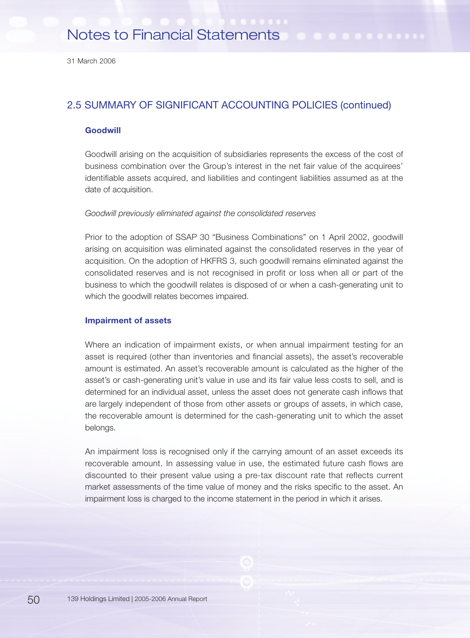# 2.5 SUMMARY OF SIGNIFICANT ACCOUNTING POLICIES (continued)

#### **Goodwill**

Goodwill arising on the acquisition of subsidiaries represents the excess of the cost of business combination over the Group's interest in the net fair value of the acquirees' identifiable assets acquired, and liabilities and contingent liabilities assumed as at the date of acquisition.

#### *Goodwill previously eliminated against the consolidated reserves*

Prior to the adoption of SSAP 30 "Business Combinations" on 1 April 2002, goodwill arising on acquisition was eliminated against the consolidated reserves in the year of acquisition. On the adoption of HKFRS 3, such goodwill remains eliminated against the consolidated reserves and is not recognised in profit or loss when all or part of the business to which the goodwill relates is disposed of or when a cash-generating unit to which the goodwill relates becomes impaired.

#### **Impairment of assets**

Where an indication of impairment exists, or when annual impairment testing for an asset is required (other than inventories and financial assets), the asset's recoverable amount is estimated. An asset's recoverable amount is calculated as the higher of the asset's or cash-generating unit's value in use and its fair value less costs to sell, and is determined for an individual asset, unless the asset does not generate cash inflows that are largely independent of those from other assets or groups of assets, in which case, the recoverable amount is determined for the cash-generating unit to which the asset belongs.

An impairment loss is recognised only if the carrying amount of an asset exceeds its recoverable amount. In assessing value in use, the estimated future cash flows are discounted to their present value using a pre-tax discount rate that reflects current market assessments of the time value of money and the risks specific to the asset. An impairment loss is charged to the income statement in the period in which it arises.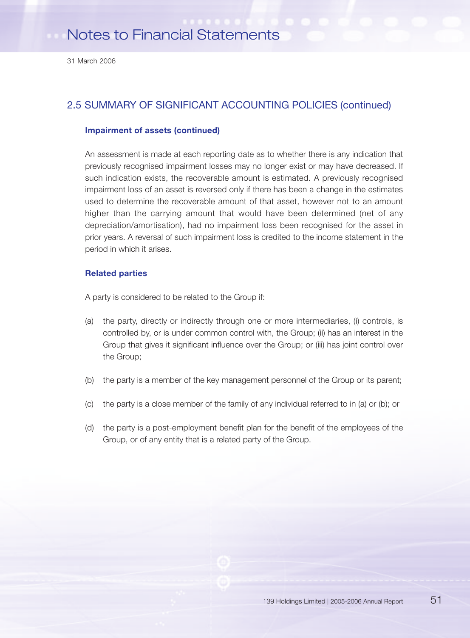#### **Impairment of assets (continued)**

An assessment is made at each reporting date as to whether there is any indication that previously recognised impairment losses may no longer exist or may have decreased. If such indication exists, the recoverable amount is estimated. A previously recognised impairment loss of an asset is reversed only if there has been a change in the estimates used to determine the recoverable amount of that asset, however not to an amount higher than the carrying amount that would have been determined (net of any depreciation/amortisation), had no impairment loss been recognised for the asset in prior years. A reversal of such impairment loss is credited to the income statement in the period in which it arises.

#### **Related parties**

A party is considered to be related to the Group if:

- (a) the party, directly or indirectly through one or more intermediaries, (i) controls, is controlled by, or is under common control with, the Group; (ii) has an interest in the Group that gives it significant influence over the Group; or (iii) has joint control over the Group;
- (b) the party is a member of the key management personnel of the Group or its parent;
- (c) the party is a close member of the family of any individual referred to in (a) or (b); or
- (d) the party is a post-employment benefit plan for the benefit of the employees of the Group, or of any entity that is a related party of the Group.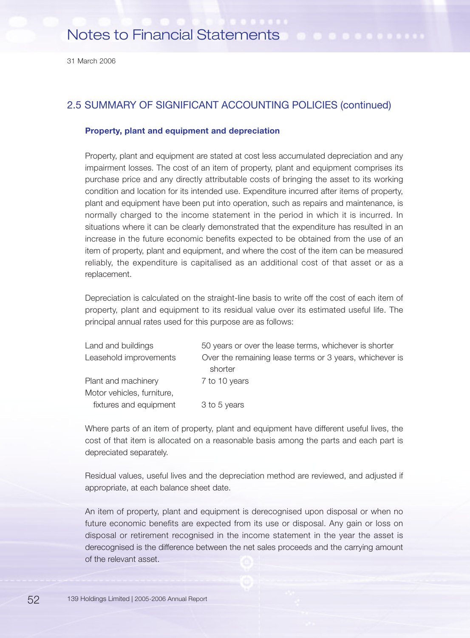#### **Property, plant and equipment and depreciation**

Property, plant and equipment are stated at cost less accumulated depreciation and any impairment losses. The cost of an item of property, plant and equipment comprises its purchase price and any directly attributable costs of bringing the asset to its working condition and location for its intended use. Expenditure incurred after items of property, plant and equipment have been put into operation, such as repairs and maintenance, is normally charged to the income statement in the period in which it is incurred. In situations where it can be clearly demonstrated that the expenditure has resulted in an increase in the future economic benefits expected to be obtained from the use of an item of property, plant and equipment, and where the cost of the item can be measured reliably, the expenditure is capitalised as an additional cost of that asset or as a replacement.

Depreciation is calculated on the straight-line basis to write off the cost of each item of property, plant and equipment to its residual value over its estimated useful life. The principal annual rates used for this purpose are as follows:

| Land and buildings         | 50 years or over the lease terms, whichever is shorter  |
|----------------------------|---------------------------------------------------------|
| Leasehold improvements     | Over the remaining lease terms or 3 years, whichever is |
|                            | shorter                                                 |
| Plant and machinery        | 7 to 10 years                                           |
| Motor vehicles, furniture, |                                                         |
| fixtures and equipment     | 3 to 5 years                                            |

Where parts of an item of property, plant and equipment have different useful lives, the cost of that item is allocated on a reasonable basis among the parts and each part is depreciated separately.

Residual values, useful lives and the depreciation method are reviewed, and adjusted if appropriate, at each balance sheet date.

An item of property, plant and equipment is derecognised upon disposal or when no future economic benefits are expected from its use or disposal. Any gain or loss on disposal or retirement recognised in the income statement in the year the asset is derecognised is the difference between the net sales proceeds and the carrying amount of the relevant asset.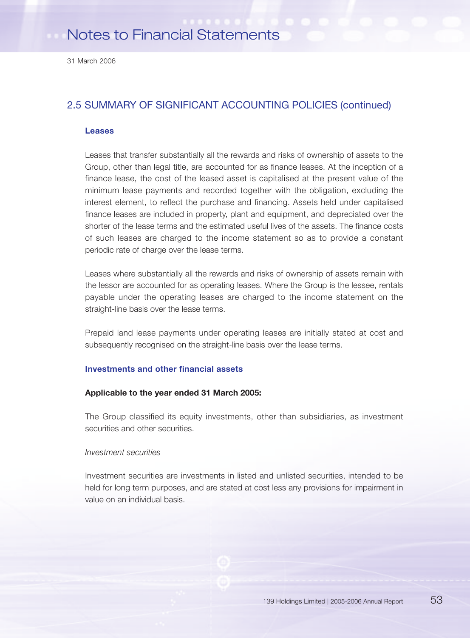## 2.5 SUMMARY OF SIGNIFICANT ACCOUNTING POLICIES (continued)

#### **Leases**

Leases that transfer substantially all the rewards and risks of ownership of assets to the Group, other than legal title, are accounted for as finance leases. At the inception of a finance lease, the cost of the leased asset is capitalised at the present value of the minimum lease payments and recorded together with the obligation, excluding the interest element, to reflect the purchase and financing. Assets held under capitalised finance leases are included in property, plant and equipment, and depreciated over the shorter of the lease terms and the estimated useful lives of the assets. The finance costs of such leases are charged to the income statement so as to provide a constant periodic rate of charge over the lease terms.

Leases where substantially all the rewards and risks of ownership of assets remain with the lessor are accounted for as operating leases. Where the Group is the lessee, rentals payable under the operating leases are charged to the income statement on the straight-line basis over the lease terms.

Prepaid land lease payments under operating leases are initially stated at cost and subsequently recognised on the straight-line basis over the lease terms.

#### **Investments and other financial assets**

#### **Applicable to the year ended 31 March 2005:**

The Group classified its equity investments, other than subsidiaries, as investment securities and other securities.

#### *Investment securities*

Investment securities are investments in listed and unlisted securities, intended to be held for long term purposes, and are stated at cost less any provisions for impairment in value on an individual basis.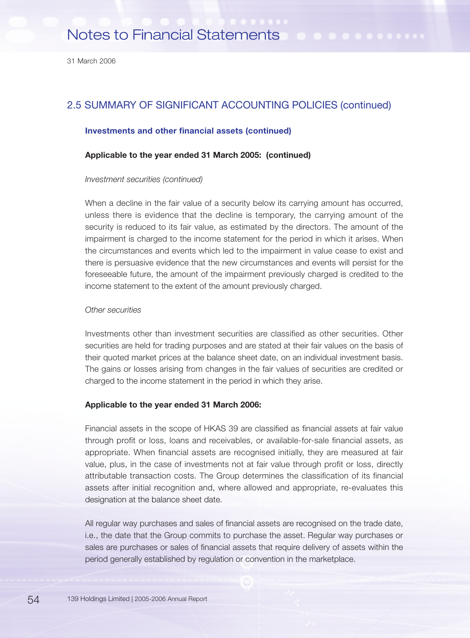#### **Investments and other financial assets (continued)**

#### **Applicable to the year ended 31 March 2005: (continued)**

#### *Investment securities (continued)*

When a decline in the fair value of a security below its carrying amount has occurred, unless there is evidence that the decline is temporary, the carrying amount of the security is reduced to its fair value, as estimated by the directors. The amount of the impairment is charged to the income statement for the period in which it arises. When the circumstances and events which led to the impairment in value cease to exist and there is persuasive evidence that the new circumstances and events will persist for the foreseeable future, the amount of the impairment previously charged is credited to the income statement to the extent of the amount previously charged.

#### *Other securities*

Investments other than investment securities are classified as other securities. Other securities are held for trading purposes and are stated at their fair values on the basis of their quoted market prices at the balance sheet date, on an individual investment basis. The gains or losses arising from changes in the fair values of securities are credited or charged to the income statement in the period in which they arise.

#### **Applicable to the year ended 31 March 2006:**

Financial assets in the scope of HKAS 39 are classified as financial assets at fair value through profit or loss, loans and receivables, or available-for-sale financial assets, as appropriate. When financial assets are recognised initially, they are measured at fair value, plus, in the case of investments not at fair value through profit or loss, directly attributable transaction costs. The Group determines the classification of its financial assets after initial recognition and, where allowed and appropriate, re-evaluates this designation at the balance sheet date.

All regular way purchases and sales of financial assets are recognised on the trade date, i.e., the date that the Group commits to purchase the asset. Regular way purchases or sales are purchases or sales of financial assets that require delivery of assets within the period generally established by regulation or convention in the marketplace.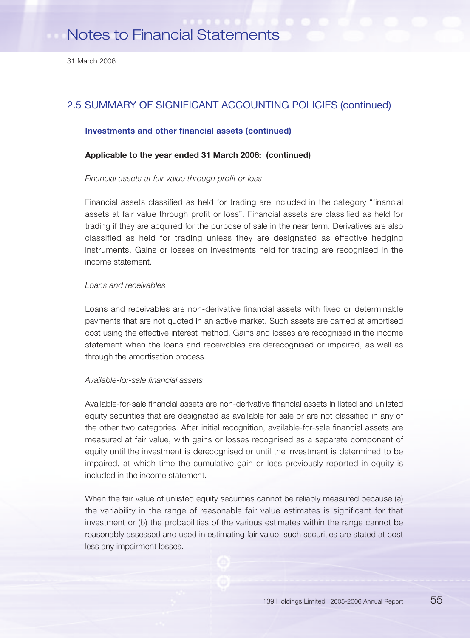#### **Investments and other financial assets (continued)**

#### **Applicable to the year ended 31 March 2006: (continued)**

#### *Financial assets at fair value through profit or loss*

Financial assets classified as held for trading are included in the category "financial assets at fair value through profit or loss". Financial assets are classified as held for trading if they are acquired for the purpose of sale in the near term. Derivatives are also classified as held for trading unless they are designated as effective hedging instruments. Gains or losses on investments held for trading are recognised in the income statement.

#### *Loans and receivables*

Loans and receivables are non-derivative financial assets with fixed or determinable payments that are not quoted in an active market. Such assets are carried at amortised cost using the effective interest method. Gains and losses are recognised in the income statement when the loans and receivables are derecognised or impaired, as well as through the amortisation process.

#### *Available-for-sale financial assets*

Available-for-sale financial assets are non-derivative financial assets in listed and unlisted equity securities that are designated as available for sale or are not classified in any of the other two categories. After initial recognition, available-for-sale financial assets are measured at fair value, with gains or losses recognised as a separate component of equity until the investment is derecognised or until the investment is determined to be impaired, at which time the cumulative gain or loss previously reported in equity is included in the income statement.

When the fair value of unlisted equity securities cannot be reliably measured because (a) the variability in the range of reasonable fair value estimates is significant for that investment or (b) the probabilities of the various estimates within the range cannot be reasonably assessed and used in estimating fair value, such securities are stated at cost less any impairment losses.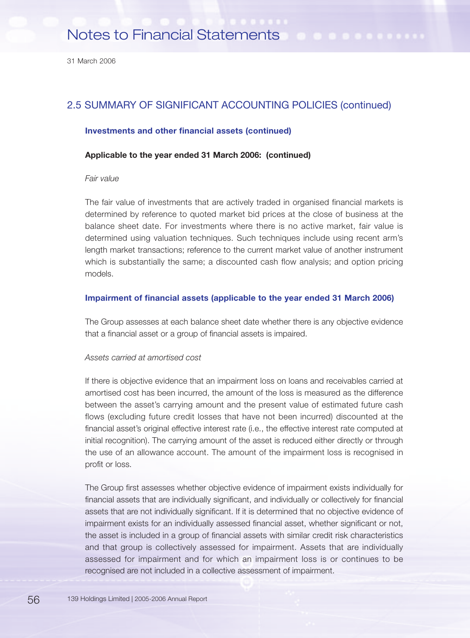#### **Investments and other financial assets (continued)**

#### **Applicable to the year ended 31 March 2006: (continued)**

#### *Fair value*

The fair value of investments that are actively traded in organised financial markets is determined by reference to quoted market bid prices at the close of business at the balance sheet date. For investments where there is no active market, fair value is determined using valuation techniques. Such techniques include using recent arm's length market transactions; reference to the current market value of another instrument which is substantially the same; a discounted cash flow analysis; and option pricing models.

#### **Impairment of financial assets (applicable to the year ended 31 March 2006)**

The Group assesses at each balance sheet date whether there is any objective evidence that a financial asset or a group of financial assets is impaired.

#### *Assets carried at amortised cost*

If there is objective evidence that an impairment loss on loans and receivables carried at amortised cost has been incurred, the amount of the loss is measured as the difference between the asset's carrying amount and the present value of estimated future cash flows (excluding future credit losses that have not been incurred) discounted at the financial asset's original effective interest rate (i.e., the effective interest rate computed at initial recognition). The carrying amount of the asset is reduced either directly or through the use of an allowance account. The amount of the impairment loss is recognised in profit or loss.

The Group first assesses whether objective evidence of impairment exists individually for financial assets that are individually significant, and individually or collectively for financial assets that are not individually significant. If it is determined that no objective evidence of impairment exists for an individually assessed financial asset, whether significant or not, the asset is included in a group of financial assets with similar credit risk characteristics and that group is collectively assessed for impairment. Assets that are individually assessed for impairment and for which an impairment loss is or continues to be recognised are not included in a collective assessment of impairment.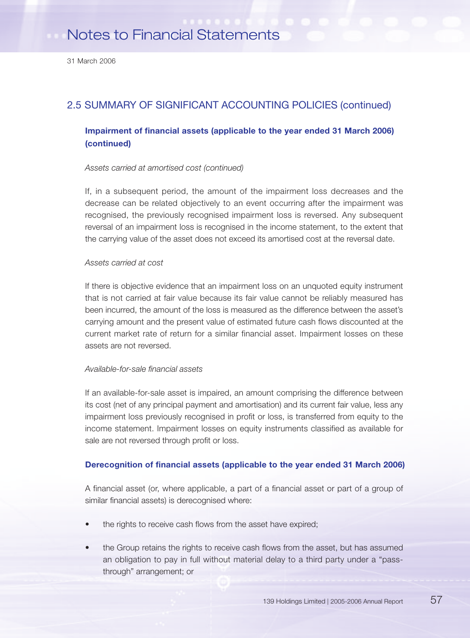### **Impairment of financial assets (applicable to the year ended 31 March 2006) (continued)**

#### *Assets carried at amortised cost (continued)*

If, in a subsequent period, the amount of the impairment loss decreases and the decrease can be related objectively to an event occurring after the impairment was recognised, the previously recognised impairment loss is reversed. Any subsequent reversal of an impairment loss is recognised in the income statement, to the extent that the carrying value of the asset does not exceed its amortised cost at the reversal date.

#### *Assets carried at cost*

If there is objective evidence that an impairment loss on an unquoted equity instrument that is not carried at fair value because its fair value cannot be reliably measured has been incurred, the amount of the loss is measured as the difference between the asset's carrying amount and the present value of estimated future cash flows discounted at the current market rate of return for a similar financial asset. Impairment losses on these assets are not reversed.

#### *Available-for-sale financial assets*

If an available-for-sale asset is impaired, an amount comprising the difference between its cost (net of any principal payment and amortisation) and its current fair value, less any impairment loss previously recognised in profit or loss, is transferred from equity to the income statement. Impairment losses on equity instruments classified as available for sale are not reversed through profit or loss.

#### **Derecognition of financial assets (applicable to the year ended 31 March 2006)**

A financial asset (or, where applicable, a part of a financial asset or part of a group of similar financial assets) is derecognised where:

- the rights to receive cash flows from the asset have expired;
- the Group retains the rights to receive cash flows from the asset, but has assumed an obligation to pay in full without material delay to a third party under a "passthrough" arrangement; or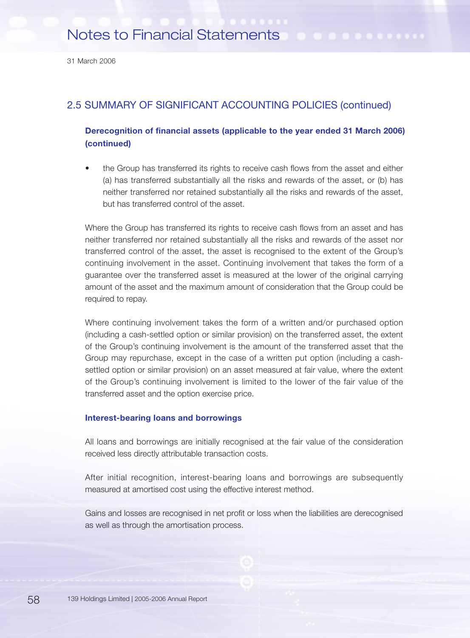### **Derecognition of financial assets (applicable to the year ended 31 March 2006) (continued)**

the Group has transferred its rights to receive cash flows from the asset and either (a) has transferred substantially all the risks and rewards of the asset, or (b) has neither transferred nor retained substantially all the risks and rewards of the asset, but has transferred control of the asset.

Where the Group has transferred its rights to receive cash flows from an asset and has neither transferred nor retained substantially all the risks and rewards of the asset nor transferred control of the asset, the asset is recognised to the extent of the Group's continuing involvement in the asset. Continuing involvement that takes the form of a guarantee over the transferred asset is measured at the lower of the original carrying amount of the asset and the maximum amount of consideration that the Group could be required to repay.

Where continuing involvement takes the form of a written and/or purchased option (including a cash-settled option or similar provision) on the transferred asset, the extent of the Group's continuing involvement is the amount of the transferred asset that the Group may repurchase, except in the case of a written put option (including a cashsettled option or similar provision) on an asset measured at fair value, where the extent of the Group's continuing involvement is limited to the lower of the fair value of the transferred asset and the option exercise price.

#### **Interest-bearing loans and borrowings**

All loans and borrowings are initially recognised at the fair value of the consideration received less directly attributable transaction costs.

After initial recognition, interest-bearing loans and borrowings are subsequently measured at amortised cost using the effective interest method.

Gains and losses are recognised in net profit or loss when the liabilities are derecognised as well as through the amortisation process.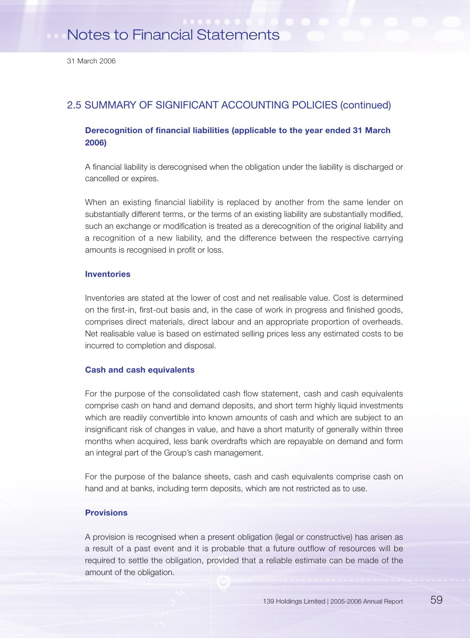### **Derecognition of financial liabilities (applicable to the year ended 31 March 2006)**

A financial liability is derecognised when the obligation under the liability is discharged or cancelled or expires.

When an existing financial liability is replaced by another from the same lender on substantially different terms, or the terms of an existing liability are substantially modified, such an exchange or modification is treated as a derecognition of the original liability and a recognition of a new liability, and the difference between the respective carrying amounts is recognised in profit or loss.

#### **Inventories**

Inventories are stated at the lower of cost and net realisable value. Cost is determined on the first-in, first-out basis and, in the case of work in progress and finished goods, comprises direct materials, direct labour and an appropriate proportion of overheads. Net realisable value is based on estimated selling prices less any estimated costs to be incurred to completion and disposal.

#### **Cash and cash equivalents**

For the purpose of the consolidated cash flow statement, cash and cash equivalents comprise cash on hand and demand deposits, and short term highly liquid investments which are readily convertible into known amounts of cash and which are subject to an insignificant risk of changes in value, and have a short maturity of generally within three months when acquired, less bank overdrafts which are repayable on demand and form an integral part of the Group's cash management.

For the purpose of the balance sheets, cash and cash equivalents comprise cash on hand and at banks, including term deposits, which are not restricted as to use.

#### **Provisions**

A provision is recognised when a present obligation (legal or constructive) has arisen as a result of a past event and it is probable that a future outflow of resources will be required to settle the obligation, provided that a reliable estimate can be made of the amount of the obligation.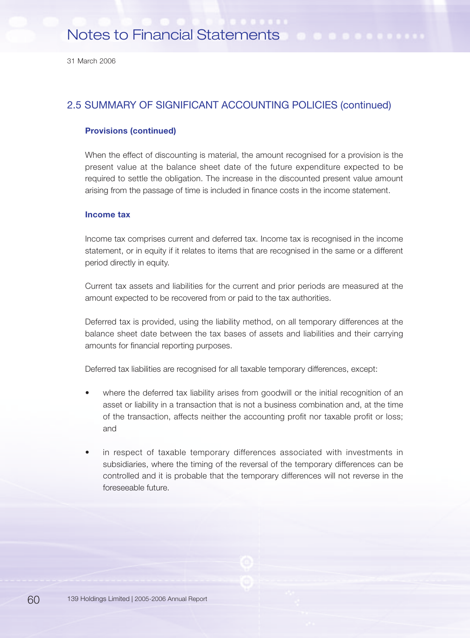# 2.5 SUMMARY OF SIGNIFICANT ACCOUNTING POLICIES (continued)

#### **Provisions (continued)**

When the effect of discounting is material, the amount recognised for a provision is the present value at the balance sheet date of the future expenditure expected to be required to settle the obligation. The increase in the discounted present value amount arising from the passage of time is included in finance costs in the income statement.

#### **Income tax**

Income tax comprises current and deferred tax. Income tax is recognised in the income statement, or in equity if it relates to items that are recognised in the same or a different period directly in equity.

Current tax assets and liabilities for the current and prior periods are measured at the amount expected to be recovered from or paid to the tax authorities.

Deferred tax is provided, using the liability method, on all temporary differences at the balance sheet date between the tax bases of assets and liabilities and their carrying amounts for financial reporting purposes.

Deferred tax liabilities are recognised for all taxable temporary differences, except:

- where the deferred tax liability arises from goodwill or the initial recognition of an asset or liability in a transaction that is not a business combination and, at the time of the transaction, affects neither the accounting profit nor taxable profit or loss; and
- in respect of taxable temporary differences associated with investments in subsidiaries, where the timing of the reversal of the temporary differences can be controlled and it is probable that the temporary differences will not reverse in the foreseeable future.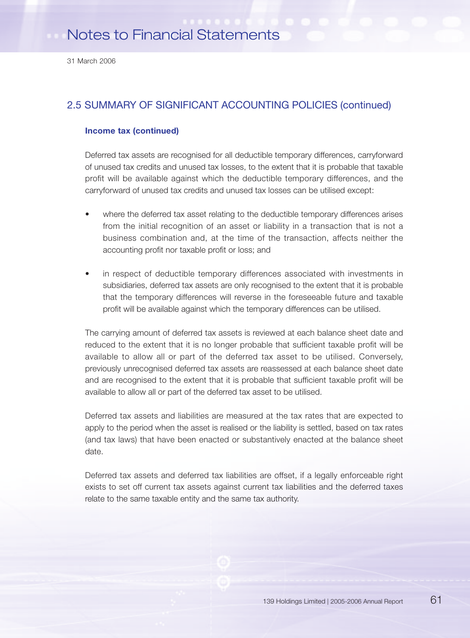#### **Income tax (continued)**

Deferred tax assets are recognised for all deductible temporary differences, carryforward of unused tax credits and unused tax losses, to the extent that it is probable that taxable profit will be available against which the deductible temporary differences, and the carryforward of unused tax credits and unused tax losses can be utilised except:

- where the deferred tax asset relating to the deductible temporary differences arises from the initial recognition of an asset or liability in a transaction that is not a business combination and, at the time of the transaction, affects neither the accounting profit nor taxable profit or loss; and
- in respect of deductible temporary differences associated with investments in subsidiaries, deferred tax assets are only recognised to the extent that it is probable that the temporary differences will reverse in the foreseeable future and taxable profit will be available against which the temporary differences can be utilised.

The carrying amount of deferred tax assets is reviewed at each balance sheet date and reduced to the extent that it is no longer probable that sufficient taxable profit will be available to allow all or part of the deferred tax asset to be utilised. Conversely, previously unrecognised deferred tax assets are reassessed at each balance sheet date and are recognised to the extent that it is probable that sufficient taxable profit will be available to allow all or part of the deferred tax asset to be utilised.

Deferred tax assets and liabilities are measured at the tax rates that are expected to apply to the period when the asset is realised or the liability is settled, based on tax rates (and tax laws) that have been enacted or substantively enacted at the balance sheet date.

Deferred tax assets and deferred tax liabilities are offset, if a legally enforceable right exists to set off current tax assets against current tax liabilities and the deferred taxes relate to the same taxable entity and the same tax authority.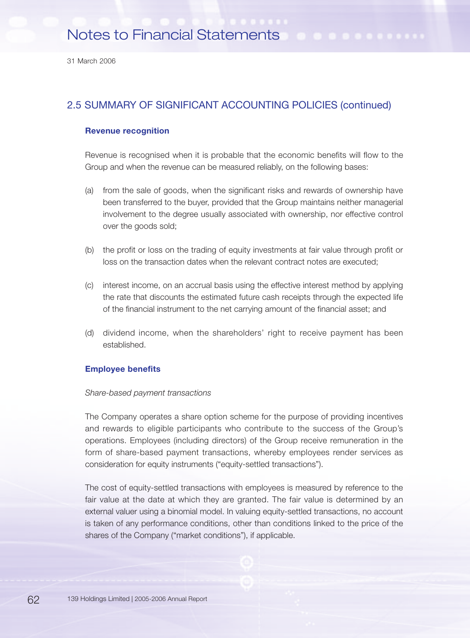#### **Revenue recognition**

Revenue is recognised when it is probable that the economic benefits will flow to the Group and when the revenue can be measured reliably, on the following bases:

- (a) from the sale of goods, when the significant risks and rewards of ownership have been transferred to the buyer, provided that the Group maintains neither managerial involvement to the degree usually associated with ownership, nor effective control over the goods sold;
- (b) the profit or loss on the trading of equity investments at fair value through profit or loss on the transaction dates when the relevant contract notes are executed;
- (c) interest income, on an accrual basis using the effective interest method by applying the rate that discounts the estimated future cash receipts through the expected life of the financial instrument to the net carrying amount of the financial asset; and
- (d) dividend income, when the shareholders' right to receive payment has been established.

#### **Employee benefits**

#### *Share-based payment transactions*

The Company operates a share option scheme for the purpose of providing incentives and rewards to eligible participants who contribute to the success of the Group's operations. Employees (including directors) of the Group receive remuneration in the form of share-based payment transactions, whereby employees render services as consideration for equity instruments ("equity-settled transactions").

The cost of equity-settled transactions with employees is measured by reference to the fair value at the date at which they are granted. The fair value is determined by an external valuer using a binomial model. In valuing equity-settled transactions, no account is taken of any performance conditions, other than conditions linked to the price of the shares of the Company ("market conditions"), if applicable.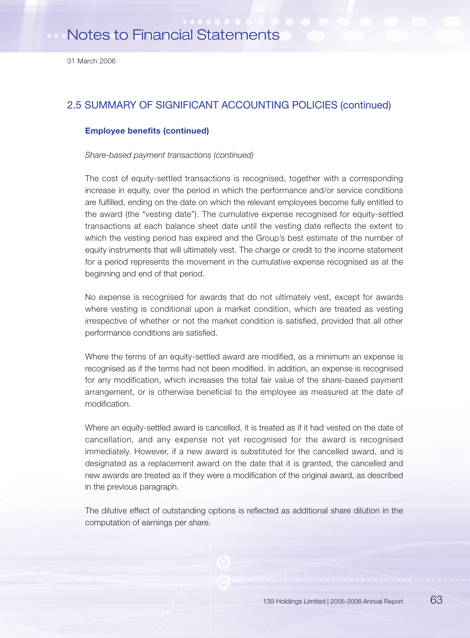#### **Employee benefits (continued)**

#### *Share-based payment transactions (continued)*

The cost of equity-settled transactions is recognised, together with a corresponding increase in equity, over the period in which the performance and/or service conditions are fulfilled, ending on the date on which the relevant employees become fully entitled to the award (the "vesting date"). The cumulative expense recognised for equity-settled transactions at each balance sheet date until the vesting date reflects the extent to which the vesting period has expired and the Group's best estimate of the number of equity instruments that will ultimately vest. The charge or credit to the income statement for a period represents the movement in the cumulative expense recognised as at the beginning and end of that period.

No expense is recognised for awards that do not ultimately vest, except for awards where vesting is conditional upon a market condition, which are treated as vesting irrespective of whether or not the market condition is satisfied, provided that all other performance conditions are satisfied.

Where the terms of an equity-settled award are modified, as a minimum an expense is recognised as if the terms had not been modified. In addition, an expense is recognised for any modification, which increases the total fair value of the share-based payment arrangement, or is otherwise beneficial to the employee as measured at the date of modification.

Where an equity-settled award is cancelled, it is treated as if it had vested on the date of cancellation, and any expense not yet recognised for the award is recognised immediately. However, if a new award is substituted for the cancelled award, and is designated as a replacement award on the date that it is granted, the cancelled and new awards are treated as if they were a modification of the original award, as described in the previous paragraph.

The dilutive effect of outstanding options is reflected as additional share dilution in the computation of earnings per share.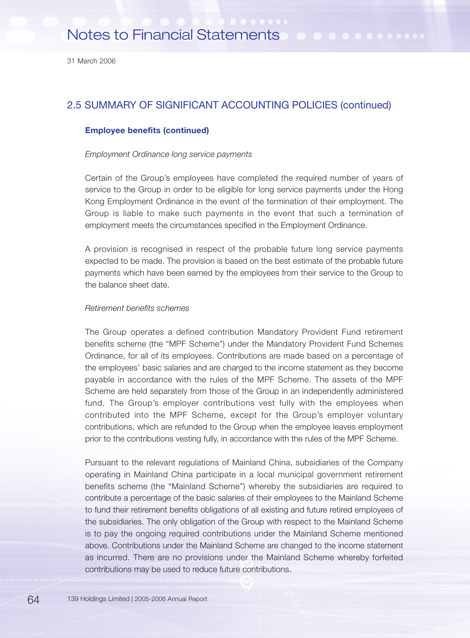#### **Employee benefits (continued)**

#### *Employment Ordinance long service payments*

Certain of the Group's employees have completed the required number of years of service to the Group in order to be eligible for long service payments under the Hong Kong Employment Ordinance in the event of the termination of their employment. The Group is liable to make such payments in the event that such a termination of employment meets the circumstances specified in the Employment Ordinance.

A provision is recognised in respect of the probable future long service payments expected to be made. The provision is based on the best estimate of the probable future payments which have been earned by the employees from their service to the Group to the balance sheet date.

#### *Retirement benefits schemes*

The Group operates a defined contribution Mandatory Provident Fund retirement benefits scheme (the "MPF Scheme") under the Mandatory Provident Fund Schemes Ordinance, for all of its employees. Contributions are made based on a percentage of the employees' basic salaries and are charged to the income statement as they become payable in accordance with the rules of the MPF Scheme. The assets of the MPF Scheme are held separately from those of the Group in an independently administered fund. The Group's employer contributions vest fully with the employees when contributed into the MPF Scheme, except for the Group's employer voluntary contributions, which are refunded to the Group when the employee leaves employment prior to the contributions vesting fully, in accordance with the rules of the MPF Scheme.

Pursuant to the relevant regulations of Mainland China, subsidiaries of the Company operating in Mainland China participate in a local municipal government retirement benefits scheme (the "Mainland Scheme") whereby the subsidiaries are required to contribute a percentage of the basic salaries of their employees to the Mainland Scheme to fund their retirement benefits obligations of all existing and future retired employees of the subsidiaries. The only obligation of the Group with respect to the Mainland Scheme is to pay the ongoing required contributions under the Mainland Scheme mentioned above. Contributions under the Mainland Scheme are changed to the income statement as incurred. There are no provisions under the Mainland Scheme whereby forfeited contributions may be used to reduce future contributions.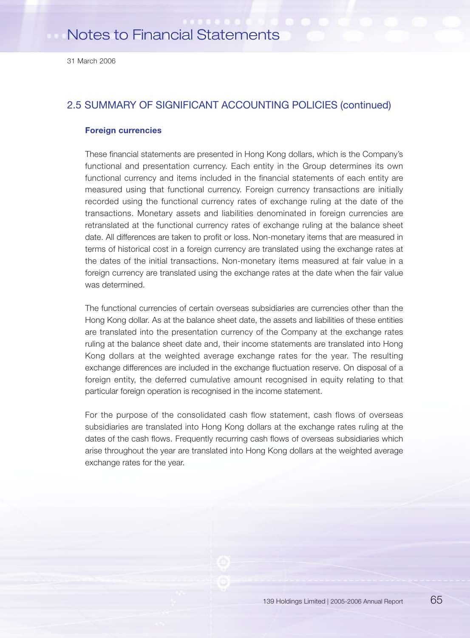# 2.5 SUMMARY OF SIGNIFICANT ACCOUNTING POLICIES (continued)

#### **Foreign currencies**

These financial statements are presented in Hong Kong dollars, which is the Company's functional and presentation currency. Each entity in the Group determines its own functional currency and items included in the financial statements of each entity are measured using that functional currency. Foreign currency transactions are initially recorded using the functional currency rates of exchange ruling at the date of the transactions. Monetary assets and liabilities denominated in foreign currencies are retranslated at the functional currency rates of exchange ruling at the balance sheet date. All differences are taken to profit or loss. Non-monetary items that are measured in terms of historical cost in a foreign currency are translated using the exchange rates at the dates of the initial transactions. Non-monetary items measured at fair value in a foreign currency are translated using the exchange rates at the date when the fair value was determined.

The functional currencies of certain overseas subsidiaries are currencies other than the Hong Kong dollar. As at the balance sheet date, the assets and liabilities of these entities are translated into the presentation currency of the Company at the exchange rates ruling at the balance sheet date and, their income statements are translated into Hong Kong dollars at the weighted average exchange rates for the year. The resulting exchange differences are included in the exchange fluctuation reserve. On disposal of a foreign entity, the deferred cumulative amount recognised in equity relating to that particular foreign operation is recognised in the income statement.

For the purpose of the consolidated cash flow statement, cash flows of overseas subsidiaries are translated into Hong Kong dollars at the exchange rates ruling at the dates of the cash flows. Frequently recurring cash flows of overseas subsidiaries which arise throughout the year are translated into Hong Kong dollars at the weighted average exchange rates for the year.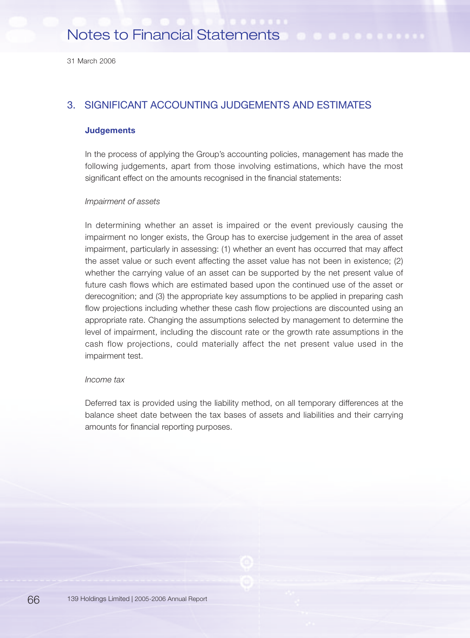# 3. SIGNIFICANT ACCOUNTING JUDGEMENTS AND ESTIMATES

#### **Judgements**

In the process of applying the Group's accounting policies, management has made the following judgements, apart from those involving estimations, which have the most significant effect on the amounts recognised in the financial statements:

#### *Impairment of assets*

In determining whether an asset is impaired or the event previously causing the impairment no longer exists, the Group has to exercise judgement in the area of asset impairment, particularly in assessing: (1) whether an event has occurred that may affect the asset value or such event affecting the asset value has not been in existence; (2) whether the carrying value of an asset can be supported by the net present value of future cash flows which are estimated based upon the continued use of the asset or derecognition; and (3) the appropriate key assumptions to be applied in preparing cash flow projections including whether these cash flow projections are discounted using an appropriate rate. Changing the assumptions selected by management to determine the level of impairment, including the discount rate or the growth rate assumptions in the cash flow projections, could materially affect the net present value used in the impairment test.

#### *Income tax*

Deferred tax is provided using the liability method, on all temporary differences at the balance sheet date between the tax bases of assets and liabilities and their carrying amounts for financial reporting purposes.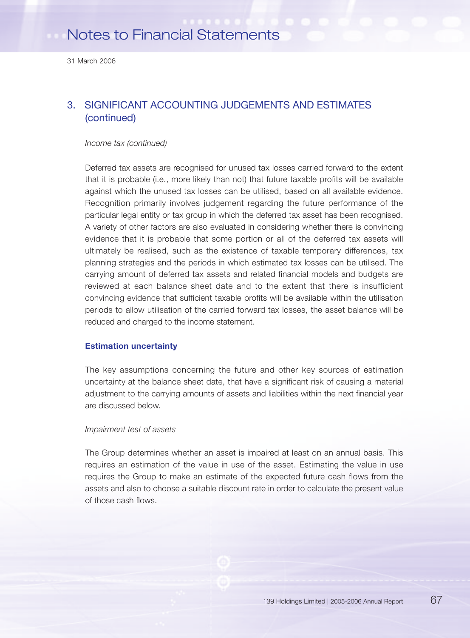# Notes to Financial Statements

# 3. SIGNIFICANT ACCOUNTING JUDGEMENTS AND ESTIMATES (continued)

#### *Income tax (continued)*

Deferred tax assets are recognised for unused tax losses carried forward to the extent that it is probable (i.e., more likely than not) that future taxable profits will be available against which the unused tax losses can be utilised, based on all available evidence. Recognition primarily involves judgement regarding the future performance of the particular legal entity or tax group in which the deferred tax asset has been recognised. A variety of other factors are also evaluated in considering whether there is convincing evidence that it is probable that some portion or all of the deferred tax assets will ultimately be realised, such as the existence of taxable temporary differences, tax planning strategies and the periods in which estimated tax losses can be utilised. The carrying amount of deferred tax assets and related financial models and budgets are reviewed at each balance sheet date and to the extent that there is insufficient convincing evidence that sufficient taxable profits will be available within the utilisation periods to allow utilisation of the carried forward tax losses, the asset balance will be reduced and charged to the income statement.

#### **Estimation uncertainty**

The key assumptions concerning the future and other key sources of estimation uncertainty at the balance sheet date, that have a significant risk of causing a material adjustment to the carrying amounts of assets and liabilities within the next financial year are discussed below.

#### *Impairment test of assets*

The Group determines whether an asset is impaired at least on an annual basis. This requires an estimation of the value in use of the asset. Estimating the value in use requires the Group to make an estimate of the expected future cash flows from the assets and also to choose a suitable discount rate in order to calculate the present value of those cash flows.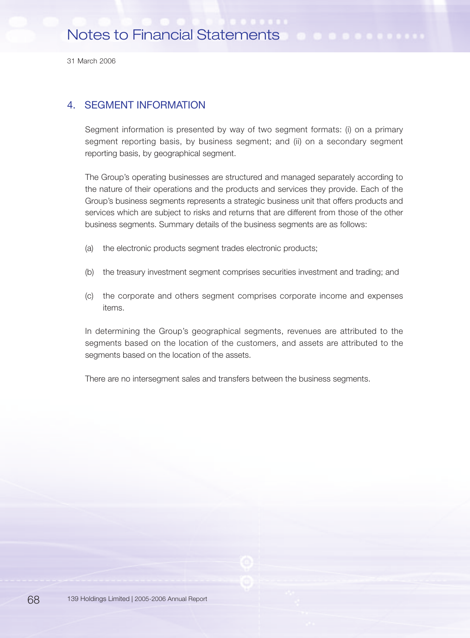### 4. SEGMENT INFORMATION

Segment information is presented by way of two segment formats: (i) on a primary segment reporting basis, by business segment; and (ii) on a secondary segment reporting basis, by geographical segment.

The Group's operating businesses are structured and managed separately according to the nature of their operations and the products and services they provide. Each of the Group's business segments represents a strategic business unit that offers products and services which are subject to risks and returns that are different from those of the other business segments. Summary details of the business segments are as follows:

- (a) the electronic products segment trades electronic products;
- (b) the treasury investment segment comprises securities investment and trading; and
- (c) the corporate and others segment comprises corporate income and expenses items.

In determining the Group's geographical segments, revenues are attributed to the segments based on the location of the customers, and assets are attributed to the segments based on the location of the assets.

There are no intersegment sales and transfers between the business segments.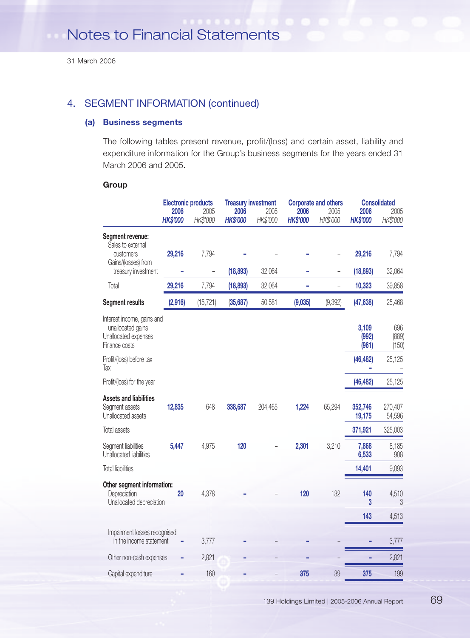# 4. SEGMENT INFORMATION (continued)

#### **(a) Business segments**

The following tables present revenue, profit/(loss) and certain asset, liability and expenditure information for the Group's business segments for the years ended 31 March 2006 and 2005.

### **Group**

|                                                                                          | <b>Electronic products</b><br>2006<br><b>HK\$'000</b> | 2005<br>HK\$'000         | <b>Treasury investment</b><br>2006<br><b>HK\$'000</b> | 2005<br>HK\$'000 | 2006<br><b>HK\$'000</b> | <b>Corporate and others</b><br>2005<br>HK\$'000 | 2006<br><b>HK\$'000</b> | <b>Consolidated</b><br>2005<br>HK\$'000 |
|------------------------------------------------------------------------------------------|-------------------------------------------------------|--------------------------|-------------------------------------------------------|------------------|-------------------------|-------------------------------------------------|-------------------------|-----------------------------------------|
| Segment revenue:<br>Sales to external<br>customers                                       | 29,216                                                | 7,794                    |                                                       |                  |                         |                                                 | 29,216                  | 7,794                                   |
| Gains/(losses) from<br>treasury investment                                               |                                                       | $\overline{\phantom{0}}$ | (18, 893)                                             | 32,064           |                         |                                                 | (18, 893)               | 32,064                                  |
| Total                                                                                    | 29,216                                                | 7,794                    | (18, 893)                                             | 32,064           |                         | $\overline{a}$                                  | 10,323                  | 39,858                                  |
| <b>Segment results</b>                                                                   | (2,916)                                               | (15, 721)                | (35,687)                                              | 50,581           | (9,035)                 | (9, 392)                                        | (47, 638)               | 25,468                                  |
| Interest income, gains and<br>unallocated gains<br>Unallocated expenses<br>Finance costs |                                                       |                          |                                                       |                  |                         |                                                 | 3,109<br>(992)<br>(961) | 696<br>(889)<br>(150)                   |
| Profit/(loss) before tax<br>Tax                                                          |                                                       |                          |                                                       |                  |                         |                                                 | (46, 482)               | 25,125                                  |
| Profit/(loss) for the year                                                               |                                                       |                          |                                                       |                  |                         |                                                 | (46, 482)               | 25,125                                  |
| <b>Assets and liabilities</b><br>Segment assets<br>Unallocated assets                    | 12,835                                                | 648                      | 338,687                                               | 204,465          | 1,224                   | 65,294                                          | 352,746<br>19,175       | 270,407<br>54,596                       |
| Total assets                                                                             |                                                       |                          |                                                       |                  |                         |                                                 | 371,921                 | 325,003                                 |
| Segment liabilities<br>Unallocated liabilities                                           | 5,447                                                 | 4,975                    | 120                                                   |                  | 2,301                   | 3,210                                           | 7,868<br>6,533          | 8,185<br>908                            |
| <b>Total liabilities</b>                                                                 |                                                       |                          |                                                       |                  |                         |                                                 | 14,401                  | 9,093                                   |
| Other segment information:<br>Depreciation<br>Unallocated depreciation                   | 20                                                    | 4,378                    |                                                       |                  | 120                     | 132                                             | 140<br>3                | 4,510<br>3                              |
|                                                                                          |                                                       |                          |                                                       |                  |                         |                                                 | 143                     | 4,513                                   |
| Impairment losses recognised<br>in the income statement                                  |                                                       | 3,777                    |                                                       |                  |                         |                                                 |                         | 3,777                                   |
| Other non-cash expenses                                                                  |                                                       | 2,821                    |                                                       |                  |                         |                                                 |                         | 2,821                                   |
| Capital expenditure                                                                      |                                                       | 160                      |                                                       |                  | 375                     | 39                                              | 375                     | 199                                     |
|                                                                                          |                                                       |                          |                                                       |                  |                         |                                                 |                         |                                         |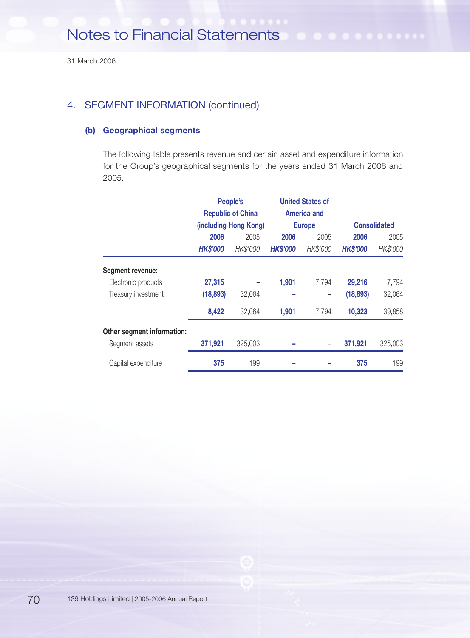# 4. SEGMENT INFORMATION (continued)

#### **(b) Geographical segments**

The following table presents revenue and certain asset and expenditure information for the Group's geographical segments for the years ended 31 March 2006 and 2005.

|                            | People's                 |                       |                 | <b>United States of</b> |                     |          |
|----------------------------|--------------------------|-----------------------|-----------------|-------------------------|---------------------|----------|
|                            | <b>Republic of China</b> |                       |                 | <b>America and</b>      |                     |          |
|                            |                          | (including Hong Kong) |                 | <b>Europe</b>           | <b>Consolidated</b> |          |
|                            | 2006                     | 2005                  | 2006            | 2005                    | 2006                | 2005     |
|                            | <b>HK\$'000</b>          | HK\$'000              | <b>HK\$'000</b> | HK\$'000                | <b>HK\$'000</b>     | HK\$'000 |
| Segment revenue:           |                          |                       |                 |                         |                     |          |
| Electronic products        | 27,315                   |                       | 1,901           | 7,794                   | 29,216              | 7,794    |
| Treasury investment        | (18, 893)                | 32,064                |                 |                         | (18, 893)           | 32,064   |
|                            | 8,422                    | 32,064                | 1,901           | 7,794                   | 10,323              | 39,858   |
| Other segment information: |                          |                       |                 |                         |                     |          |
| Segment assets             | 371,921                  | 325,003               |                 |                         | 371,921             | 325,003  |
| Capital expenditure        | 375                      | 199                   |                 |                         | 375                 | 199      |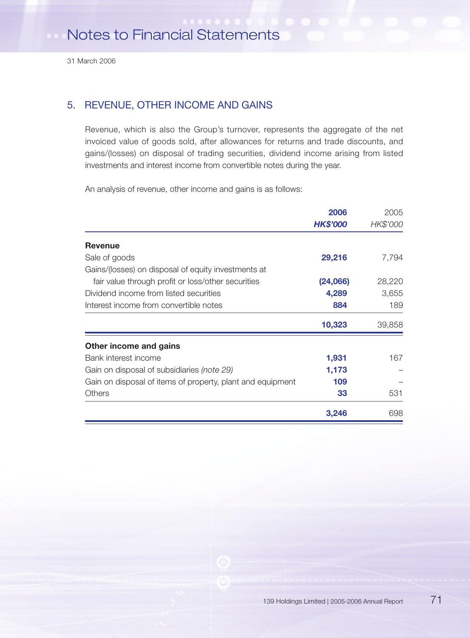# 5. REVENUE, OTHER INCOME AND GAINS

Revenue, which is also the Group's turnover, represents the aggregate of the net invoiced value of goods sold, after allowances for returns and trade discounts, and gains/(losses) on disposal of trading securities, dividend income arising from listed investments and interest income from convertible notes during the year.

An analysis of revenue, other income and gains is as follows:

|                                                            | 2006            | 2005     |
|------------------------------------------------------------|-----------------|----------|
|                                                            | <b>HK\$'000</b> | HK\$'000 |
| <b>Revenue</b>                                             |                 |          |
| Sale of goods                                              | 29,216          | 7,794    |
| Gains/(losses) on disposal of equity investments at        |                 |          |
| fair value through profit or loss/other securities         | (24,066)        | 28,220   |
| Dividend income from listed securities                     | 4,289           | 3,655    |
| Interest income from convertible notes                     | 884             | 189      |
|                                                            | 10,323          | 39,858   |
| Other income and gains                                     |                 |          |
| Bank interest income                                       | 1,931           | 167      |
| Gain on disposal of subsidiaries (note 29)                 | 1,173           |          |
| Gain on disposal of items of property, plant and equipment | 109             |          |
| Others                                                     | 33              | 531      |
|                                                            | 3,246           | 698      |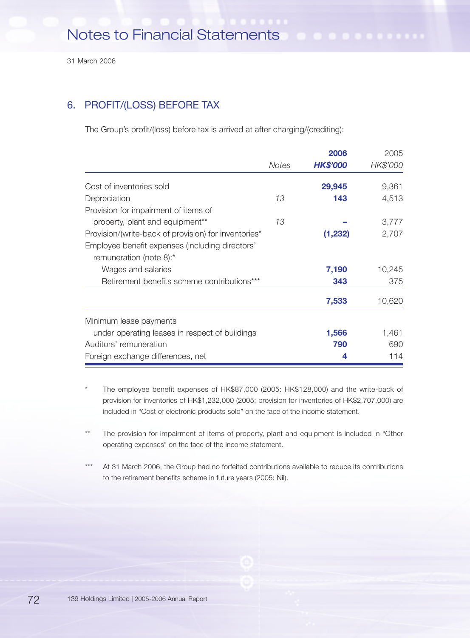# 6. PROFIT/(LOSS) BEFORE TAX

The Group's profit/(loss) before tax is arrived at after charging/(crediting):

|                                                                            |              | 2006            | 2005     |
|----------------------------------------------------------------------------|--------------|-----------------|----------|
|                                                                            | <b>Notes</b> | <b>HK\$'000</b> | HK\$'000 |
| Cost of inventories sold                                                   |              | 29,945          | 9,361    |
| Depreciation                                                               | 13           | 143             | 4,513    |
| Provision for impairment of items of                                       |              |                 |          |
| property, plant and equipment**                                            | 13           |                 | 3,777    |
| Provision/(write-back of provision) for inventories*                       |              | (1,232)         | 2,707    |
| Employee benefit expenses (including directors'<br>remuneration (note 8):* |              |                 |          |
| Wages and salaries                                                         |              | 7,190           | 10,245   |
| Retirement benefits scheme contributions***                                |              | 343             | 375      |
|                                                                            |              | 7,533           | 10,620   |
| Minimum lease payments                                                     |              |                 |          |
| under operating leases in respect of buildings                             |              | 1,566           | 1,461    |
| Auditors' remuneration                                                     |              | 790             | 690      |
| Foreign exchange differences, net                                          |              | 4               | 114      |

The employee benefit expenses of HK\$87,000 (2005: HK\$128,000) and the write-back of provision for inventories of HK\$1,232,000 (2005: provision for inventories of HK\$2,707,000) are included in "Cost of electronic products sold" on the face of the income statement.

\*\* The provision for impairment of items of property, plant and equipment is included in "Other operating expenses" on the face of the income statement.

\*\*\* At 31 March 2006, the Group had no forfeited contributions available to reduce its contributions to the retirement benefits scheme in future years (2005: Nil).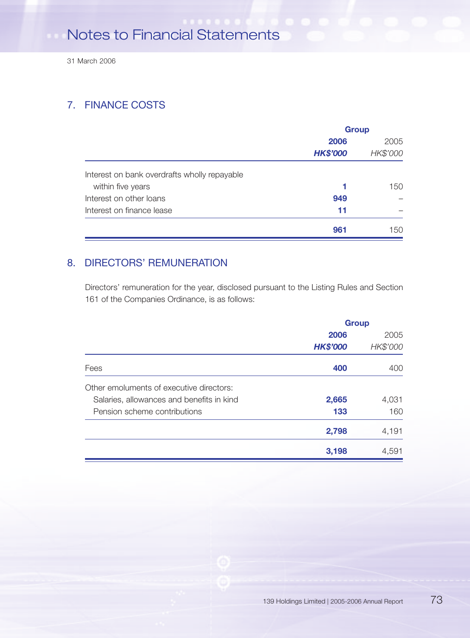## 7. FINANCE COSTS

|                                              | <b>Group</b>    |          |
|----------------------------------------------|-----------------|----------|
|                                              | 2006            | 2005     |
|                                              | <b>HK\$'000</b> | HK\$'000 |
| Interest on bank overdrafts wholly repayable |                 |          |
| within five years                            | 1               | 150.     |
| Interest on other loans                      | 949             |          |
| Interest on finance lease                    | 11              |          |
|                                              | 961             | 150      |

## 8. DIRECTORS' REMUNERATION

Directors' remuneration for the year, disclosed pursuant to the Listing Rules and Section 161 of the Companies Ordinance, is as follows:

|                                           | <b>Group</b>    |          |
|-------------------------------------------|-----------------|----------|
|                                           | 2006            | 2005     |
|                                           | <b>HK\$'000</b> | HK\$'000 |
| Fees                                      | 400             | 400      |
| Other emoluments of executive directors:  |                 |          |
| Salaries, allowances and benefits in kind | 2,665           | 4,031    |
| Pension scheme contributions              | 133             | 160      |
|                                           | 2,798           | 4,191    |
|                                           | 3,198           | 4,591    |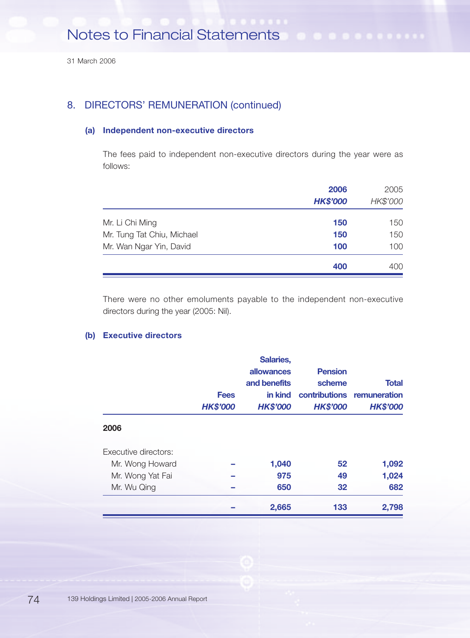## 8. DIRECTORS' REMUNERATION (continued)

### **(a) Independent non-executive directors**

The fees paid to independent non-executive directors during the year were as follows:

|                            | 2006            | 2005     |
|----------------------------|-----------------|----------|
|                            | <b>HK\$'000</b> | HK\$'000 |
| Mr. Li Chi Ming            | 150             | 150      |
| Mr. Tung Tat Chiu, Michael | 150             | 150      |
| Mr. Wan Ngar Yin, David    | 100             | 100      |
|                            | 400             | 400      |

There were no other emoluments payable to the independent non-executive directors during the year (2005: Nil).

#### **(b) Executive directors**

|                      |                 | Salaries,       |                      |                 |
|----------------------|-----------------|-----------------|----------------------|-----------------|
|                      |                 | allowances      | <b>Pension</b>       |                 |
|                      |                 | and benefits    | scheme               | <b>Total</b>    |
|                      | <b>Fees</b>     | in kind         | <b>contributions</b> | remuneration    |
|                      | <b>HK\$'000</b> | <b>HK\$'000</b> | <b>HK\$'000</b>      | <b>HK\$'000</b> |
| 2006                 |                 |                 |                      |                 |
| Executive directors: |                 |                 |                      |                 |
| Mr. Wong Howard      |                 | 1,040           | 52                   | 1,092           |
| Mr. Wong Yat Fai     |                 | 975             | 49                   | 1,024           |
| Mr. Wu Qing          |                 | 650             | 32                   | 682             |
|                      |                 | 2,665           | 133                  | 2,798           |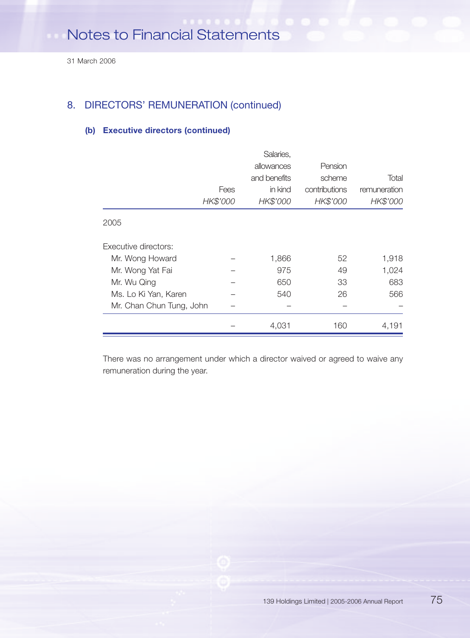## 8. DIRECTORS' REMUNERATION (continued)

### **(b) Executive directors (continued)**

|                          |          | Salaries,    |               |              |
|--------------------------|----------|--------------|---------------|--------------|
|                          |          | allowances   | Pension       |              |
|                          |          | and benefits | scheme        | Total        |
|                          | Fees     | in kind      | contributions | remuneration |
|                          | HK\$'000 | HK\$'000     | HK\$'000      | HK\$'000     |
| 2005                     |          |              |               |              |
| Executive directors:     |          |              |               |              |
| Mr. Wong Howard          |          | 1,866        | 52            | 1,918        |
| Mr. Wong Yat Fai         |          | 975          | 49            | 1,024        |
| Mr. Wu Qing              |          | 650          | 33            | 683          |
| Ms. Lo Ki Yan, Karen     |          | 540          | 26            | 566          |
| Mr. Chan Chun Tung, John |          |              |               |              |
|                          |          | 4,031        | 160           | 4,191        |

There was no arrangement under which a director waived or agreed to waive any remuneration during the year.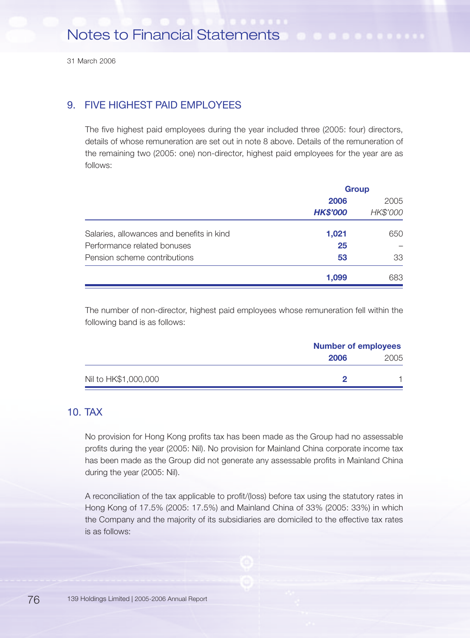### 9. FIVE HIGHEST PAID EMPLOYEES

The five highest paid employees during the year included three (2005: four) directors, details of whose remuneration are set out in note 8 above. Details of the remuneration of the remaining two (2005: one) non-director, highest paid employees for the year are as follows:

|                                           | <b>Group</b>    |          |
|-------------------------------------------|-----------------|----------|
|                                           | 2006            | 2005     |
|                                           | <b>HK\$'000</b> | HK\$'000 |
| Salaries, allowances and benefits in kind | 1,021           | 650      |
| Performance related bonuses               | 25              |          |
| Pension scheme contributions              | 53              | 33       |
|                                           | 1,099           | 683      |

The number of non-director, highest paid employees whose remuneration fell within the following band is as follows:

|                      |      | <b>Number of employees</b> |  |
|----------------------|------|----------------------------|--|
|                      | 2006 | 2005                       |  |
| Nil to HK\$1,000,000 |      |                            |  |

## 10. TAX

No provision for Hong Kong profits tax has been made as the Group had no assessable profits during the year (2005: Nil). No provision for Mainland China corporate income tax has been made as the Group did not generate any assessable profits in Mainland China during the year (2005: Nil).

A reconciliation of the tax applicable to profit/(loss) before tax using the statutory rates in Hong Kong of 17.5% (2005: 17.5%) and Mainland China of 33% (2005: 33%) in which the Company and the majority of its subsidiaries are domiciled to the effective tax rates is as follows: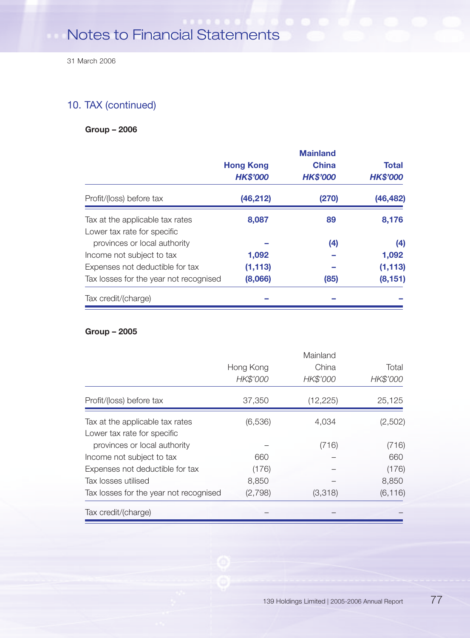# 10. TAX (continued)

### **Group – 2006**

|                                        | <b>Hong Kong</b><br><b>HK\$'000</b> | <b>Mainland</b><br><b>China</b><br><b>HK\$'000</b> | Total<br><b>HK\$'000</b> |
|----------------------------------------|-------------------------------------|----------------------------------------------------|--------------------------|
| Profit/(loss) before tax               | (46, 212)                           | (270)                                              | (46, 482)                |
| Tax at the applicable tax rates        | 8,087                               | 89                                                 | 8,176                    |
| Lower tax rate for specific            |                                     |                                                    |                          |
| provinces or local authority           |                                     | (4)                                                | (4)                      |
| Income not subject to tax              | 1,092                               |                                                    | 1,092                    |
| Expenses not deductible for tax        | (1, 113)                            |                                                    | (1, 113)                 |
| Tax losses for the year not recognised | (8,066)                             | (85)                                               | (8, 151)                 |
| Tax credit/(charge)                    |                                     |                                                    |                          |

### **Group – 2005**

|                                        | Hong Kong<br>HK\$'000 | Mainland<br>China<br>HK\$'000 | Total<br>HK\$'000 |
|----------------------------------------|-----------------------|-------------------------------|-------------------|
| Profit/(loss) before tax               | 37,350                | (12, 225)                     | 25,125            |
| Tax at the applicable tax rates        | (6,536)               | 4,034                         | (2,502)           |
| Lower tax rate for specific            |                       |                               |                   |
| provinces or local authority           |                       | (716)                         | (716)             |
| Income not subject to tax              | 660                   |                               | 660               |
| Expenses not deductible for tax        | (176)                 |                               | (176)             |
| Tax losses utilised                    | 8,850                 |                               | 8,850             |
| Tax losses for the year not recognised | (2,798)               | (3,318)                       | (6, 116)          |
| Tax credit/(charge)                    |                       |                               |                   |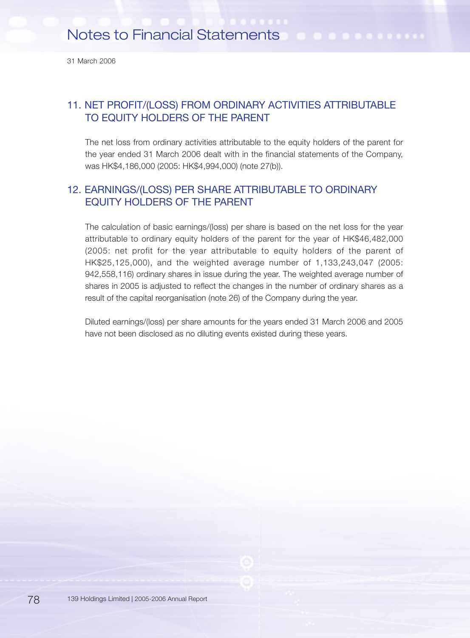## 11. NET PROFIT/(LOSS) FROM ORDINARY ACTIVITIES ATTRIBUTABLE TO EQUITY HOLDERS OF THE PARENT

The net loss from ordinary activities attributable to the equity holders of the parent for the year ended 31 March 2006 dealt with in the financial statements of the Company, was HK\$4,186,000 (2005: HK\$4,994,000) (note 27(b)).

## 12. EARNINGS/(LOSS) PER SHARE ATTRIBUTABLE TO ORDINARY EQUITY HOLDERS OF THE PARENT

The calculation of basic earnings/(loss) per share is based on the net loss for the year attributable to ordinary equity holders of the parent for the year of HK\$46,482,000 (2005: net profit for the year attributable to equity holders of the parent of HK\$25,125,000), and the weighted average number of 1,133,243,047 (2005: 942,558,116) ordinary shares in issue during the year. The weighted average number of shares in 2005 is adjusted to reflect the changes in the number of ordinary shares as a result of the capital reorganisation (note 26) of the Company during the year.

Diluted earnings/(loss) per share amounts for the years ended 31 March 2006 and 2005 have not been disclosed as no diluting events existed during these years.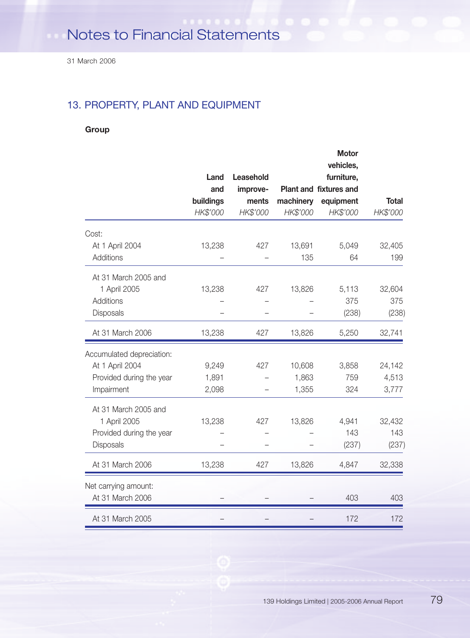## 13. PROPERTY, PLANT AND EQUIPMENT

### **Group**

|                                     | Land<br>and<br>buildings<br>HK\$'000 | Leasehold<br>improve-<br>ments<br>HK\$'000 | machinery<br>HK\$'000 | <b>Motor</b><br>vehicles,<br>furniture,<br><b>Plant and fixtures and</b><br>equipment<br>HK\$'000 | <b>Total</b><br>HK\$'000 |
|-------------------------------------|--------------------------------------|--------------------------------------------|-----------------------|---------------------------------------------------------------------------------------------------|--------------------------|
| Cost:                               |                                      |                                            |                       |                                                                                                   |                          |
| At 1 April 2004<br><b>Additions</b> | 13,238                               | 427                                        | 13,691<br>135         | 5,049<br>64                                                                                       | 32,405<br>199            |
| At 31 March 2005 and                |                                      |                                            |                       |                                                                                                   |                          |
| 1 April 2005                        | 13,238                               | 427                                        | 13,826                | 5,113                                                                                             | 32,604                   |
| Additions                           |                                      |                                            |                       | 375                                                                                               | 375                      |
| Disposals                           |                                      |                                            |                       | (238)                                                                                             | (238)                    |
| At 31 March 2006                    | 13,238                               | 427                                        | 13,826                | 5,250                                                                                             | 32,741                   |
| Accumulated depreciation:           |                                      |                                            |                       |                                                                                                   |                          |
| At 1 April 2004                     | 9,249                                | 427                                        | 10,608                | 3,858                                                                                             | 24,142                   |
| Provided during the year            | 1,891                                |                                            | 1,863                 | 759                                                                                               | 4,513                    |
| Impairment                          | 2,098                                |                                            | 1,355                 | 324                                                                                               | 3,777                    |
| At 31 March 2005 and                |                                      |                                            |                       |                                                                                                   |                          |
| 1 April 2005                        | 13,238                               | 427                                        | 13,826                | 4,941                                                                                             | 32,432                   |
| Provided during the year            |                                      |                                            |                       | 143                                                                                               | 143                      |
| Disposals                           |                                      |                                            |                       | (237)                                                                                             | (237)                    |
| At 31 March 2006                    | 13,238                               | 427                                        | 13,826                | 4,847                                                                                             | 32,338                   |
| Net carrying amount:                |                                      |                                            |                       |                                                                                                   |                          |
| At 31 March 2006                    |                                      |                                            |                       | 403                                                                                               | 403                      |
| At 31 March 2005                    |                                      |                                            |                       | 172                                                                                               | 172                      |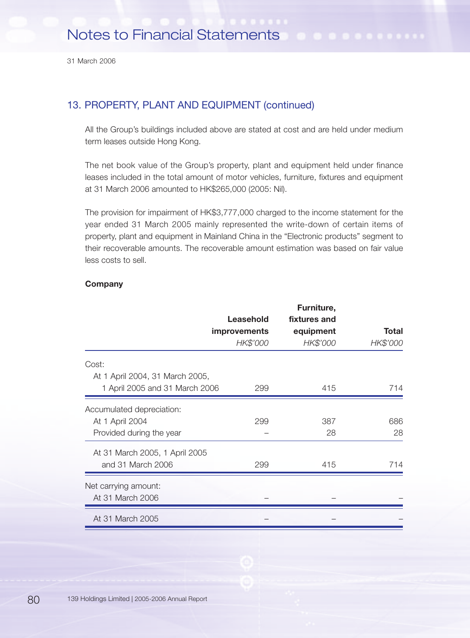### 13. PROPERTY, PLANT AND EQUIPMENT (continued)

All the Group's buildings included above are stated at cost and are held under medium term leases outside Hong Kong.

The net book value of the Group's property, plant and equipment held under finance leases included in the total amount of motor vehicles, furniture, fixtures and equipment at 31 March 2006 amounted to HK\$265,000 (2005: Nil).

The provision for impairment of HK\$3,777,000 charged to the income statement for the year ended 31 March 2005 mainly represented the write-down of certain items of property, plant and equipment in Mainland China in the "Electronic products" segment to their recoverable amounts. The recoverable amount estimation was based on fair value less costs to sell.

#### **Company**

|                                                                            | Leasehold<br>improvements<br>HK\$'000 | Furniture,<br>fixtures and<br>equipment<br>HK\$'000 | Total<br>HK\$'000 |
|----------------------------------------------------------------------------|---------------------------------------|-----------------------------------------------------|-------------------|
| Cost:<br>At 1 April 2004, 31 March 2005,<br>1 April 2005 and 31 March 2006 | 299                                   | 415                                                 | 714               |
| Accumulated depreciation:<br>At 1 April 2004<br>Provided during the year   | 299                                   | 387<br>28                                           | 686<br>28         |
| At 31 March 2005, 1 April 2005<br>and 31 March 2006                        | 299                                   | 415                                                 | 714               |
| Net carrying amount:<br>At 31 March 2006                                   |                                       |                                                     |                   |
| At 31 March 2005                                                           |                                       |                                                     |                   |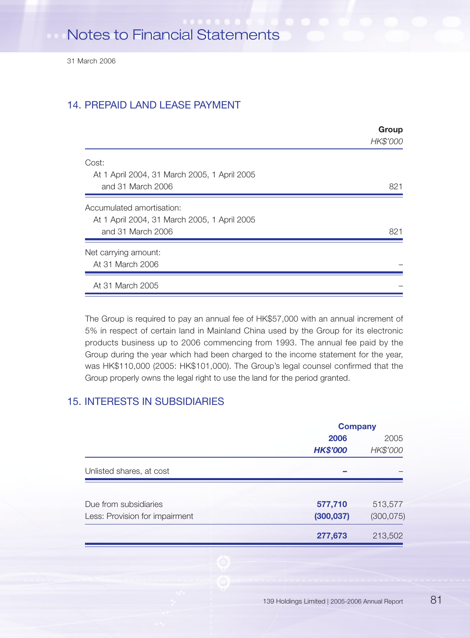### 14. PREPAID LAND LEASE PAYMENT

|                                              | Group    |
|----------------------------------------------|----------|
|                                              | HK\$'000 |
| Cost:                                        |          |
| At 1 April 2004, 31 March 2005, 1 April 2005 |          |
| and 31 March 2006                            | 821      |
| Accumulated amortisation:                    |          |
| At 1 April 2004, 31 March 2005, 1 April 2005 |          |
| and 31 March 2006                            | 821      |
| Net carrying amount:                         |          |
| At 31 March 2006                             |          |
| At 31 March 2005                             |          |
|                                              |          |

The Group is required to pay an annual fee of HK\$57,000 with an annual increment of 5% in respect of certain land in Mainland China used by the Group for its electronic products business up to 2006 commencing from 1993. The annual fee paid by the Group during the year which had been charged to the income statement for the year, was HK\$110,000 (2005: HK\$101,000). The Group's legal counsel confirmed that the Group properly owns the legal right to use the land for the period granted.

## 15. INTERESTS IN SUBSIDIARIES

|                                | <b>Company</b>  |            |  |
|--------------------------------|-----------------|------------|--|
|                                | 2006            | 2005       |  |
|                                | <b>HK\$'000</b> | HK\$'000   |  |
| Unlisted shares, at cost       |                 |            |  |
| Due from subsidiaries          | 577,710         | 513,577    |  |
| Less: Provision for impairment | (300, 037)      | (300, 075) |  |
|                                | 277,673         | 213,502    |  |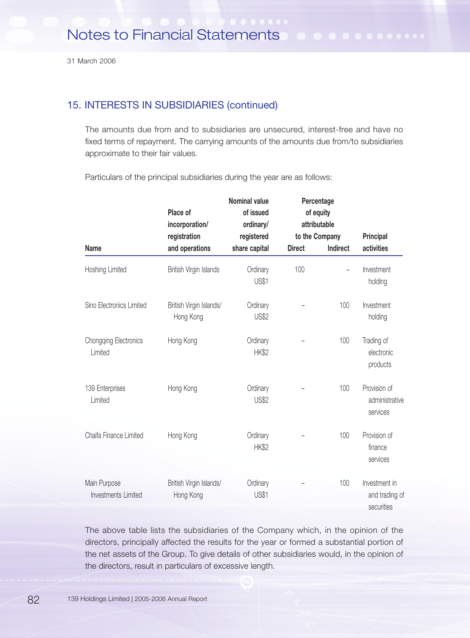### 15. INTERESTS IN SUBSIDIARIES (continued)

The amounts due from and to subsidiaries are unsecured, interest-free and have no fixed terms of repayment. The carrying amounts of the amounts due from/to subsidiaries approximate to their fair values.

Particulars of the principal subsidiaries during the year are as follows:

|                                            | Place of<br>incorporation/<br>registration | <b>Nominal value</b><br>of issued<br>ordinary/<br>registered |               | Percentage<br>of equity<br>attributable<br>to the Company | <b>Principal</b>                              |
|--------------------------------------------|--------------------------------------------|--------------------------------------------------------------|---------------|-----------------------------------------------------------|-----------------------------------------------|
| <b>Name</b>                                | and operations                             | share capital                                                | <b>Direct</b> | Indirect                                                  | activities                                    |
| Hoshing Limited                            | British Virgin Islands                     | Ordinary<br><b>US\$1</b>                                     | 100           |                                                           | Investment<br>holding                         |
| Sino Electronics Limited                   | British Virgin Islands/<br>Hong Kong       | Ordinary<br><b>US\$2</b>                                     |               | 100                                                       | Investment<br>holding                         |
| <b>Chongqing Electronics</b><br>Limited    | Hong Kong                                  | Ordinary<br><b>HK\$2</b>                                     |               | 100                                                       | Trading of<br>electronic<br>products          |
| 139 Enterprises<br>Limited                 | Hong Kong                                  | Ordinary<br><b>US\$2</b>                                     |               | 100                                                       | Provision of<br>administrative<br>services    |
| Chaifa Finance Limited                     | Hong Kong                                  | Ordinary<br><b>HK\$2</b>                                     |               | 100                                                       | Provision of<br>finance<br>services           |
| Main Purpose<br><b>Investments Limited</b> | British Virgin Islands/<br>Hong Kong       | Ordinary<br><b>US\$1</b>                                     |               | 100                                                       | Investment in<br>and trading of<br>securities |

The above table lists the subsidiaries of the Company which, in the opinion of the directors, principally affected the results for the year or formed a substantial portion of the net assets of the Group. To give details of other subsidiaries would, in the opinion of the directors, result in particulars of excessive length.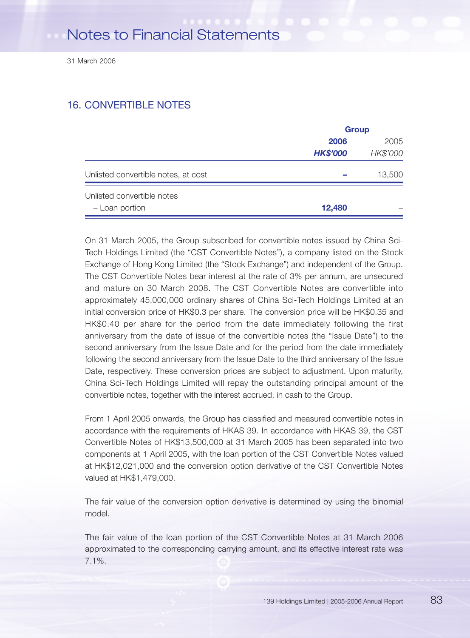### 16. CONVERTIBLE NOTES

|                                     | <b>Group</b>    |          |  |
|-------------------------------------|-----------------|----------|--|
|                                     | 2006            | 2005     |  |
|                                     | <b>HK\$'000</b> | HK\$'000 |  |
| Unlisted convertible notes, at cost |                 | 13,500   |  |
| Unlisted convertible notes          |                 |          |  |
| - Loan portion                      | 12,480          |          |  |

On 31 March 2005, the Group subscribed for convertible notes issued by China Sci-Tech Holdings Limited (the "CST Convertible Notes"), a company listed on the Stock Exchange of Hong Kong Limited (the "Stock Exchange") and independent of the Group. The CST Convertible Notes bear interest at the rate of 3% per annum, are unsecured and mature on 30 March 2008. The CST Convertible Notes are convertible into approximately 45,000,000 ordinary shares of China Sci-Tech Holdings Limited at an initial conversion price of HK\$0.3 per share. The conversion price will be HK\$0.35 and HK\$0.40 per share for the period from the date immediately following the first anniversary from the date of issue of the convertible notes (the "Issue Date") to the second anniversary from the Issue Date and for the period from the date immediately following the second anniversary from the Issue Date to the third anniversary of the Issue Date, respectively. These conversion prices are subject to adjustment. Upon maturity, China Sci-Tech Holdings Limited will repay the outstanding principal amount of the convertible notes, together with the interest accrued, in cash to the Group.

From 1 April 2005 onwards, the Group has classified and measured convertible notes in accordance with the requirements of HKAS 39. In accordance with HKAS 39, the CST Convertible Notes of HK\$13,500,000 at 31 March 2005 has been separated into two components at 1 April 2005, with the loan portion of the CST Convertible Notes valued at HK\$12,021,000 and the conversion option derivative of the CST Convertible Notes valued at HK\$1,479,000.

The fair value of the conversion option derivative is determined by using the binomial model.

The fair value of the loan portion of the CST Convertible Notes at 31 March 2006 approximated to the corresponding carrying amount, and its effective interest rate was 7.1%.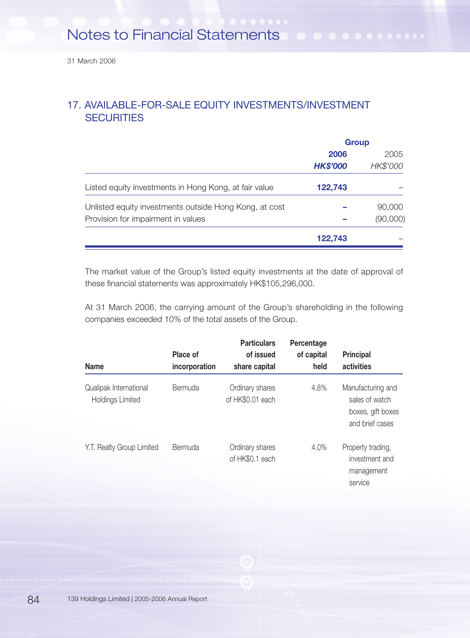## 17. AVAILABLE-FOR-SALE EQUITY INVESTMENTS/INVESTMENT **SECURITIES**

|                                                        | <b>Group</b>    |          |
|--------------------------------------------------------|-----------------|----------|
|                                                        | 2006            | 2005     |
|                                                        | <b>HK\$'000</b> | HK\$'000 |
| Listed equity investments in Hong Kong, at fair value  | 122,743         |          |
| Unlisted equity investments outside Hong Kong, at cost |                 | 90,000   |
| Provision for impairment in values                     |                 | (90,000) |
|                                                        | 122,743         |          |

The market value of the Group's listed equity investments at the date of approval of these financial statements was approximately HK\$105,296,000.

At 31 March 2006, the carrying amount of the Group's shareholding in the following companies exceeded 10% of the total assets of the Group.

| <b>Name</b>                                | Place of<br>incorporation | <b>Particulars</b><br>of issued<br>share capital | Percentage<br>of capital<br>held | <b>Principal</b><br>activities                                              |
|--------------------------------------------|---------------------------|--------------------------------------------------|----------------------------------|-----------------------------------------------------------------------------|
| Qualipak International<br>Holdings Limited | Bermuda                   | Ordinary shares<br>of HK\$0.01 each              | 4.8%                             | Manufacturing and<br>sales of watch<br>boxes, gift boxes<br>and brief cases |
| Y.T. Realty Group Limited                  | Bermuda                   | Ordinary shares<br>of HK\$0.1 each               | 4.0%                             | Property trading,<br>investment and<br>management<br>service                |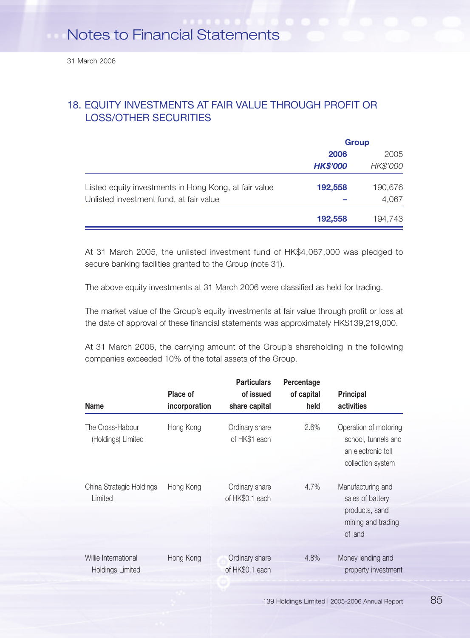## 18. EQUITY INVESTMENTS AT FAIR VALUE THROUGH PROFIT OR LOSS/OTHER SECURITIES

|                                                       | <b>Group</b>            |                  |
|-------------------------------------------------------|-------------------------|------------------|
|                                                       | 2006<br><b>HK\$'000</b> | 2005<br>HK\$'000 |
| Listed equity investments in Hong Kong, at fair value | 192,558                 | 190,676          |
| Unlisted investment fund, at fair value               |                         | 4,067            |
|                                                       | 192,558                 | 194,743          |

At 31 March 2005, the unlisted investment fund of HK\$4,067,000 was pledged to secure banking facilities granted to the Group (note 31).

The above equity investments at 31 March 2006 were classified as held for trading.

The market value of the Group's equity investments at fair value through profit or loss at the date of approval of these financial statements was approximately HK\$139,219,000.

At 31 March 2006, the carrying amount of the Group's shareholding in the following companies exceeded 10% of the total assets of the Group.

| <b>Name</b>                                     | Place of<br>incorporation | <b>Particulars</b><br>of issued<br>share capital | Percentage<br>of capital<br>held | <b>Principal</b><br>activities                                                           |
|-------------------------------------------------|---------------------------|--------------------------------------------------|----------------------------------|------------------------------------------------------------------------------------------|
| The Cross-Habour<br>(Holdings) Limited          | Hong Kong                 | Ordinary share<br>of HK\$1 each                  | 2.6%                             | Operation of motoring<br>school, tunnels and<br>an electronic toll<br>collection system  |
| China Strategic Holdings<br>Limited             | Hong Kong                 | Ordinary share<br>of HK\$0.1 each                | 4.7%                             | Manufacturing and<br>sales of battery<br>products, sand<br>mining and trading<br>of land |
| Willie International<br><b>Holdings Limited</b> | Hong Kong                 | Ordinary share<br>of HK\$0.1 each                | 4.8%                             | Money lending and<br>property investment                                                 |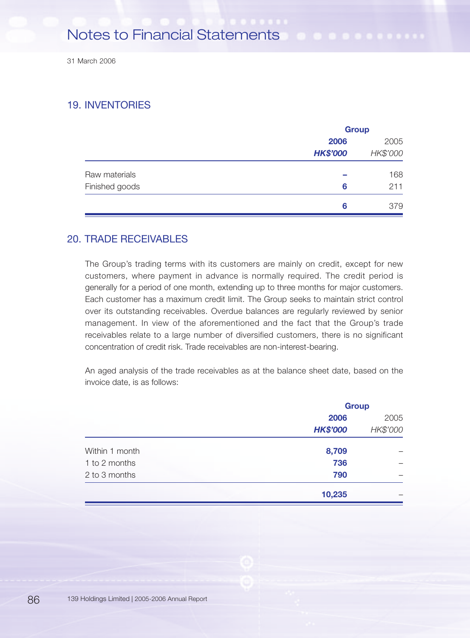### 19. INVENTORIES

|                |                 | <b>Group</b> |  |
|----------------|-----------------|--------------|--|
|                | 2006            | 2005         |  |
|                | <b>HK\$'000</b> | HK\$'000     |  |
| Raw materials  |                 | 168          |  |
| Finished goods | 6               | 211          |  |
|                | 6               | 379          |  |

### 20. TRADE RECEIVABLES

The Group's trading terms with its customers are mainly on credit, except for new customers, where payment in advance is normally required. The credit period is generally for a period of one month, extending up to three months for major customers. Each customer has a maximum credit limit. The Group seeks to maintain strict control over its outstanding receivables. Overdue balances are regularly reviewed by senior management. In view of the aforementioned and the fact that the Group's trade receivables relate to a large number of diversified customers, there is no significant concentration of credit risk. Trade receivables are non-interest-bearing.

An aged analysis of the trade receivables as at the balance sheet date, based on the invoice date, is as follows:

|                | <b>Group</b>    |          |  |
|----------------|-----------------|----------|--|
|                | 2006            | 2005     |  |
|                | <b>HK\$'000</b> | HK\$'000 |  |
| Within 1 month | 8,709           |          |  |
| 1 to 2 months  | 736             |          |  |
| 2 to 3 months  | 790             |          |  |
|                | 10,235          |          |  |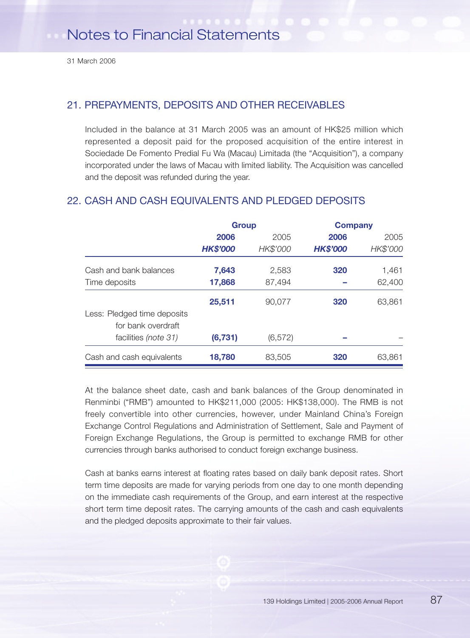### 21. PREPAYMENTS, DEPOSITS AND OTHER RECEIVABLES

Included in the balance at 31 March 2005 was an amount of HK\$25 million which represented a deposit paid for the proposed acquisition of the entire interest in Sociedade De Fomento Predial Fu Wa (Macau) Limitada (the "Acquisition"), a company incorporated under the laws of Macau with limited liability. The Acquisition was cancelled and the deposit was refunded during the year.

# **Group Company 2006** 2005 **2006** 2005 *HK\$'000 HK\$'000 HK\$'000 HK\$'000* Cash and bank balances **7,643** 2,583 **320** 1,461 Time deposits **17,868** 87,494 **–** 62,400 **25,511** 90,077 **320** 63,861 Less: Pledged time deposits for bank overdraft facilities *(note 31)* **(6,731)** (6,572) **–** – Cash and cash equivalents **18,780** 83,505 **320** 63,861

### 22. CASH AND CASH EQUIVALENTS AND PLEDGED DEPOSITS

At the balance sheet date, cash and bank balances of the Group denominated in Renminbi ("RMB") amounted to HK\$211,000 (2005: HK\$138,000). The RMB is not freely convertible into other currencies, however, under Mainland China's Foreign Exchange Control Regulations and Administration of Settlement, Sale and Payment of Foreign Exchange Regulations, the Group is permitted to exchange RMB for other currencies through banks authorised to conduct foreign exchange business.

Cash at banks earns interest at floating rates based on daily bank deposit rates. Short term time deposits are made for varying periods from one day to one month depending on the immediate cash requirements of the Group, and earn interest at the respective short term time deposit rates. The carrying amounts of the cash and cash equivalents and the pledged deposits approximate to their fair values.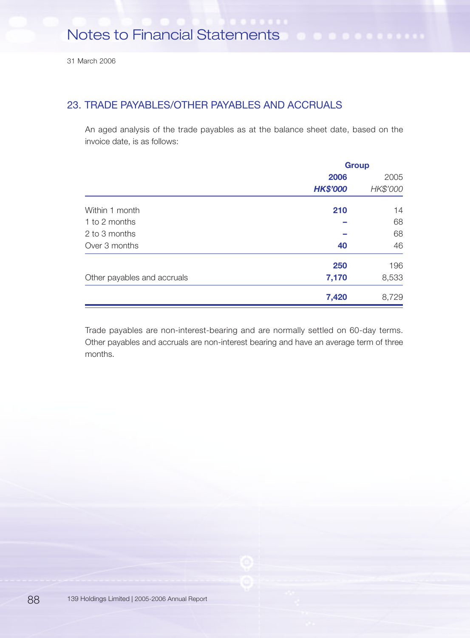### 23. TRADE PAYABLES/OTHER PAYABLES AND ACCRUALS

An aged analysis of the trade payables as at the balance sheet date, based on the invoice date, is as follows:

|                             | <b>Group</b>    |          |  |
|-----------------------------|-----------------|----------|--|
|                             | 2006            |          |  |
|                             | <b>HK\$'000</b> | HK\$'000 |  |
| Within 1 month              | 210             | 14       |  |
| 1 to 2 months               |                 | 68       |  |
| 2 to 3 months               |                 | 68       |  |
| Over 3 months               | 40              | 46       |  |
|                             | 250             | 196      |  |
| Other payables and accruals | 7,170           | 8,533    |  |
|                             | 7,420           | 8,729    |  |

Trade payables are non-interest-bearing and are normally settled on 60-day terms. Other payables and accruals are non-interest bearing and have an average term of three months.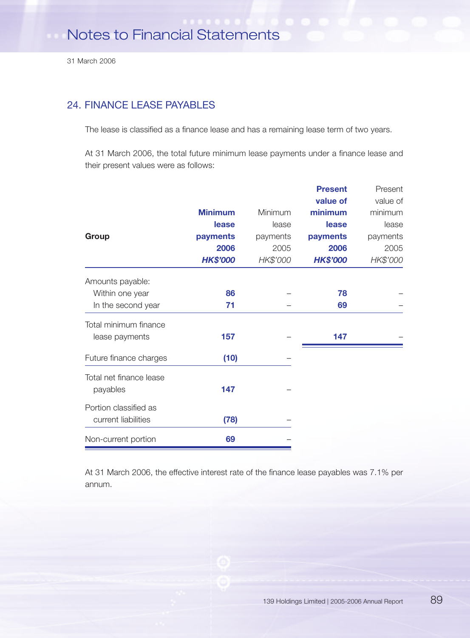## 24. FINANCE LEASE PAYABLES

The lease is classified as a finance lease and has a remaining lease term of two years.

At 31 March 2006, the total future minimum lease payments under a finance lease and their present values were as follows:

|                         |                 |          | <b>Present</b>  | Present  |
|-------------------------|-----------------|----------|-----------------|----------|
|                         |                 |          | value of        | value of |
|                         | <b>Minimum</b>  | Minimum  | minimum         | minimum  |
|                         | lease           | lease    | lease           | lease    |
| Group                   | payments        | payments | payments        | payments |
|                         | 2006            | 2005     | 2006            | 2005     |
|                         | <b>HK\$'000</b> | HK\$'000 | <b>HK\$'000</b> | HK\$'000 |
| Amounts payable:        |                 |          |                 |          |
| Within one year         | 86              |          | 78              |          |
| In the second year      | 71              |          | 69              |          |
| Total minimum finance   |                 |          |                 |          |
| lease payments          | 157             |          | 147             |          |
| Future finance charges  | (10)            |          |                 |          |
| Total net finance lease |                 |          |                 |          |
| payables                | 147             |          |                 |          |
| Portion classified as   |                 |          |                 |          |
| current liabilities     | (78)            |          |                 |          |
| Non-current portion     | 69              |          |                 |          |

At 31 March 2006, the effective interest rate of the finance lease payables was 7.1% per annum.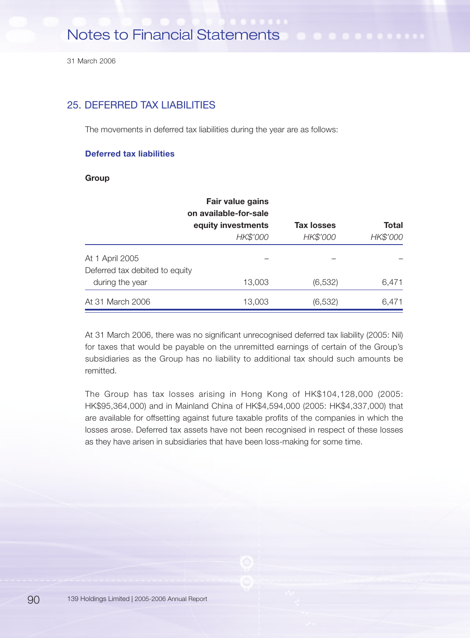### 25. DEFERRED TAX LIABILITIES

The movements in deferred tax liabilities during the year are as follows:

#### **Deferred tax liabilities**

#### **Group**

|                                | Fair value gains<br>on available-for-sale |                   |          |
|--------------------------------|-------------------------------------------|-------------------|----------|
|                                | equity investments                        | <b>Tax losses</b> | Total    |
|                                | HK\$'000                                  | HK\$'000          | HK\$'000 |
| At 1 April 2005                |                                           |                   |          |
| Deferred tax debited to equity |                                           |                   |          |
| during the year                | 13,003                                    | (6, 532)          | 6,471    |
| At 31 March 2006               | 13,003                                    | (6,532)           | 6,471    |

At 31 March 2006, there was no significant unrecognised deferred tax liability (2005: Nil) for taxes that would be payable on the unremitted earnings of certain of the Group's subsidiaries as the Group has no liability to additional tax should such amounts be remitted.

The Group has tax losses arising in Hong Kong of HK\$104,128,000 (2005: HK\$95,364,000) and in Mainland China of HK\$4,594,000 (2005: HK\$4,337,000) that are available for offsetting against future taxable profits of the companies in which the losses arose. Deferred tax assets have not been recognised in respect of these losses as they have arisen in subsidiaries that have been loss-making for some time.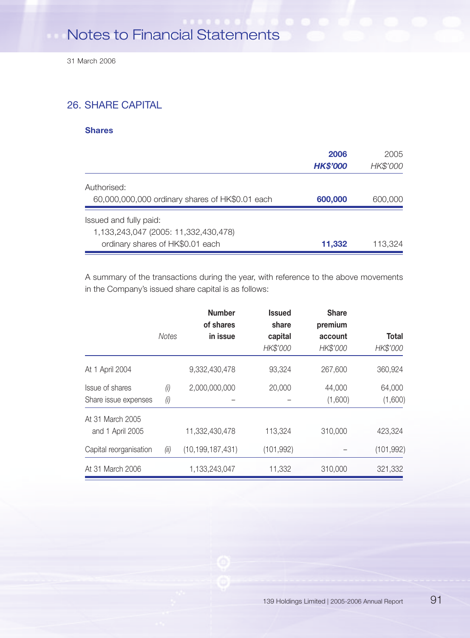## 26. SHARE CAPITAL

#### **Shares**

|                                                                                                          | 2006<br><b>HK\$'000</b> | 2005<br>HK\$'000 |
|----------------------------------------------------------------------------------------------------------|-------------------------|------------------|
| Authorised:<br>60,000,000,000 ordinary shares of HK\$0.01 each                                           | 600,000                 | 600,000          |
| Issued and fully paid:<br>1, 133, 243, 047 (2005: 11, 332, 430, 478)<br>ordinary shares of HK\$0.01 each | 11,332                  | 113,324          |

A summary of the transactions during the year, with reference to the above movements in the Company's issued share capital is as follows:

|                        |              | <b>Number</b><br>of shares | <b>Issued</b><br>share | <b>Share</b><br>premium |              |
|------------------------|--------------|----------------------------|------------------------|-------------------------|--------------|
|                        | <b>Notes</b> | in issue                   | capital                | account                 | <b>Total</b> |
|                        |              |                            | HK\$'000               | HK\$'000                | HK\$'000     |
| At 1 April 2004        |              | 9,332,430,478              | 93,324                 | 267,600                 | 360,924      |
| Issue of shares        | (i)          | 2,000,000,000              | 20,000                 | 44,000                  | 64,000       |
| Share issue expenses   | (i)          |                            |                        | (1,600)                 | (1,600)      |
| At 31 March 2005       |              |                            |                        |                         |              |
| and 1 April 2005       |              | 11,332,430,478             | 113,324                | 310,000                 | 423,324      |
| Capital reorganisation | (ii)         | (10, 199, 187, 431)        | (101, 992)             |                         | (101, 992)   |
| At 31 March 2006       |              | 1,133,243,047              | 11,332                 | 310,000                 | 321,332      |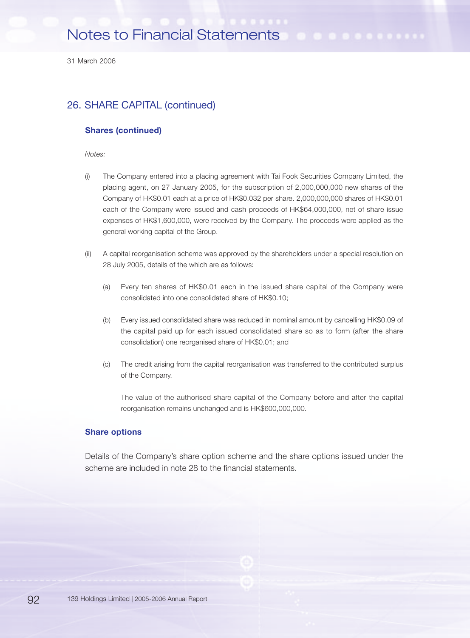### 26. SHARE CAPITAL (continued)

#### **Shares (continued)**

*Notes:*

- (i) The Company entered into a placing agreement with Tai Fook Securities Company Limited, the placing agent, on 27 January 2005, for the subscription of 2,000,000,000 new shares of the Company of HK\$0.01 each at a price of HK\$0.032 per share. 2,000,000,000 shares of HK\$0.01 each of the Company were issued and cash proceeds of HK\$64,000,000, net of share issue expenses of HK\$1,600,000, were received by the Company. The proceeds were applied as the general working capital of the Group.
- (ii) A capital reorganisation scheme was approved by the shareholders under a special resolution on 28 July 2005, details of the which are as follows:
	- (a) Every ten shares of HK\$0.01 each in the issued share capital of the Company were consolidated into one consolidated share of HK\$0.10;
	- (b) Every issued consolidated share was reduced in nominal amount by cancelling HK\$0.09 of the capital paid up for each issued consolidated share so as to form (after the share consolidation) one reorganised share of HK\$0.01; and
	- (c) The credit arising from the capital reorganisation was transferred to the contributed surplus of the Company.

The value of the authorised share capital of the Company before and after the capital reorganisation remains unchanged and is HK\$600,000,000.

#### **Share options**

Details of the Company's share option scheme and the share options issued under the scheme are included in note 28 to the financial statements.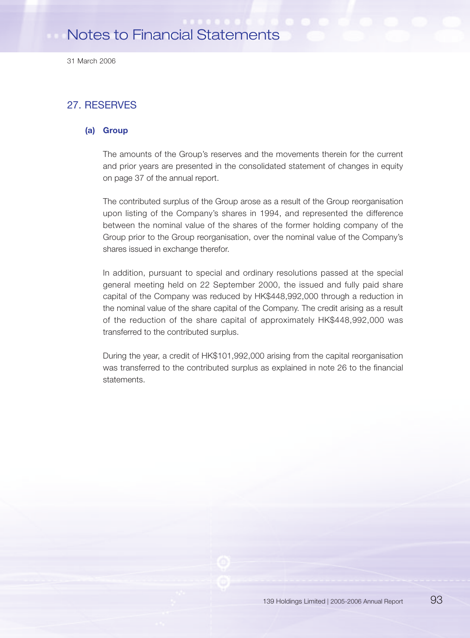### 27. RESERVES

### **(a) Group**

The amounts of the Group's reserves and the movements therein for the current and prior years are presented in the consolidated statement of changes in equity on page 37 of the annual report.

The contributed surplus of the Group arose as a result of the Group reorganisation upon listing of the Company's shares in 1994, and represented the difference between the nominal value of the shares of the former holding company of the Group prior to the Group reorganisation, over the nominal value of the Company's shares issued in exchange therefor.

In addition, pursuant to special and ordinary resolutions passed at the special general meeting held on 22 September 2000, the issued and fully paid share capital of the Company was reduced by HK\$448,992,000 through a reduction in the nominal value of the share capital of the Company. The credit arising as a result of the reduction of the share capital of approximately HK\$448,992,000 was transferred to the contributed surplus.

During the year, a credit of HK\$101,992,000 arising from the capital reorganisation was transferred to the contributed surplus as explained in note 26 to the financial statements.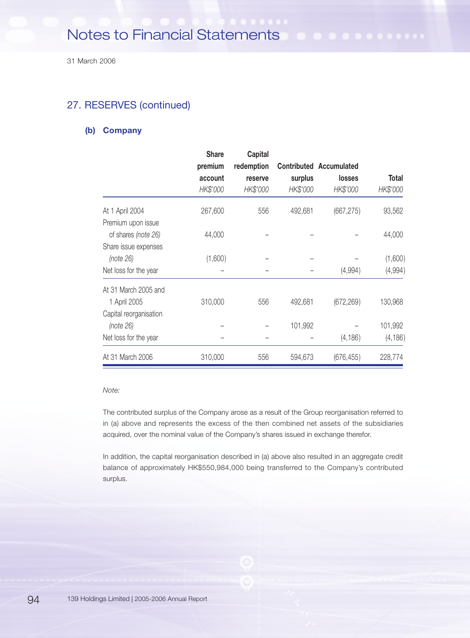## 27. RESERVES (continued)

### **(b) Company**

|                        | <b>Share</b><br>premium<br>account<br>HK\$'000 | Capital<br>redemption<br>reserve |                     |                                                             |                          |
|------------------------|------------------------------------------------|----------------------------------|---------------------|-------------------------------------------------------------|--------------------------|
|                        |                                                |                                  | surplus<br>HK\$'000 | <b>Contributed Accumulated</b><br><b>losses</b><br>HK\$'000 | <b>Total</b><br>HK\$'000 |
|                        |                                                |                                  |                     |                                                             |                          |
|                        |                                                | HK\$'000                         |                     |                                                             |                          |
| At 1 April 2004        | 267,600                                        | 556                              | 492,681             | (667, 275)                                                  | 93,562                   |
| Premium upon issue     |                                                |                                  |                     |                                                             |                          |
| of shares (note 26)    | 44,000                                         |                                  |                     |                                                             | 44,000                   |
| Share issue expenses   |                                                |                                  |                     |                                                             |                          |
| (note 26)              | (1,600)                                        |                                  |                     |                                                             | (1,600)                  |
| Net loss for the year  |                                                |                                  |                     | (4,994)                                                     | (4,994)                  |
| At 31 March 2005 and   |                                                |                                  |                     |                                                             |                          |
| 1 April 2005           | 310,000                                        | 556                              | 492,681             | (672, 269)                                                  | 130,968                  |
| Capital reorganisation |                                                |                                  |                     |                                                             |                          |
| (note 26)              |                                                |                                  | 101,992             |                                                             | 101,992                  |
| Net loss for the year  |                                                |                                  |                     | (4, 186)                                                    | (4, 186)                 |
| At 31 March 2006       | 310,000                                        | 556                              | 594,673             | (676, 455)                                                  | 228,774                  |

#### *Note:*

The contributed surplus of the Company arose as a result of the Group reorganisation referred to in (a) above and represents the excess of the then combined net assets of the subsidiaries acquired, over the nominal value of the Company's shares issued in exchange therefor.

In addition, the capital reorganisation described in (a) above also resulted in an aggregate credit balance of approximately HK\$550,984,000 being transferred to the Company's contributed surplus.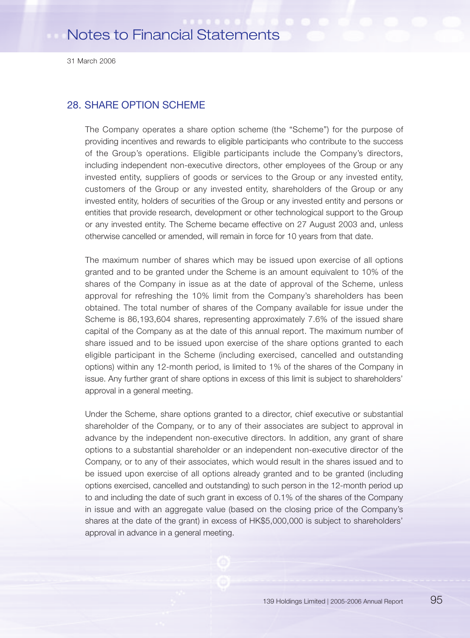# Notes to Financial Statements

31 March 2006

#### 28. SHARE OPTION SCHEME

The Company operates a share option scheme (the "Scheme") for the purpose of providing incentives and rewards to eligible participants who contribute to the success of the Group's operations. Eligible participants include the Company's directors, including independent non-executive directors, other employees of the Group or any invested entity, suppliers of goods or services to the Group or any invested entity, customers of the Group or any invested entity, shareholders of the Group or any invested entity, holders of securities of the Group or any invested entity and persons or entities that provide research, development or other technological support to the Group or any invested entity. The Scheme became effective on 27 August 2003 and, unless otherwise cancelled or amended, will remain in force for 10 years from that date.

The maximum number of shares which may be issued upon exercise of all options granted and to be granted under the Scheme is an amount equivalent to 10% of the shares of the Company in issue as at the date of approval of the Scheme, unless approval for refreshing the 10% limit from the Company's shareholders has been obtained. The total number of shares of the Company available for issue under the Scheme is 86,193,604 shares, representing approximately 7.6% of the issued share capital of the Company as at the date of this annual report. The maximum number of share issued and to be issued upon exercise of the share options granted to each eligible participant in the Scheme (including exercised, cancelled and outstanding options) within any 12-month period, is limited to 1% of the shares of the Company in issue. Any further grant of share options in excess of this limit is subject to shareholders' approval in a general meeting.

Under the Scheme, share options granted to a director, chief executive or substantial shareholder of the Company, or to any of their associates are subject to approval in advance by the independent non-executive directors. In addition, any grant of share options to a substantial shareholder or an independent non-executive director of the Company, or to any of their associates, which would result in the shares issued and to be issued upon exercise of all options already granted and to be granted (including options exercised, cancelled and outstanding) to such person in the 12-month period up to and including the date of such grant in excess of 0.1% of the shares of the Company in issue and with an aggregate value (based on the closing price of the Company's shares at the date of the grant) in excess of HK\$5,000,000 is subject to shareholders' approval in advance in a general meeting.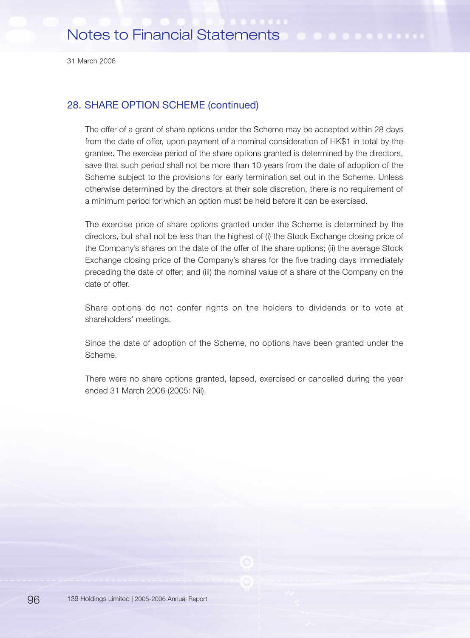### 28. SHARE OPTION SCHEME (continued)

The offer of a grant of share options under the Scheme may be accepted within 28 days from the date of offer, upon payment of a nominal consideration of HK\$1 in total by the grantee. The exercise period of the share options granted is determined by the directors, save that such period shall not be more than 10 years from the date of adoption of the Scheme subject to the provisions for early termination set out in the Scheme. Unless otherwise determined by the directors at their sole discretion, there is no requirement of a minimum period for which an option must be held before it can be exercised.

The exercise price of share options granted under the Scheme is determined by the directors, but shall not be less than the highest of (i) the Stock Exchange closing price of the Company's shares on the date of the offer of the share options; (ii) the average Stock Exchange closing price of the Company's shares for the five trading days immediately preceding the date of offer; and (iii) the nominal value of a share of the Company on the date of offer.

Share options do not confer rights on the holders to dividends or to vote at shareholders' meetings.

Since the date of adoption of the Scheme, no options have been granted under the Scheme.

There were no share options granted, lapsed, exercised or cancelled during the year ended 31 March 2006 (2005: Nil).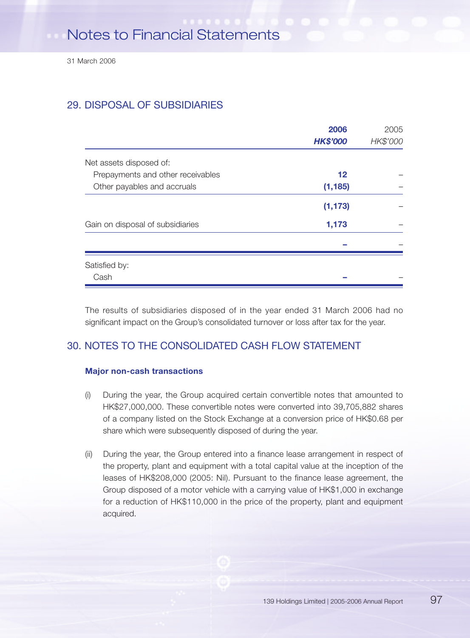### 29. DISPOSAL OF SUBSIDIARIES

|                                   | 2006            | 2005     |
|-----------------------------------|-----------------|----------|
|                                   | <b>HK\$'000</b> | HK\$'000 |
| Net assets disposed of:           |                 |          |
| Prepayments and other receivables | 12              |          |
| Other payables and accruals       | (1, 185)        |          |
|                                   | (1, 173)        |          |
| Gain on disposal of subsidiaries  | 1,173           |          |
|                                   |                 |          |
| Satisfied by:                     |                 |          |
| Cash                              |                 |          |

The results of subsidiaries disposed of in the year ended 31 March 2006 had no significant impact on the Group's consolidated turnover or loss after tax for the year.

### 30. NOTES TO THE CONSOLIDATED CASH FLOW STATEMENT

#### **Major non-cash transactions**

- (i) During the year, the Group acquired certain convertible notes that amounted to HK\$27,000,000. These convertible notes were converted into 39,705,882 shares of a company listed on the Stock Exchange at a conversion price of HK\$0.68 per share which were subsequently disposed of during the year.
- (ii) During the year, the Group entered into a finance lease arrangement in respect of the property, plant and equipment with a total capital value at the inception of the leases of HK\$208,000 (2005: Nil). Pursuant to the finance lease agreement, the Group disposed of a motor vehicle with a carrying value of HK\$1,000 in exchange for a reduction of HK\$110,000 in the price of the property, plant and equipment acquired.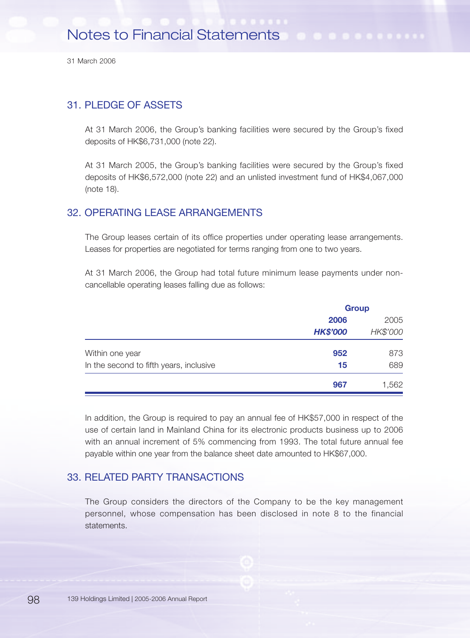### 31. PLEDGE OF ASSETS

At 31 March 2006, the Group's banking facilities were secured by the Group's fixed deposits of HK\$6,731,000 (note 22).

At 31 March 2005, the Group's banking facilities were secured by the Group's fixed deposits of HK\$6,572,000 (note 22) and an unlisted investment fund of HK\$4,067,000 (note 18).

### 32. OPERATING LEASE ARRANGEMENTS

The Group leases certain of its office properties under operating lease arrangements. Leases for properties are negotiated for terms ranging from one to two years.

At 31 March 2006, the Group had total future minimum lease payments under noncancellable operating leases falling due as follows:

|                                         | <b>Group</b>    |          |
|-----------------------------------------|-----------------|----------|
|                                         | 2006            | 2005     |
|                                         | <b>HK\$'000</b> | HK\$'000 |
| Within one year                         | 952             | 873      |
| In the second to fifth years, inclusive | 15              | 689      |
|                                         | 967             | 1,562    |

In addition, the Group is required to pay an annual fee of HK\$57,000 in respect of the use of certain land in Mainland China for its electronic products business up to 2006 with an annual increment of 5% commencing from 1993. The total future annual fee payable within one year from the balance sheet date amounted to HK\$67,000.

### 33. RELATED PARTY TRANSACTIONS

The Group considers the directors of the Company to be the key management personnel, whose compensation has been disclosed in note 8 to the financial statements.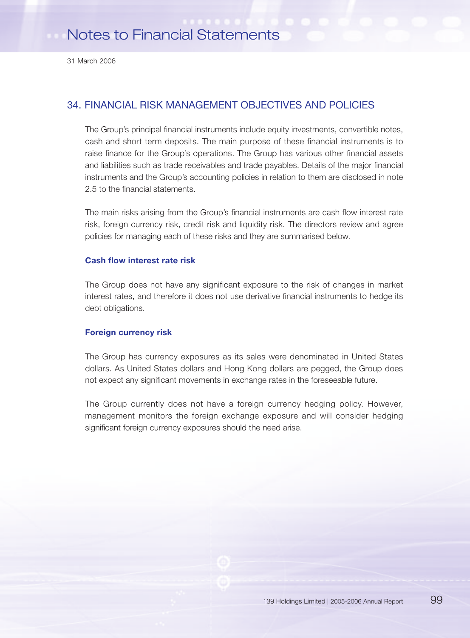### 34. FINANCIAL RISK MANAGEMENT OBJECTIVES AND POLICIES

The Group's principal financial instruments include equity investments, convertible notes, cash and short term deposits. The main purpose of these financial instruments is to raise finance for the Group's operations. The Group has various other financial assets and liabilities such as trade receivables and trade payables. Details of the major financial instruments and the Group's accounting policies in relation to them are disclosed in note 2.5 to the financial statements.

The main risks arising from the Group's financial instruments are cash flow interest rate risk, foreign currency risk, credit risk and liquidity risk. The directors review and agree policies for managing each of these risks and they are summarised below.

#### **Cash flow interest rate risk**

The Group does not have any significant exposure to the risk of changes in market interest rates, and therefore it does not use derivative financial instruments to hedge its debt obligations.

#### **Foreign currency risk**

The Group has currency exposures as its sales were denominated in United States dollars. As United States dollars and Hong Kong dollars are pegged, the Group does not expect any significant movements in exchange rates in the foreseeable future.

The Group currently does not have a foreign currency hedging policy. However, management monitors the foreign exchange exposure and will consider hedging significant foreign currency exposures should the need arise.